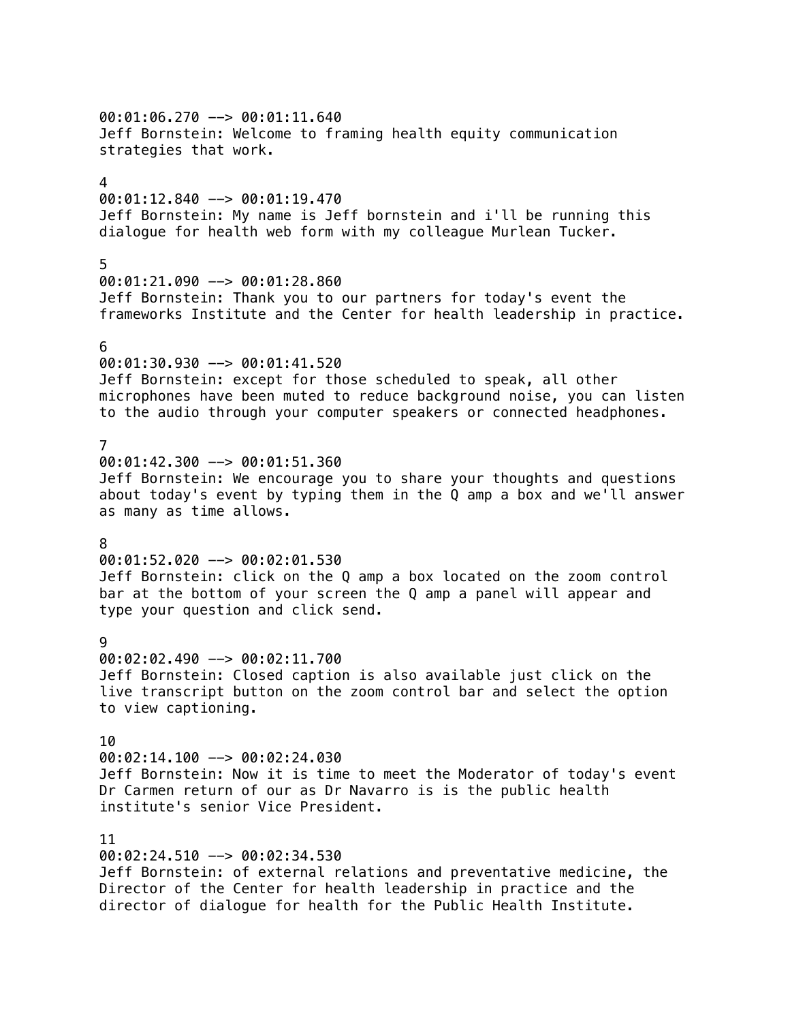00:01:06.270 --> 00:01:11.640 Jeff Bornstein: Welcome to framing health equity communication strategies that work. 4 00:01:12.840 --> 00:01:19.470 Jeff Bornstein: My name is Jeff bornstein and i'll be running this dialogue for health web form with my colleague Murlean Tucker. 5 00:01:21.090 --> 00:01:28.860 Jeff Bornstein: Thank you to our partners for today's event the frameworks Institute and the Center for health leadership in practice. 6 00:01:30.930 --> 00:01:41.520 Jeff Bornstein: except for those scheduled to speak, all other microphones have been muted to reduce background noise, you can listen to the audio through your computer speakers or connected headphones. 7 00:01:42.300 --> 00:01:51.360 Jeff Bornstein: We encourage you to share your thoughts and questions about today's event by typing them in the Q amp a box and we'll answer as many as time allows. 8 00:01:52.020 --> 00:02:01.530 Jeff Bornstein: click on the Q amp a box located on the zoom control bar at the bottom of your screen the Q amp a panel will appear and type your question and click send. 9 00:02:02.490 --> 00:02:11.700 Jeff Bornstein: Closed caption is also available just click on the live transcript button on the zoom control bar and select the option to view captioning. 10 00:02:14.100 --> 00:02:24.030 Jeff Bornstein: Now it is time to meet the Moderator of today's event Dr Carmen return of our as Dr Navarro is is the public health institute's senior Vice President. 11 00:02:24.510 --> 00:02:34.530

Jeff Bornstein: of external relations and preventative medicine, the Director of the Center for health leadership in practice and the director of dialogue for health for the Public Health Institute.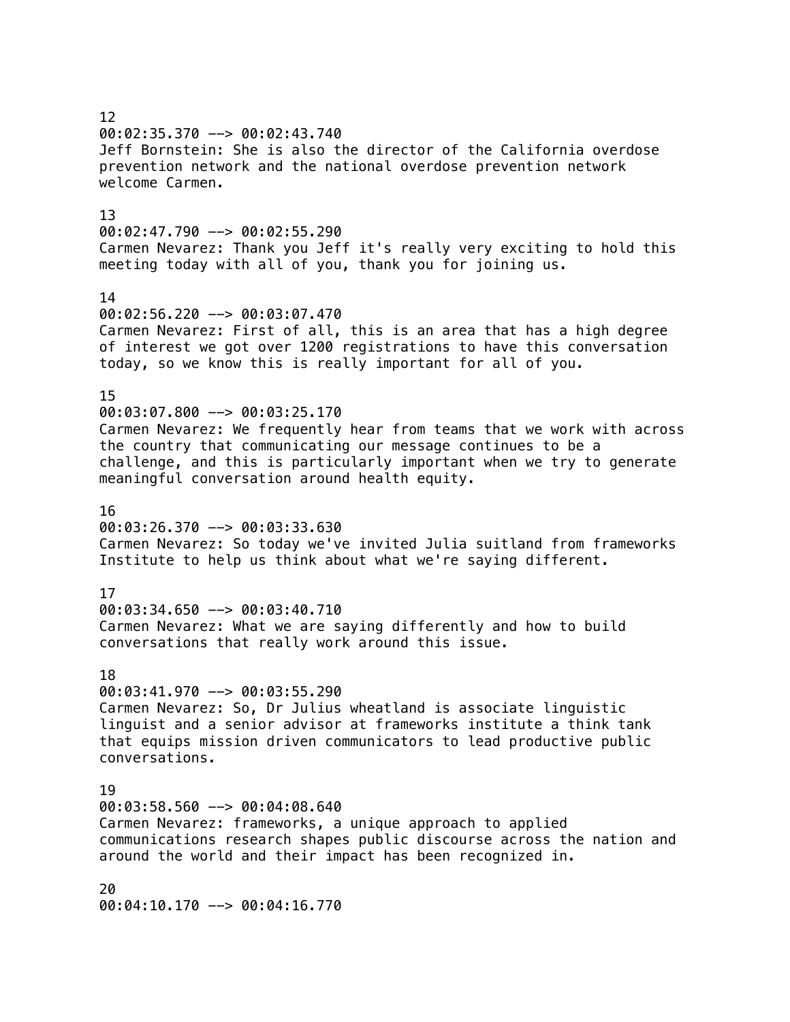12 00:02:35.370 --> 00:02:43.740 Jeff Bornstein: She is also the director of the California overdose prevention network and the national overdose prevention network welcome Carmen. 13 00:02:47.790 --> 00:02:55.290 Carmen Nevarez: Thank you Jeff it's really very exciting to hold this meeting today with all of you, thank you for joining us. 14 00:02:56.220 --> 00:03:07.470 Carmen Nevarez: First of all, this is an area that has a high degree of interest we got over 1200 registrations to have this conversation today, so we know this is really important for all of you. 15 00:03:07.800 --> 00:03:25.170 Carmen Nevarez: We frequently hear from teams that we work with across the country that communicating our message continues to be a challenge, and this is particularly important when we try to generate meaningful conversation around health equity. 16 00:03:26.370 --> 00:03:33.630 Carmen Nevarez: So today we've invited Julia suitland from frameworks Institute to help us think about what we're saying different. 17 00:03:34.650 --> 00:03:40.710 Carmen Nevarez: What we are saying differently and how to build conversations that really work around this issue. 18  $00:03:41.970$  -->  $00:03:55.290$ Carmen Nevarez: So, Dr Julius wheatland is associate linguistic linguist and a senior advisor at frameworks institute a think tank that equips mission driven communicators to lead productive public conversations. 19 00:03:58.560 --> 00:04:08.640 Carmen Nevarez: frameworks, a unique approach to applied communications research shapes public discourse across the nation and around the world and their impact has been recognized in. 20

00:04:10.170 --> 00:04:16.770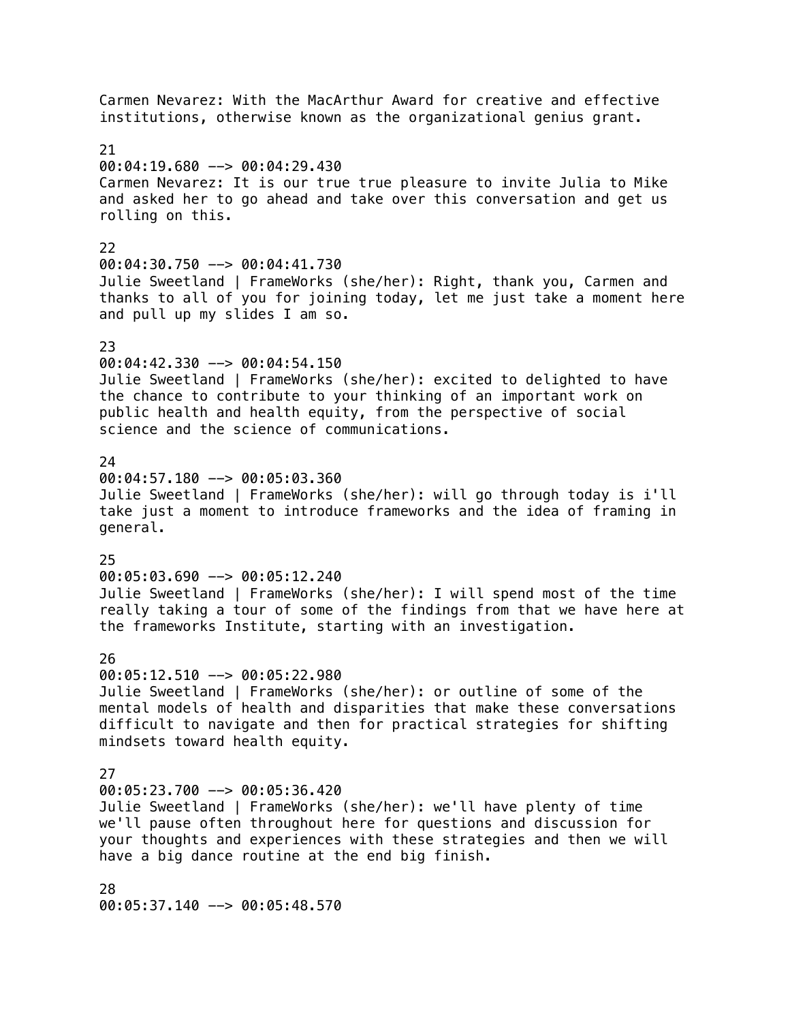Carmen Nevarez: With the MacArthur Award for creative and effective institutions, otherwise known as the organizational genius grant. 21  $00:04:19.680$  -->  $00:04:29.430$ Carmen Nevarez: It is our true true pleasure to invite Julia to Mike and asked her to go ahead and take over this conversation and get us rolling on this. 22 00:04:30.750 --> 00:04:41.730 Julie Sweetland | FrameWorks (she/her): Right, thank you, Carmen and thanks to all of you for joining today, let me just take a moment here and pull up my slides I am so. 23 00:04:42.330 --> 00:04:54.150 Julie Sweetland | FrameWorks (she/her): excited to delighted to have the chance to contribute to your thinking of an important work on public health and health equity, from the perspective of social science and the science of communications.  $24$ 00:04:57.180 --> 00:05:03.360 Julie Sweetland | FrameWorks (she/her): will go through today is i'll take just a moment to introduce frameworks and the idea of framing in general. 25 00:05:03.690 --> 00:05:12.240 Julie Sweetland | FrameWorks (she/her): I will spend most of the time really taking a tour of some of the findings from that we have here at the frameworks Institute, starting with an investigation. 26 00:05:12.510 --> 00:05:22.980 Julie Sweetland | FrameWorks (she/her): or outline of some of the mental models of health and disparities that make these conversations difficult to navigate and then for practical strategies for shifting mindsets toward health equity. 27  $00:05:23.700$  -->  $00:05:36.420$ Julie Sweetland | FrameWorks (she/her): we'll have plenty of time we'll pause often throughout here for questions and discussion for your thoughts and experiences with these strategies and then we will have a big dance routine at the end big finish. 28

00:05:37.140 --> 00:05:48.570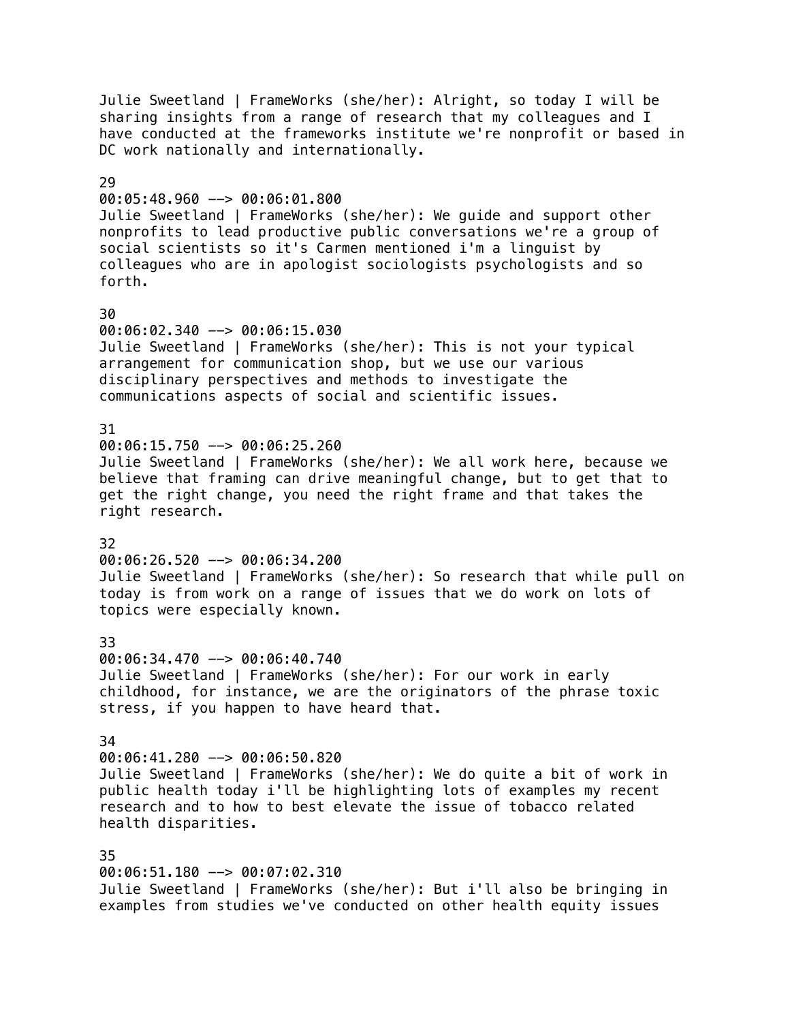Julie Sweetland | FrameWorks (she/her): Alright, so today I will be sharing insights from a range of research that my colleagues and I have conducted at the frameworks institute we're nonprofit or based in DC work nationally and internationally. 29 00:05:48.960 --> 00:06:01.800 Julie Sweetland | FrameWorks (she/her): We guide and support other nonprofits to lead productive public conversations we're a group of social scientists so it's Carmen mentioned i'm a linguist by colleagues who are in apologist sociologists psychologists and so forth. 30 00:06:02.340 --> 00:06:15.030 Julie Sweetland | FrameWorks (she/her): This is not your typical arrangement for communication shop, but we use our various disciplinary perspectives and methods to investigate the communications aspects of social and scientific issues. 31 00:06:15.750 --> 00:06:25.260 Julie Sweetland | FrameWorks (she/her): We all work here, because we believe that framing can drive meaningful change, but to get that to get the right change, you need the right frame and that takes the right research. 32 00:06:26.520 --> 00:06:34.200 Julie Sweetland | FrameWorks (she/her): So research that while pull on today is from work on a range of issues that we do work on lots of topics were especially known. 33 00:06:34.470 --> 00:06:40.740 Julie Sweetland | FrameWorks (she/her): For our work in early childhood, for instance, we are the originators of the phrase toxic stress, if you happen to have heard that. 34 00:06:41.280 --> 00:06:50.820 Julie Sweetland | FrameWorks (she/her): We do quite a bit of work in public health today i'll be highlighting lots of examples my recent research and to how to best elevate the issue of tobacco related health disparities. 35 00:06:51.180 --> 00:07:02.310 Julie Sweetland | FrameWorks (she/her): But i'll also be bringing in

examples from studies we've conducted on other health equity issues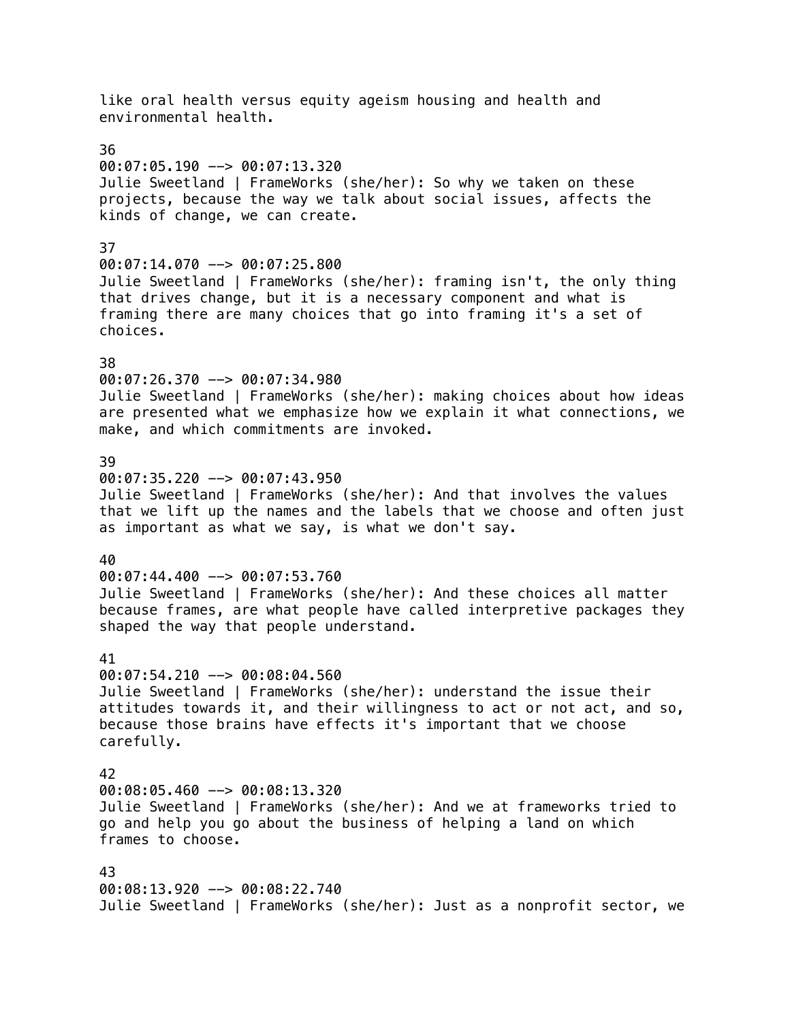like oral health versus equity ageism housing and health and environmental health. 36  $00:07:05.190$  -->  $00:07:13.320$ Julie Sweetland | FrameWorks (she/her): So why we taken on these projects, because the way we talk about social issues, affects the kinds of change, we can create. 37  $00:07:14.070$  -->  $00:07:25.800$ Julie Sweetland | FrameWorks (she/her): framing isn't, the only thing that drives change, but it is a necessary component and what is framing there are many choices that go into framing it's a set of choices. 38 00:07:26.370 --> 00:07:34.980 Julie Sweetland | FrameWorks (she/her): making choices about how ideas are presented what we emphasize how we explain it what connections, we make, and which commitments are invoked. 39 00:07:35.220 --> 00:07:43.950 Julie Sweetland | FrameWorks (she/her): And that involves the values that we lift up the names and the labels that we choose and often just as important as what we say, is what we don't say. 40 00:07:44.400 --> 00:07:53.760 Julie Sweetland | FrameWorks (she/her): And these choices all matter because frames, are what people have called interpretive packages they shaped the way that people understand. 41 00:07:54.210 --> 00:08:04.560 Julie Sweetland | FrameWorks (she/her): understand the issue their attitudes towards it, and their willingness to act or not act, and so, because those brains have effects it's important that we choose carefully. 42  $00:08:05.460$  -->  $00:08:13.320$ Julie Sweetland | FrameWorks (she/her): And we at frameworks tried to go and help you go about the business of helping a land on which frames to choose. 43 00:08:13.920 --> 00:08:22.740 Julie Sweetland | FrameWorks (she/her): Just as a nonprofit sector, we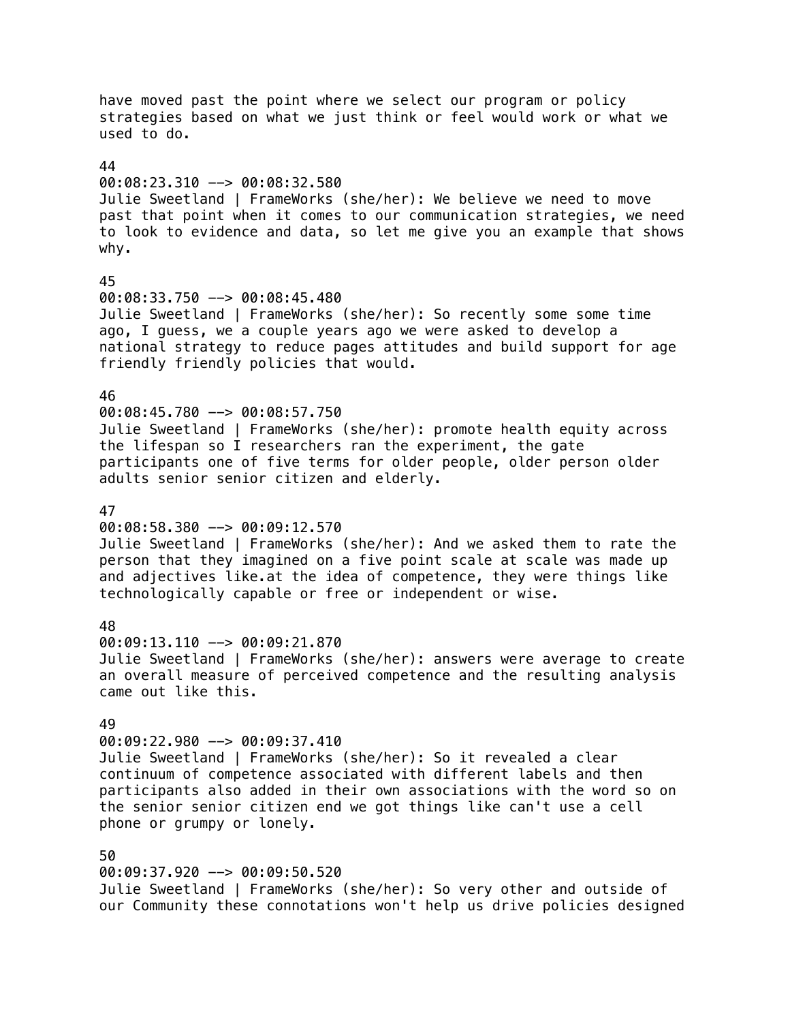have moved past the point where we select our program or policy strategies based on what we just think or feel would work or what we used to do. 44 00:08:23.310 --> 00:08:32.580 Julie Sweetland | FrameWorks (she/her): We believe we need to move past that point when it comes to our communication strategies, we need to look to evidence and data, so let me give you an example that shows why. 45 00:08:33.750 --> 00:08:45.480 Julie Sweetland | FrameWorks (she/her): So recently some some time ago, I guess, we a couple years ago we were asked to develop a national strategy to reduce pages attitudes and build support for age friendly friendly policies that would. 46 00:08:45.780 --> 00:08:57.750 Julie Sweetland | FrameWorks (she/her): promote health equity across the lifespan so I researchers ran the experiment, the gate participants one of five terms for older people, older person older adults senior senior citizen and elderly. 47 00:08:58.380 --> 00:09:12.570 Julie Sweetland | FrameWorks (she/her): And we asked them to rate the person that they imagined on a five point scale at scale was made up and adjectives like.at the idea of competence, they were things like technologically capable or free or independent or wise. 48 00:09:13.110 --> 00:09:21.870 Julie Sweetland | FrameWorks (she/her): answers were average to create an overall measure of perceived competence and the resulting analysis came out like this. 49 00:09:22.980 --> 00:09:37.410 Julie Sweetland | FrameWorks (she/her): So it revealed a clear continuum of competence associated with different labels and then participants also added in their own associations with the word so on the senior senior citizen end we got things like can't use a cell phone or grumpy or lonely. 50 00:09:37.920 --> 00:09:50.520 Julie Sweetland | FrameWorks (she/her): So very other and outside of our Community these connotations won't help us drive policies designed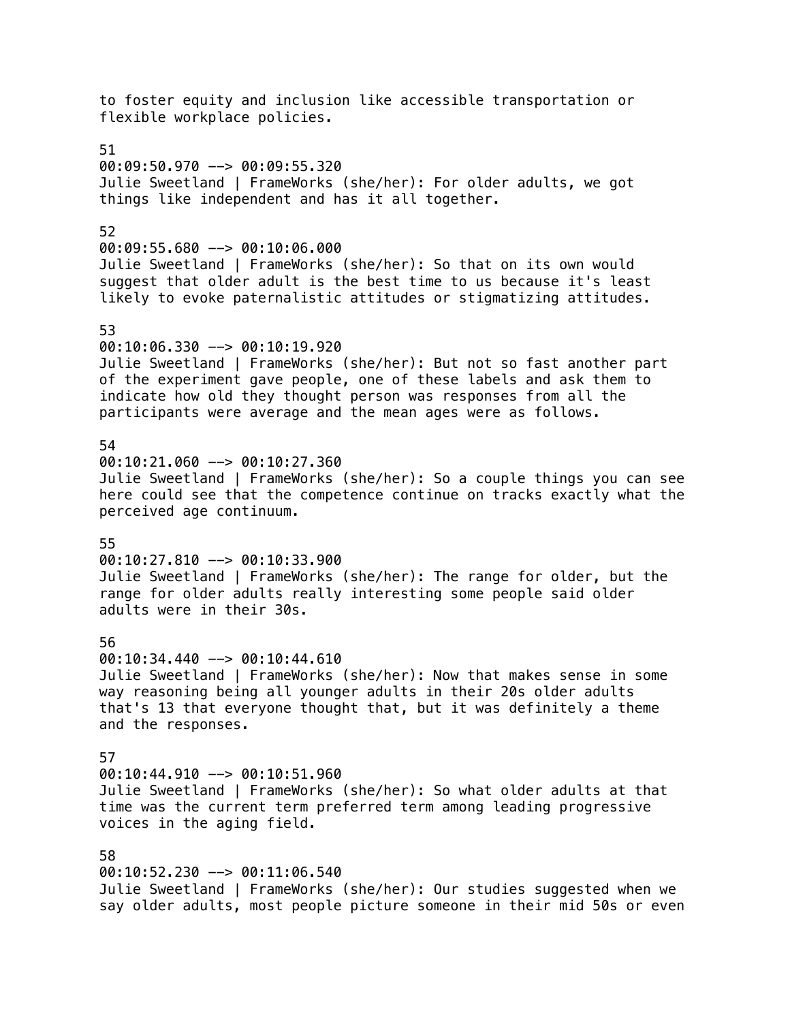to foster equity and inclusion like accessible transportation or flexible workplace policies. 51  $00:09:50.970$  -->  $00:09:55.320$ Julie Sweetland | FrameWorks (she/her): For older adults, we got things like independent and has it all together. 52 00:09:55.680 --> 00:10:06.000 Julie Sweetland | FrameWorks (she/her): So that on its own would suggest that older adult is the best time to us because it's least likely to evoke paternalistic attitudes or stigmatizing attitudes. 53 00:10:06.330 --> 00:10:19.920 Julie Sweetland | FrameWorks (she/her): But not so fast another part of the experiment gave people, one of these labels and ask them to indicate how old they thought person was responses from all the participants were average and the mean ages were as follows. 54 00:10:21.060 --> 00:10:27.360 Julie Sweetland | FrameWorks (she/her): So a couple things you can see here could see that the competence continue on tracks exactly what the perceived age continuum. 55 00:10:27.810 --> 00:10:33.900 Julie Sweetland | FrameWorks (she/her): The range for older, but the range for older adults really interesting some people said older adults were in their 30s. 56 00:10:34.440 --> 00:10:44.610 Julie Sweetland | FrameWorks (she/her): Now that makes sense in some way reasoning being all younger adults in their 20s older adults that's 13 that everyone thought that, but it was definitely a theme and the responses. 57 00:10:44.910 --> 00:10:51.960 Julie Sweetland | FrameWorks (she/her): So what older adults at that time was the current term preferred term among leading progressive voices in the aging field. 58 00:10:52.230 --> 00:11:06.540 Julie Sweetland | FrameWorks (she/her): Our studies suggested when we say older adults, most people picture someone in their mid 50s or even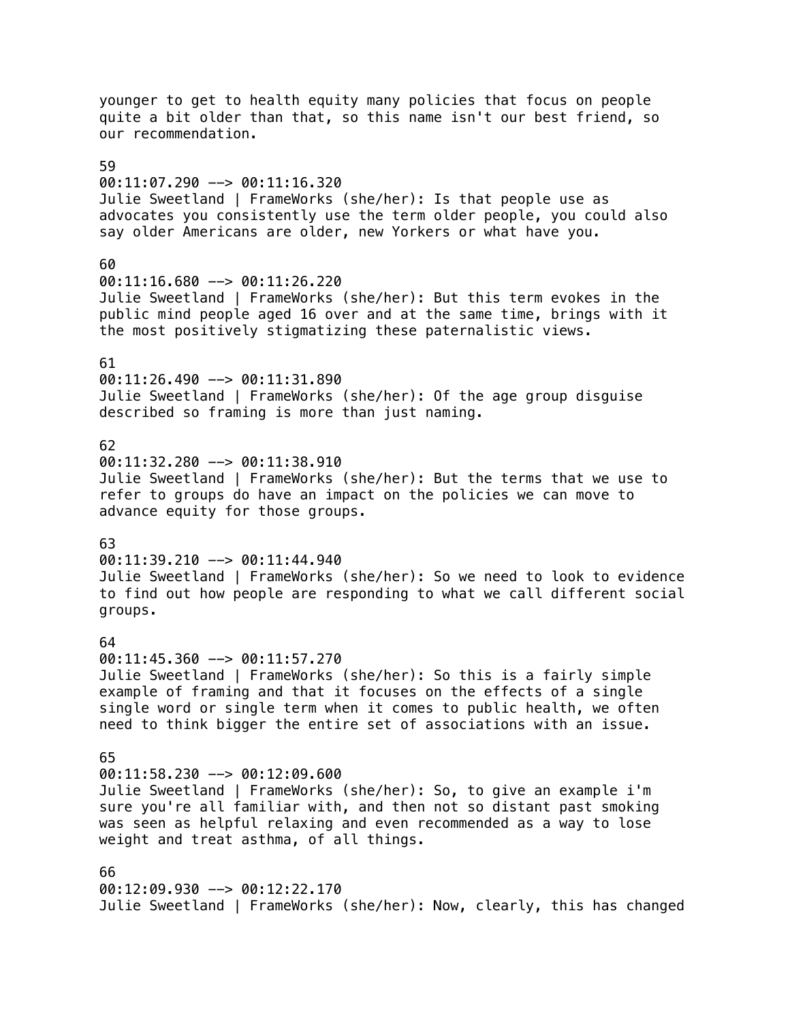younger to get to health equity many policies that focus on people quite a bit older than that, so this name isn't our best friend, so our recommendation. 59 00:11:07.290 --> 00:11:16.320 Julie Sweetland | FrameWorks (she/her): Is that people use as advocates you consistently use the term older people, you could also say older Americans are older, new Yorkers or what have you. 60 00:11:16.680 --> 00:11:26.220 Julie Sweetland | FrameWorks (she/her): But this term evokes in the public mind people aged 16 over and at the same time, brings with it the most positively stigmatizing these paternalistic views. 61 00:11:26.490 --> 00:11:31.890 Julie Sweetland | FrameWorks (she/her): Of the age group disguise described so framing is more than just naming. 62 00:11:32.280 --> 00:11:38.910 Julie Sweetland | FrameWorks (she/her): But the terms that we use to refer to groups do have an impact on the policies we can move to advance equity for those groups. 63 00:11:39.210 --> 00:11:44.940 Julie Sweetland | FrameWorks (she/her): So we need to look to evidence to find out how people are responding to what we call different social groups. 64 00:11:45.360 --> 00:11:57.270 Julie Sweetland | FrameWorks (she/her): So this is a fairly simple example of framing and that it focuses on the effects of a single single word or single term when it comes to public health, we often need to think bigger the entire set of associations with an issue. 65 00:11:58.230 --> 00:12:09.600 Julie Sweetland | FrameWorks (she/her): So, to give an example i'm sure you're all familiar with, and then not so distant past smoking was seen as helpful relaxing and even recommended as a way to lose weight and treat asthma, of all things. 66 00:12:09.930 --> 00:12:22.170 Julie Sweetland | FrameWorks (she/her): Now, clearly, this has changed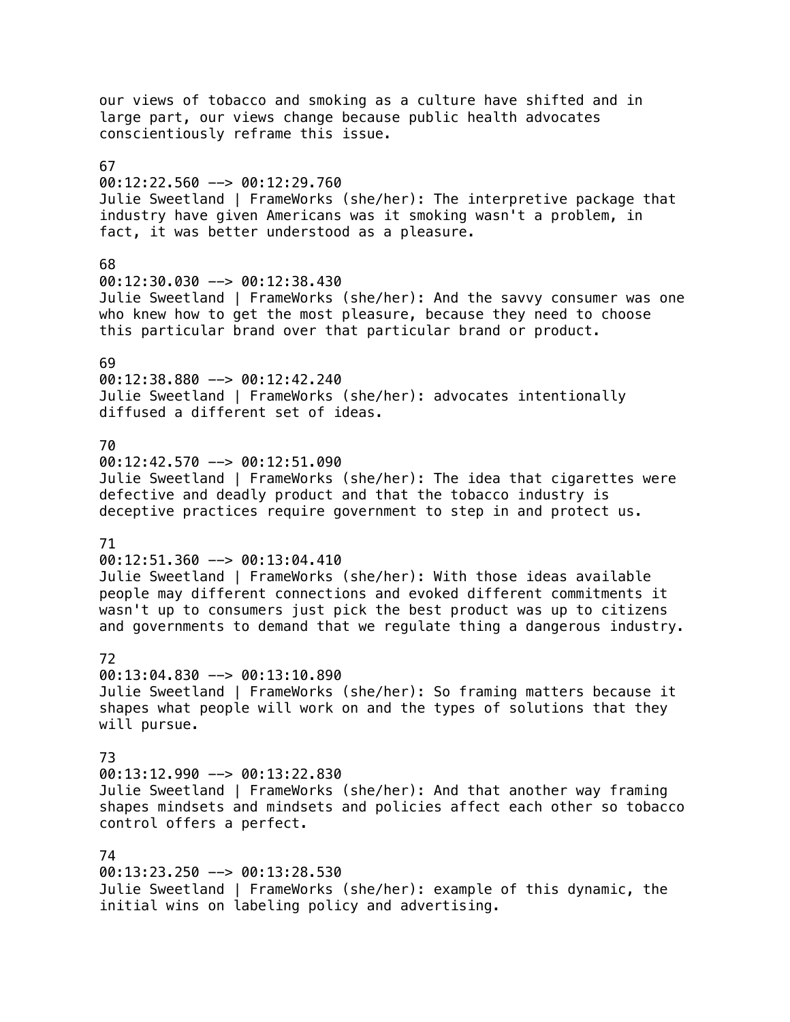our views of tobacco and smoking as a culture have shifted and in large part, our views change because public health advocates conscientiously reframe this issue. 67 00:12:22.560 --> 00:12:29.760 Julie Sweetland | FrameWorks (she/her): The interpretive package that industry have given Americans was it smoking wasn't a problem, in fact, it was better understood as a pleasure. 68 00:12:30.030 --> 00:12:38.430 Julie Sweetland | FrameWorks (she/her): And the savvy consumer was one who knew how to get the most pleasure, because they need to choose this particular brand over that particular brand or product. 69 00:12:38.880 --> 00:12:42.240 Julie Sweetland | FrameWorks (she/her): advocates intentionally diffused a different set of ideas. 70 00:12:42.570 --> 00:12:51.090 Julie Sweetland | FrameWorks (she/her): The idea that cigarettes were defective and deadly product and that the tobacco industry is deceptive practices require government to step in and protect us. 71 00:12:51.360 --> 00:13:04.410 Julie Sweetland | FrameWorks (she/her): With those ideas available people may different connections and evoked different commitments it wasn't up to consumers just pick the best product was up to citizens and governments to demand that we regulate thing a dangerous industry. 72 00:13:04.830 --> 00:13:10.890 Julie Sweetland | FrameWorks (she/her): So framing matters because it shapes what people will work on and the types of solutions that they will pursue. 73 00:13:12.990 --> 00:13:22.830 Julie Sweetland | FrameWorks (she/her): And that another way framing shapes mindsets and mindsets and policies affect each other so tobacco control offers a perfect. 74 00:13:23.250 --> 00:13:28.530 Julie Sweetland | FrameWorks (she/her): example of this dynamic, the initial wins on labeling policy and advertising.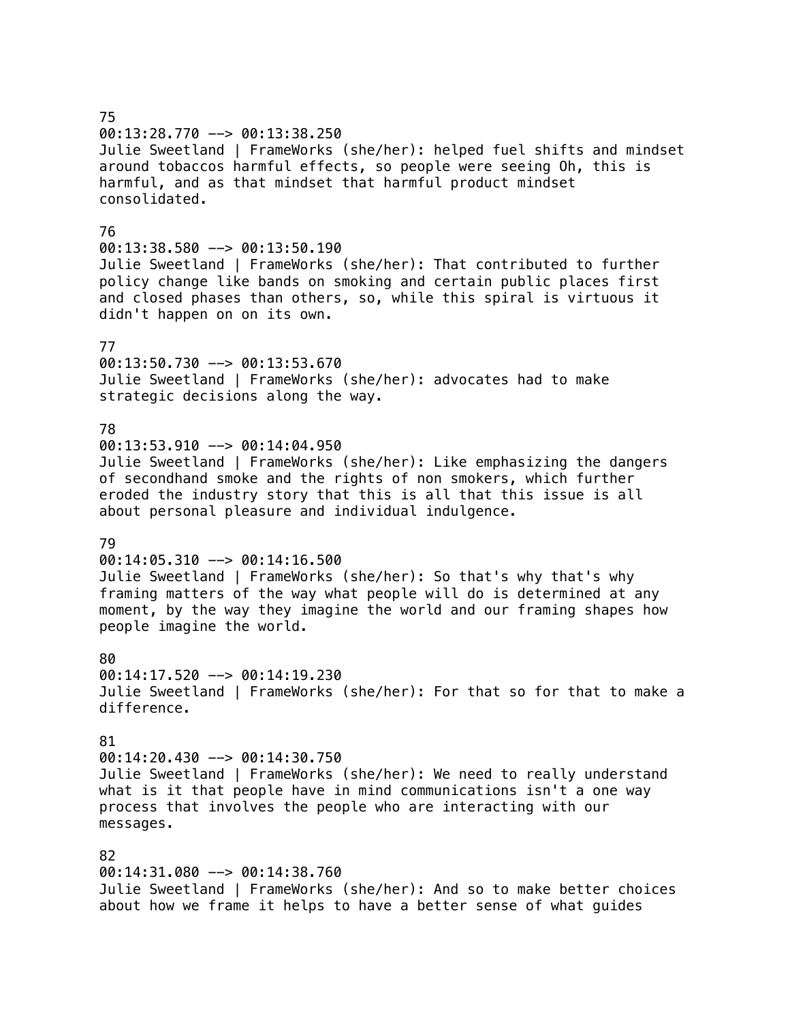75 00:13:28.770 --> 00:13:38.250 Julie Sweetland | FrameWorks (she/her): helped fuel shifts and mindset around tobaccos harmful effects, so people were seeing Oh, this is harmful, and as that mindset that harmful product mindset consolidated. 76 00:13:38.580 --> 00:13:50.190 Julie Sweetland | FrameWorks (she/her): That contributed to further policy change like bands on smoking and certain public places first and closed phases than others, so, while this spiral is virtuous it didn't happen on on its own. 77 00:13:50.730 --> 00:13:53.670 Julie Sweetland | FrameWorks (she/her): advocates had to make strategic decisions along the way. 78  $00:13:53.910$  -->  $00:14:04.950$ Julie Sweetland | FrameWorks (she/her): Like emphasizing the dangers of secondhand smoke and the rights of non smokers, which further eroded the industry story that this is all that this issue is all about personal pleasure and individual indulgence. 79 00:14:05.310 --> 00:14:16.500 Julie Sweetland | FrameWorks (she/her): So that's why that's why framing matters of the way what people will do is determined at any moment, by the way they imagine the world and our framing shapes how people imagine the world. 80 00:14:17.520 --> 00:14:19.230 Julie Sweetland | FrameWorks (she/her): For that so for that to make a difference. 81 00:14:20.430 --> 00:14:30.750 Julie Sweetland | FrameWorks (she/her): We need to really understand what is it that people have in mind communications isn't a one way process that involves the people who are interacting with our messages. 82 00:14:31.080 --> 00:14:38.760 Julie Sweetland | FrameWorks (she/her): And so to make better choices about how we frame it helps to have a better sense of what guides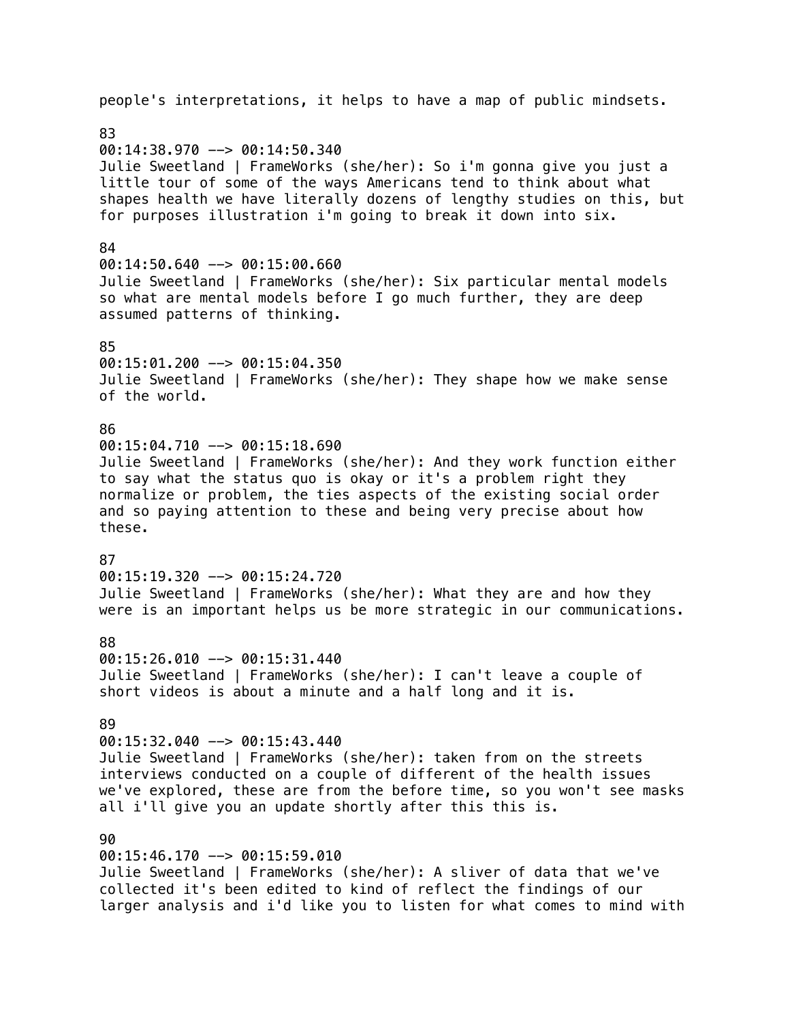people's interpretations, it helps to have a map of public mindsets. 83 00:14:38.970 --> 00:14:50.340 Julie Sweetland | FrameWorks (she/her): So i'm gonna give you just a little tour of some of the ways Americans tend to think about what shapes health we have literally dozens of lengthy studies on this, but for purposes illustration i'm going to break it down into six. 84  $00:14:50.640$  -->  $00:15:00.660$ Julie Sweetland | FrameWorks (she/her): Six particular mental models so what are mental models before I go much further, they are deep assumed patterns of thinking. 85 00:15:01.200 --> 00:15:04.350 Julie Sweetland | FrameWorks (she/her): They shape how we make sense of the world. 86  $00:15:04.710$  -->  $00:15:18.690$ Julie Sweetland | FrameWorks (she/her): And they work function either to say what the status quo is okay or it's a problem right they normalize or problem, the ties aspects of the existing social order and so paying attention to these and being very precise about how these. 87 00:15:19.320 --> 00:15:24.720 Julie Sweetland | FrameWorks (she/her): What they are and how they were is an important helps us be more strategic in our communications. 88 00:15:26.010 --> 00:15:31.440 Julie Sweetland | FrameWorks (she/her): I can't leave a couple of short videos is about a minute and a half long and it is. 89 00:15:32.040 --> 00:15:43.440 Julie Sweetland | FrameWorks (she/her): taken from on the streets interviews conducted on a couple of different of the health issues we've explored, these are from the before time, so you won't see masks all i'll give you an update shortly after this this is. 90 00:15:46.170 --> 00:15:59.010 Julie Sweetland | FrameWorks (she/her): A sliver of data that we've collected it's been edited to kind of reflect the findings of our

larger analysis and i'd like you to listen for what comes to mind with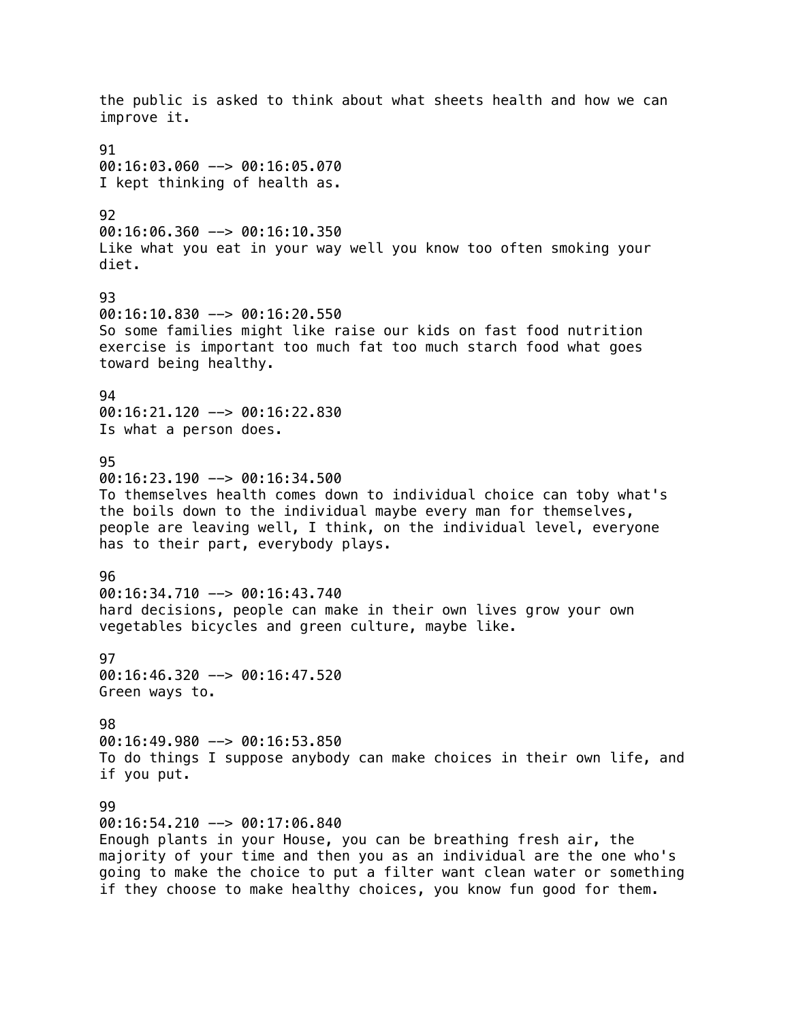the public is asked to think about what sheets health and how we can improve it. 91 00:16:03.060 --> 00:16:05.070 I kept thinking of health as. 92 00:16:06.360 --> 00:16:10.350 Like what you eat in your way well you know too often smoking your diet. 93 00:16:10.830 --> 00:16:20.550 So some families might like raise our kids on fast food nutrition exercise is important too much fat too much starch food what goes toward being healthy. 94  $00:16:21.120$  -->  $00:16:22.830$ Is what a person does. 95  $00:16:23.190$  -->  $00:16:34.500$ To themselves health comes down to individual choice can toby what's the boils down to the individual maybe every man for themselves, people are leaving well, I think, on the individual level, everyone has to their part, everybody plays. 96 00:16:34.710 --> 00:16:43.740 hard decisions, people can make in their own lives grow your own vegetables bicycles and green culture, maybe like. 97 00:16:46.320 --> 00:16:47.520 Green ways to. 98 00:16:49.980 --> 00:16:53.850 To do things I suppose anybody can make choices in their own life, and if you put. 99 00:16:54.210 --> 00:17:06.840 Enough plants in your House, you can be breathing fresh air, the majority of your time and then you as an individual are the one who's going to make the choice to put a filter want clean water or something if they choose to make healthy choices, you know fun good for them.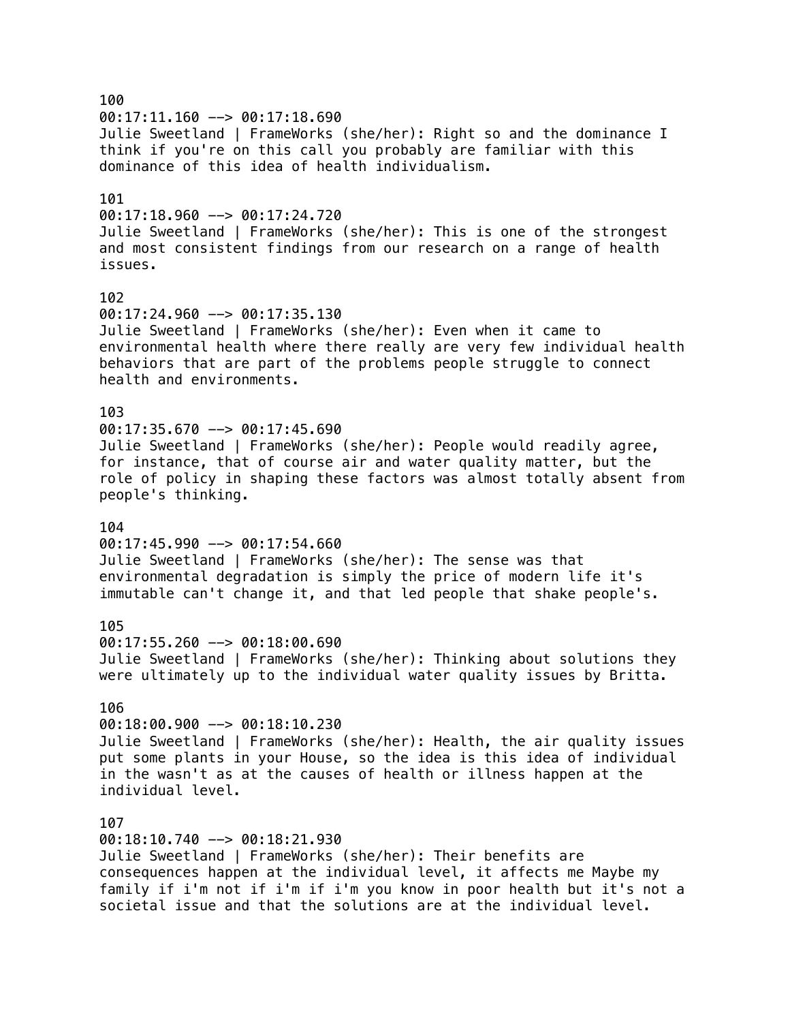100 00:17:11.160 --> 00:17:18.690 Julie Sweetland | FrameWorks (she/her): Right so and the dominance I think if you're on this call you probably are familiar with this dominance of this idea of health individualism. 101  $00:17:18.960$  -->  $00:17:24.720$ Julie Sweetland | FrameWorks (she/her): This is one of the strongest and most consistent findings from our research on a range of health issues. 102 00:17:24.960 --> 00:17:35.130 Julie Sweetland | FrameWorks (she/her): Even when it came to environmental health where there really are very few individual health behaviors that are part of the problems people struggle to connect health and environments. 103  $00:17:35.670$  -->  $00:17:45.690$ Julie Sweetland | FrameWorks (she/her): People would readily agree, for instance, that of course air and water quality matter, but the role of policy in shaping these factors was almost totally absent from people's thinking. 104  $00:17:45.990$  -->  $00:17:54.660$ Julie Sweetland | FrameWorks (she/her): The sense was that environmental degradation is simply the price of modern life it's immutable can't change it, and that led people that shake people's. 105 00:17:55.260 --> 00:18:00.690 Julie Sweetland | FrameWorks (she/her): Thinking about solutions they were ultimately up to the individual water quality issues by Britta. 106 00:18:00.900 --> 00:18:10.230 Julie Sweetland | FrameWorks (she/her): Health, the air quality issues put some plants in your House, so the idea is this idea of individual in the wasn't as at the causes of health or illness happen at the individual level. 107 00:18:10.740 --> 00:18:21.930 Julie Sweetland | FrameWorks (she/her): Their benefits are consequences happen at the individual level, it affects me Maybe my family if i'm not if i'm if i'm you know in poor health but it's not a societal issue and that the solutions are at the individual level.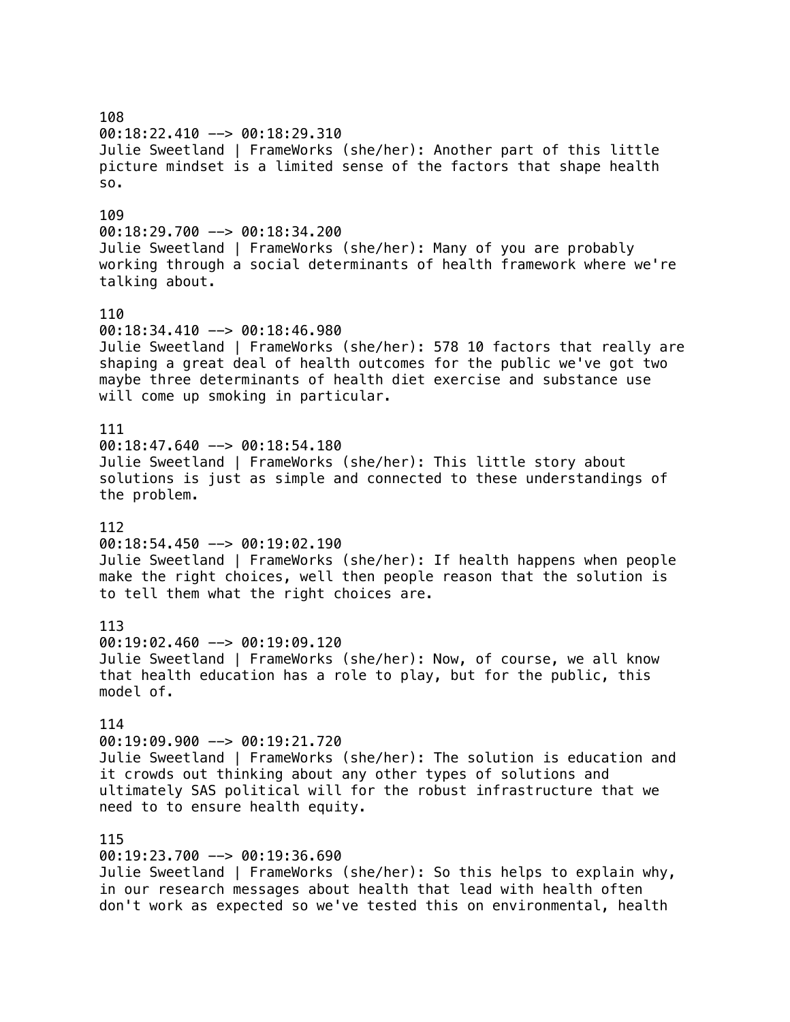108 00:18:22.410 --> 00:18:29.310 Julie Sweetland | FrameWorks (she/her): Another part of this little picture mindset is a limited sense of the factors that shape health so. 109 00:18:29.700 --> 00:18:34.200 Julie Sweetland | FrameWorks (she/her): Many of you are probably working through a social determinants of health framework where we're talking about. 110  $00:18:34.410$  -->  $00:18:46.980$ Julie Sweetland | FrameWorks (she/her): 578 10 factors that really are shaping a great deal of health outcomes for the public we've got two maybe three determinants of health diet exercise and substance use will come up smoking in particular. 111  $00:18:47.640$  -->  $00:18:54.180$ Julie Sweetland | FrameWorks (she/her): This little story about solutions is just as simple and connected to these understandings of the problem. 112  $00:18:54.450$  -->  $00:19:02.190$ Julie Sweetland | FrameWorks (she/her): If health happens when people make the right choices, well then people reason that the solution is to tell them what the right choices are. 113 00:19:02.460 --> 00:19:09.120 Julie Sweetland | FrameWorks (she/her): Now, of course, we all know that health education has a role to play, but for the public, this model of. 114 00:19:09.900 --> 00:19:21.720 Julie Sweetland | FrameWorks (she/her): The solution is education and it crowds out thinking about any other types of solutions and ultimately SAS political will for the robust infrastructure that we need to to ensure health equity. 115 00:19:23.700 --> 00:19:36.690 Julie Sweetland | FrameWorks (she/her): So this helps to explain why, in our research messages about health that lead with health often don't work as expected so we've tested this on environmental, health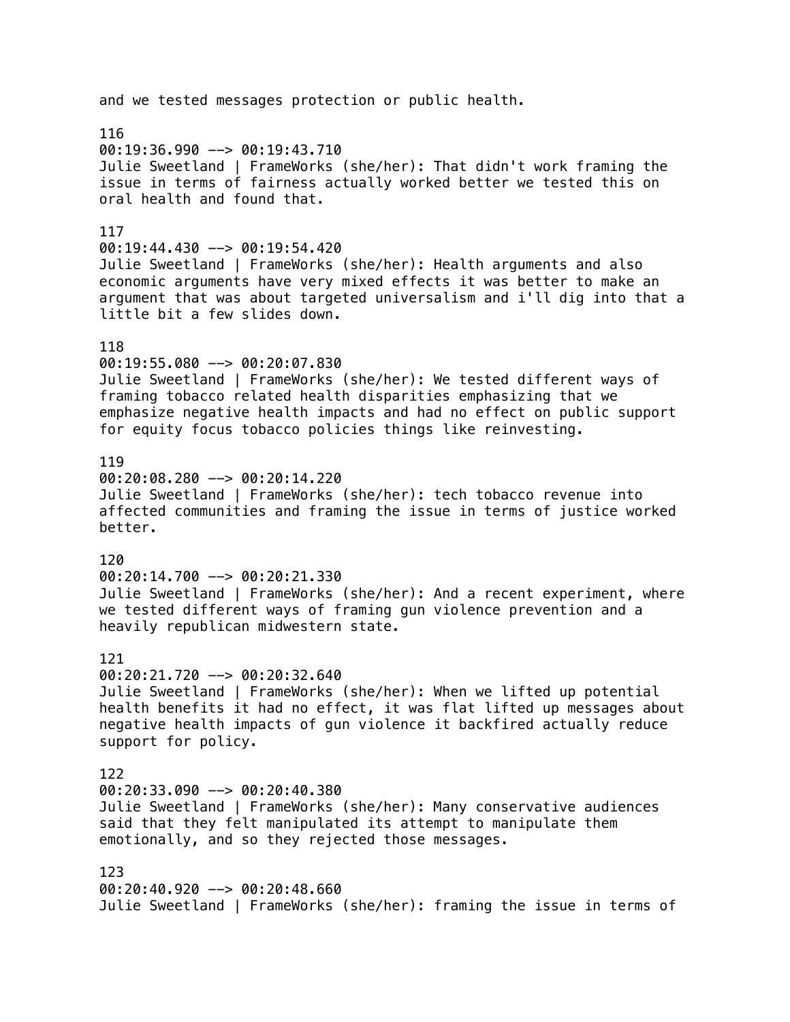# and we tested messages protection or public health. 116 00:19:36.990 --> 00:19:43.710 Julie Sweetland | FrameWorks (she/her): That didn't work framing the issue in terms of fairness actually worked better we tested this on oral health and found that. 117 00:19:44.430 --> 00:19:54.420 Julie Sweetland | FrameWorks (she/her): Health arguments and also economic arguments have very mixed effects it was better to make an argument that was about targeted universalism and i'll dig into that a little bit a few slides down. 118 00:19:55.080 --> 00:20:07.830 Julie Sweetland | FrameWorks (she/her): We tested different ways of framing tobacco related health disparities emphasizing that we emphasize negative health impacts and had no effect on public support for equity focus tobacco policies things like reinvesting. 119 00:20:08.280 --> 00:20:14.220 Julie Sweetland | FrameWorks (she/her): tech tobacco revenue into affected communities and framing the issue in terms of justice worked better. 120  $00:20:14.700$  -->  $00:20:21.330$ Julie Sweetland | FrameWorks (she/her): And a recent experiment, where we tested different ways of framing gun violence prevention and a heavily republican midwestern state. 121 00:20:21.720 --> 00:20:32.640 Julie Sweetland | FrameWorks (she/her): When we lifted up potential health benefits it had no effect, it was flat lifted up messages about negative health impacts of gun violence it backfired actually reduce support for policy. 122  $00:20:33.090$  -->  $00:20:40.380$ Julie Sweetland | FrameWorks (she/her): Many conservative audiences said that they felt manipulated its attempt to manipulate them emotionally, and so they rejected those messages. 123 00:20:40.920 --> 00:20:48.660 Julie Sweetland | FrameWorks (she/her): framing the issue in terms of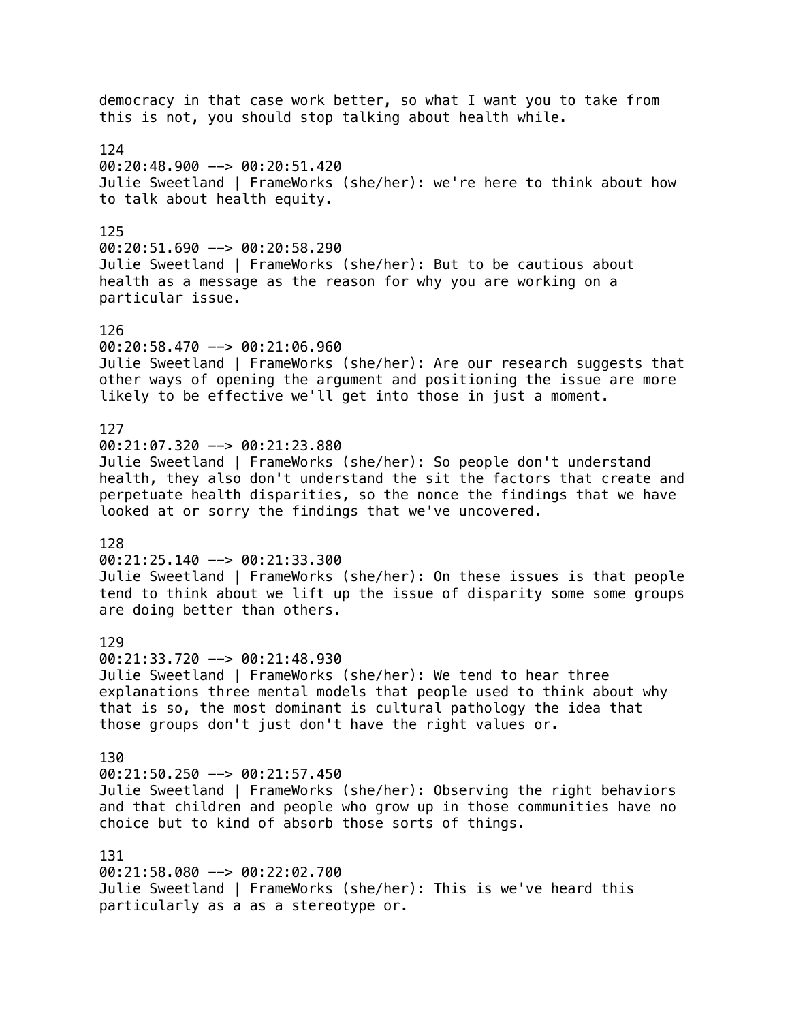democracy in that case work better, so what I want you to take from this is not, you should stop talking about health while. 124  $00:20:48.900$  -->  $00:20:51.420$ Julie Sweetland | FrameWorks (she/her): we're here to think about how to talk about health equity. 125 00:20:51.690 --> 00:20:58.290 Julie Sweetland | FrameWorks (she/her): But to be cautious about health as a message as the reason for why you are working on a particular issue. 126 00:20:58.470 --> 00:21:06.960 Julie Sweetland | FrameWorks (she/her): Are our research suggests that other ways of opening the argument and positioning the issue are more likely to be effective we'll get into those in just a moment. 127 00:21:07.320 --> 00:21:23.880 Julie Sweetland | FrameWorks (she/her): So people don't understand health, they also don't understand the sit the factors that create and perpetuate health disparities, so the nonce the findings that we have looked at or sorry the findings that we've uncovered. 128 00:21:25.140 --> 00:21:33.300 Julie Sweetland | FrameWorks (she/her): On these issues is that people tend to think about we lift up the issue of disparity some some groups are doing better than others. 129 00:21:33.720 --> 00:21:48.930 Julie Sweetland | FrameWorks (she/her): We tend to hear three explanations three mental models that people used to think about why that is so, the most dominant is cultural pathology the idea that those groups don't just don't have the right values or. 130 00:21:50.250 --> 00:21:57.450 Julie Sweetland | FrameWorks (she/her): Observing the right behaviors and that children and people who grow up in those communities have no choice but to kind of absorb those sorts of things. 131 00:21:58.080 --> 00:22:02.700 Julie Sweetland | FrameWorks (she/her): This is we've heard this particularly as a as a stereotype or.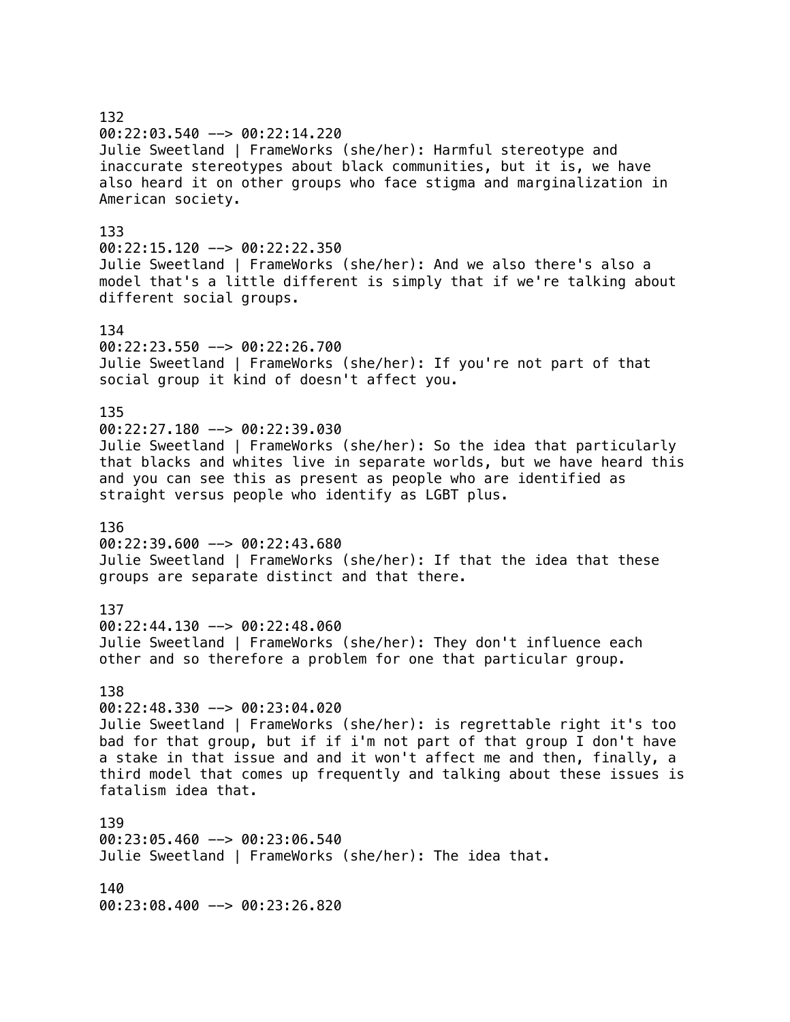# 132 00:22:03.540 --> 00:22:14.220 Julie Sweetland | FrameWorks (she/her): Harmful stereotype and inaccurate stereotypes about black communities, but it is, we have also heard it on other groups who face stigma and marginalization in American society. 133 00:22:15.120 --> 00:22:22.350 Julie Sweetland | FrameWorks (she/her): And we also there's also a model that's a little different is simply that if we're talking about different social groups. 134 00:22:23.550 --> 00:22:26.700 Julie Sweetland | FrameWorks (she/her): If you're not part of that social group it kind of doesn't affect you. 135 00:22:27.180 --> 00:22:39.030 Julie Sweetland | FrameWorks (she/her): So the idea that particularly that blacks and whites live in separate worlds, but we have heard this and you can see this as present as people who are identified as straight versus people who identify as LGBT plus. 136  $00:22:39.600$  -->  $00:22:43.680$ Julie Sweetland | FrameWorks (she/her): If that the idea that these groups are separate distinct and that there. 137 00:22:44.130 --> 00:22:48.060 Julie Sweetland | FrameWorks (she/her): They don't influence each other and so therefore a problem for one that particular group. 138 00:22:48.330 --> 00:23:04.020 Julie Sweetland | FrameWorks (she/her): is regrettable right it's too bad for that group, but if if i'm not part of that group I don't have a stake in that issue and and it won't affect me and then, finally, a third model that comes up frequently and talking about these issues is fatalism idea that. 139 00:23:05.460 --> 00:23:06.540 Julie Sweetland | FrameWorks (she/her): The idea that. 140 00:23:08.400 --> 00:23:26.820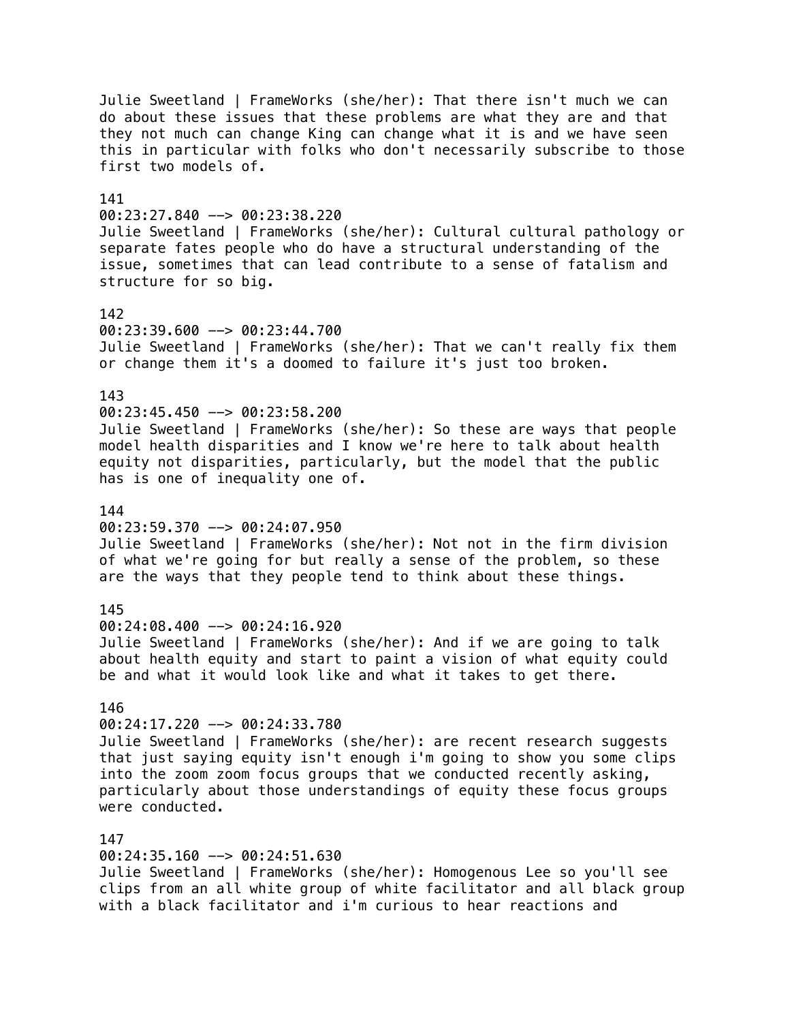Julie Sweetland | FrameWorks (she/her): That there isn't much we can do about these issues that these problems are what they are and that they not much can change King can change what it is and we have seen this in particular with folks who don't necessarily subscribe to those first two models of. 141  $00:23:27.840$  -->  $00:23:38.220$ Julie Sweetland | FrameWorks (she/her): Cultural cultural pathology or separate fates people who do have a structural understanding of the issue, sometimes that can lead contribute to a sense of fatalism and structure for so big. 142 00:23:39.600 --> 00:23:44.700 Julie Sweetland | FrameWorks (she/her): That we can't really fix them or change them it's a doomed to failure it's just too broken. 143 00:23:45.450 --> 00:23:58.200 Julie Sweetland | FrameWorks (she/her): So these are ways that people model health disparities and I know we're here to talk about health equity not disparities, particularly, but the model that the public has is one of inequality one of. 144 00:23:59.370 --> 00:24:07.950 Julie Sweetland | FrameWorks (she/her): Not not in the firm division of what we're going for but really a sense of the problem, so these are the ways that they people tend to think about these things. 145 00:24:08.400 --> 00:24:16.920 Julie Sweetland | FrameWorks (she/her): And if we are going to talk about health equity and start to paint a vision of what equity could be and what it would look like and what it takes to get there. 146 00:24:17.220 --> 00:24:33.780 Julie Sweetland | FrameWorks (she/her): are recent research suggests that just saying equity isn't enough i'm going to show you some clips into the zoom zoom focus groups that we conducted recently asking, particularly about those understandings of equity these focus groups were conducted. 147 00:24:35.160 --> 00:24:51.630 Julie Sweetland | FrameWorks (she/her): Homogenous Lee so you'll see clips from an all white group of white facilitator and all black group

with a black facilitator and i'm curious to hear reactions and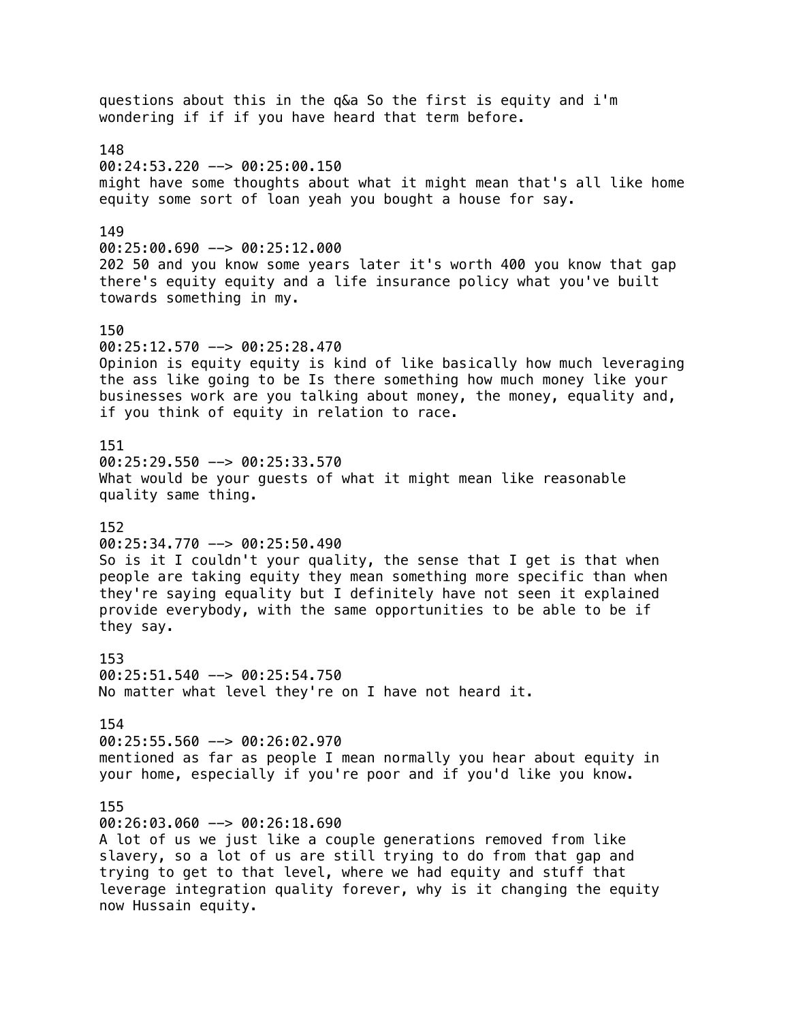questions about this in the q&a So the first is equity and i'm wondering if if if you have heard that term before. 148 00:24:53.220 --> 00:25:00.150 might have some thoughts about what it might mean that's all like home equity some sort of loan yeah you bought a house for say. 149 00:25:00.690 --> 00:25:12.000 202 50 and you know some years later it's worth 400 you know that gap there's equity equity and a life insurance policy what you've built towards something in my. 150 00:25:12.570 --> 00:25:28.470 Opinion is equity equity is kind of like basically how much leveraging the ass like going to be Is there something how much money like your businesses work are you talking about money, the money, equality and, if you think of equity in relation to race. 151 00:25:29.550 --> 00:25:33.570 What would be your guests of what it might mean like reasonable quality same thing. 152 00:25:34.770 --> 00:25:50.490 So is it I couldn't your quality, the sense that I get is that when people are taking equity they mean something more specific than when they're saying equality but I definitely have not seen it explained provide everybody, with the same opportunities to be able to be if they say. 153 00:25:51.540 --> 00:25:54.750 No matter what level they're on I have not heard it. 154 00:25:55.560 --> 00:26:02.970 mentioned as far as people I mean normally you hear about equity in your home, especially if you're poor and if you'd like you know. 155 00:26:03.060 --> 00:26:18.690 A lot of us we just like a couple generations removed from like slavery, so a lot of us are still trying to do from that gap and trying to get to that level, where we had equity and stuff that leverage integration quality forever, why is it changing the equity now Hussain equity.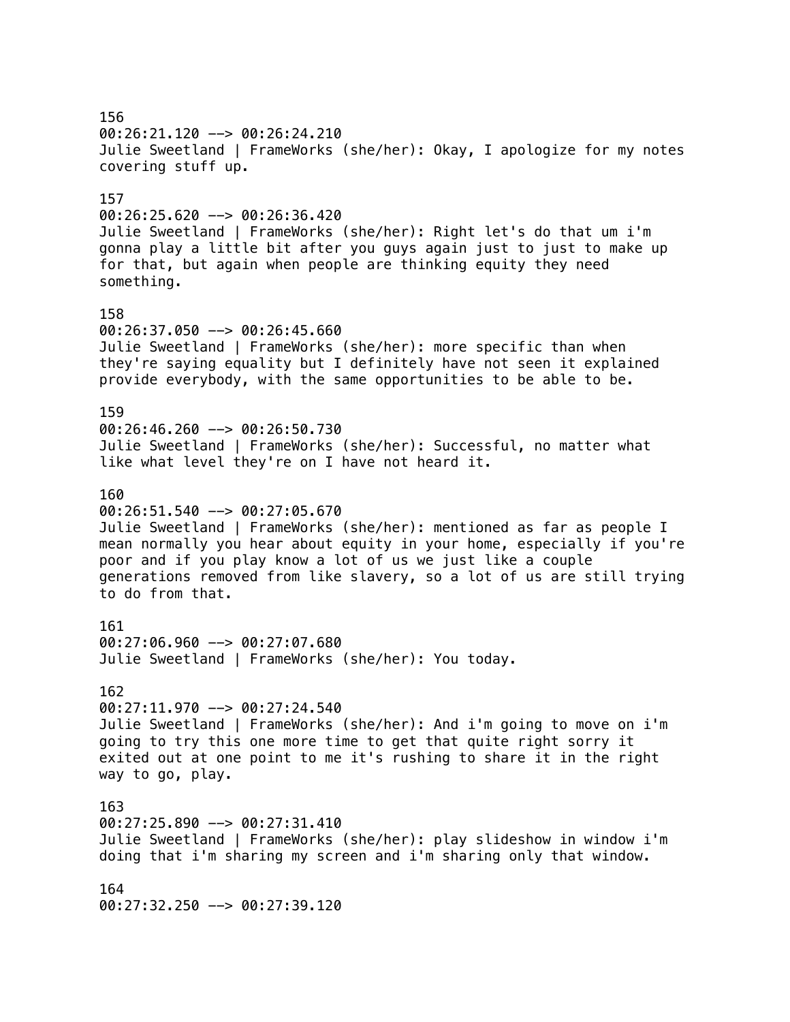156 00:26:21.120 --> 00:26:24.210 Julie Sweetland | FrameWorks (she/her): Okay, I apologize for my notes covering stuff up. 157 00:26:25.620 --> 00:26:36.420 Julie Sweetland | FrameWorks (she/her): Right let's do that um i'm gonna play a little bit after you guys again just to just to make up for that, but again when people are thinking equity they need something. 158 00:26:37.050 --> 00:26:45.660 Julie Sweetland | FrameWorks (she/her): more specific than when they're saying equality but I definitely have not seen it explained provide everybody, with the same opportunities to be able to be. 159 00:26:46.260 --> 00:26:50.730 Julie Sweetland | FrameWorks (she/her): Successful, no matter what like what level they're on I have not heard it. 160  $00:26:51.540$  -->  $00:27:05.670$ Julie Sweetland | FrameWorks (she/her): mentioned as far as people I mean normally you hear about equity in your home, especially if you're poor and if you play know a lot of us we just like a couple generations removed from like slavery, so a lot of us are still trying to do from that. 161 00:27:06.960 --> 00:27:07.680 Julie Sweetland | FrameWorks (she/her): You today. 162 00:27:11.970 --> 00:27:24.540 Julie Sweetland | FrameWorks (she/her): And i'm going to move on i'm going to try this one more time to get that quite right sorry it exited out at one point to me it's rushing to share it in the right way to go, play. 163 00:27:25.890 --> 00:27:31.410 Julie Sweetland | FrameWorks (she/her): play slideshow in window i'm doing that i'm sharing my screen and i'm sharing only that window. 164 00:27:32.250 --> 00:27:39.120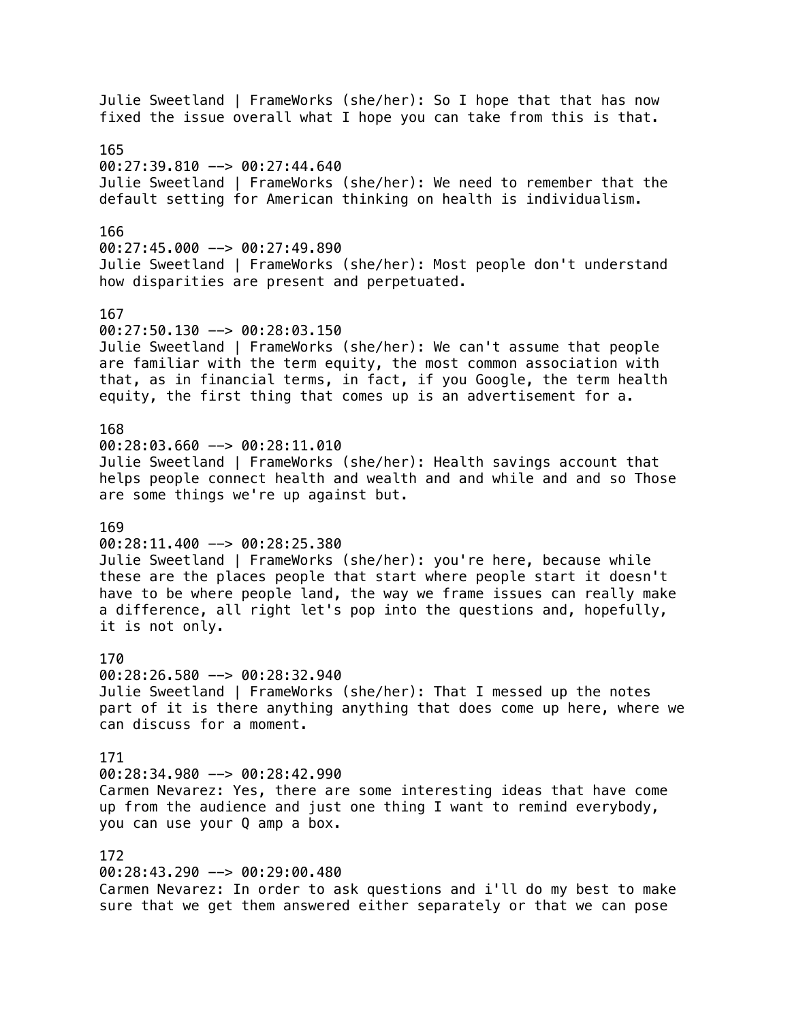Julie Sweetland | FrameWorks (she/her): So I hope that that has now fixed the issue overall what I hope you can take from this is that. 165 00:27:39.810 --> 00:27:44.640 Julie Sweetland | FrameWorks (she/her): We need to remember that the default setting for American thinking on health is individualism. 166 00:27:45.000 --> 00:27:49.890 Julie Sweetland | FrameWorks (she/her): Most people don't understand how disparities are present and perpetuated. 167  $00:27:50.130$  -->  $00:28:03.150$ Julie Sweetland | FrameWorks (she/her): We can't assume that people are familiar with the term equity, the most common association with that, as in financial terms, in fact, if you Google, the term health equity, the first thing that comes up is an advertisement for a. 168 00:28:03.660 --> 00:28:11.010 Julie Sweetland | FrameWorks (she/her): Health savings account that helps people connect health and wealth and and while and and so Those are some things we're up against but. 169 00:28:11.400 --> 00:28:25.380 Julie Sweetland | FrameWorks (she/her): you're here, because while these are the places people that start where people start it doesn't have to be where people land, the way we frame issues can really make a difference, all right let's pop into the questions and, hopefully, it is not only. 170 00:28:26.580 --> 00:28:32.940 Julie Sweetland | FrameWorks (she/her): That I messed up the notes part of it is there anything anything that does come up here, where we can discuss for a moment. 171 00:28:34.980 --> 00:28:42.990 Carmen Nevarez: Yes, there are some interesting ideas that have come up from the audience and just one thing I want to remind everybody, you can use your Q amp a box. 172 00:28:43.290 --> 00:29:00.480 Carmen Nevarez: In order to ask questions and i'll do my best to make sure that we get them answered either separately or that we can pose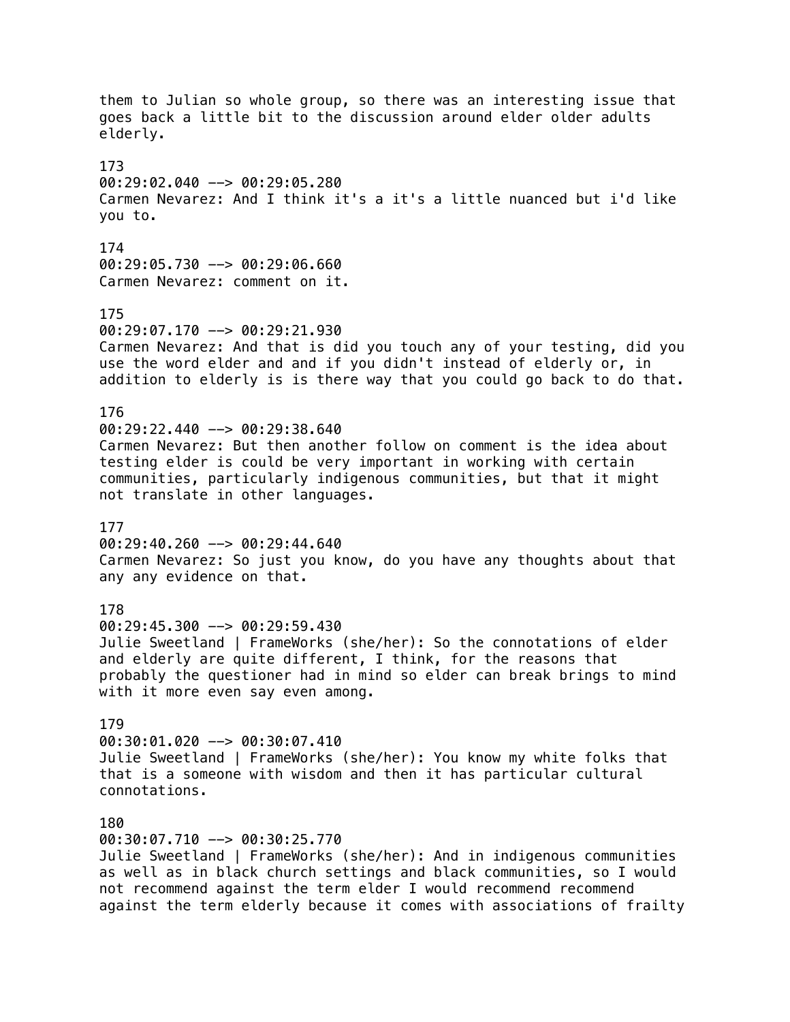them to Julian so whole group, so there was an interesting issue that goes back a little bit to the discussion around elder older adults elderly. 173 00:29:02.040 --> 00:29:05.280 Carmen Nevarez: And I think it's a it's a little nuanced but i'd like you to. 174 00:29:05.730 --> 00:29:06.660 Carmen Nevarez: comment on it. 175 00:29:07.170 --> 00:29:21.930 Carmen Nevarez: And that is did you touch any of your testing, did you use the word elder and and if you didn't instead of elderly or, in addition to elderly is is there way that you could go back to do that. 176 00:29:22.440 --> 00:29:38.640 Carmen Nevarez: But then another follow on comment is the idea about testing elder is could be very important in working with certain communities, particularly indigenous communities, but that it might not translate in other languages. 177  $00:29:40.260$  -->  $00:29:44.640$ Carmen Nevarez: So just you know, do you have any thoughts about that any any evidence on that. 178 00:29:45.300 --> 00:29:59.430 Julie Sweetland | FrameWorks (she/her): So the connotations of elder and elderly are quite different, I think, for the reasons that probably the questioner had in mind so elder can break brings to mind with it more even say even among. 179 00:30:01.020 --> 00:30:07.410 Julie Sweetland | FrameWorks (she/her): You know my white folks that that is a someone with wisdom and then it has particular cultural connotations. 180 00:30:07.710 --> 00:30:25.770 Julie Sweetland | FrameWorks (she/her): And in indigenous communities as well as in black church settings and black communities, so I would not recommend against the term elder I would recommend recommend against the term elderly because it comes with associations of frailty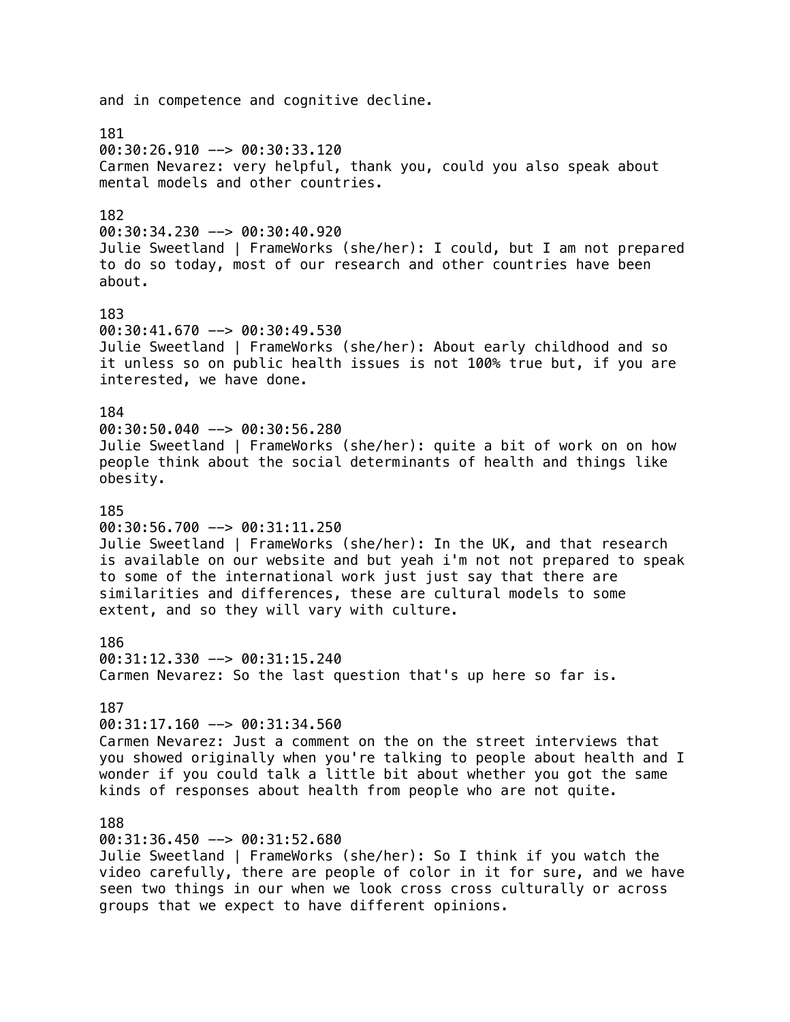and in competence and cognitive decline. 181 00:30:26.910 --> 00:30:33.120 Carmen Nevarez: very helpful, thank you, could you also speak about mental models and other countries. 182 00:30:34.230 --> 00:30:40.920 Julie Sweetland | FrameWorks (she/her): I could, but I am not prepared to do so today, most of our research and other countries have been about. 183 00:30:41.670 --> 00:30:49.530 Julie Sweetland | FrameWorks (she/her): About early childhood and so it unless so on public health issues is not 100% true but, if you are interested, we have done. 184 00:30:50.040 --> 00:30:56.280 Julie Sweetland | FrameWorks (she/her): quite a bit of work on on how people think about the social determinants of health and things like obesity. 185 00:30:56.700 --> 00:31:11.250 Julie Sweetland | FrameWorks (she/her): In the UK, and that research is available on our website and but yeah i'm not not prepared to speak to some of the international work just just say that there are similarities and differences, these are cultural models to some extent, and so they will vary with culture. 186 00:31:12.330 --> 00:31:15.240 Carmen Nevarez: So the last question that's up here so far is. 187 00:31:17.160 --> 00:31:34.560 Carmen Nevarez: Just a comment on the on the street interviews that you showed originally when you're talking to people about health and I wonder if you could talk a little bit about whether you got the same kinds of responses about health from people who are not quite. 188 00:31:36.450 --> 00:31:52.680 Julie Sweetland | FrameWorks (she/her): So I think if you watch the video carefully, there are people of color in it for sure, and we have seen two things in our when we look cross cross culturally or across groups that we expect to have different opinions.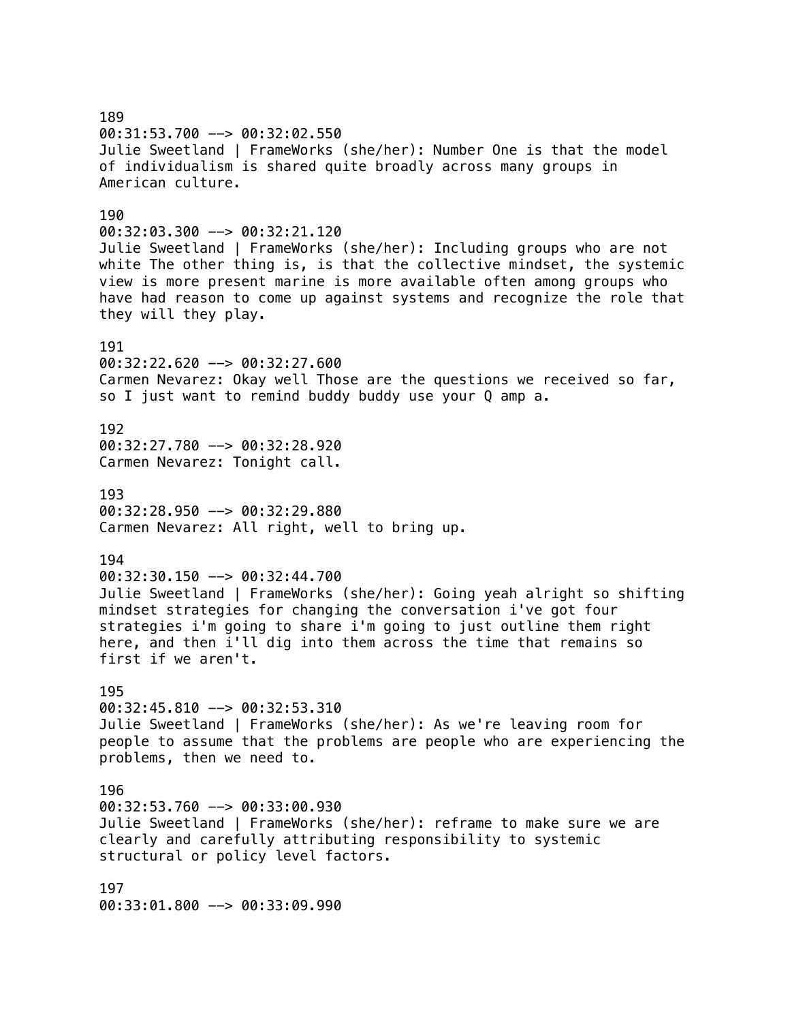189 00:31:53.700 --> 00:32:02.550 Julie Sweetland | FrameWorks (she/her): Number One is that the model of individualism is shared quite broadly across many groups in American culture. 190  $00:32:03.300$  -->  $00:32:21.120$ Julie Sweetland | FrameWorks (she/her): Including groups who are not white The other thing is, is that the collective mindset, the systemic view is more present marine is more available often among groups who have had reason to come up against systems and recognize the role that they will they play. 191 00:32:22.620 --> 00:32:27.600 Carmen Nevarez: Okay well Those are the questions we received so far, so I just want to remind buddy buddy use your Q amp a. 192 00:32:27.780 --> 00:32:28.920 Carmen Nevarez: Tonight call. 193 00:32:28.950 --> 00:32:29.880 Carmen Nevarez: All right, well to bring up. 194  $00:32:30.150$  -->  $00:32:44.700$ Julie Sweetland | FrameWorks (she/her): Going yeah alright so shifting mindset strategies for changing the conversation i've got four strategies i'm going to share i'm going to just outline them right here, and then i'll dig into them across the time that remains so first if we aren't. 195 00:32:45.810 --> 00:32:53.310 Julie Sweetland | FrameWorks (she/her): As we're leaving room for people to assume that the problems are people who are experiencing the problems, then we need to. 196 00:32:53.760 --> 00:33:00.930 Julie Sweetland | FrameWorks (she/her): reframe to make sure we are clearly and carefully attributing responsibility to systemic structural or policy level factors. 197 00:33:01.800 --> 00:33:09.990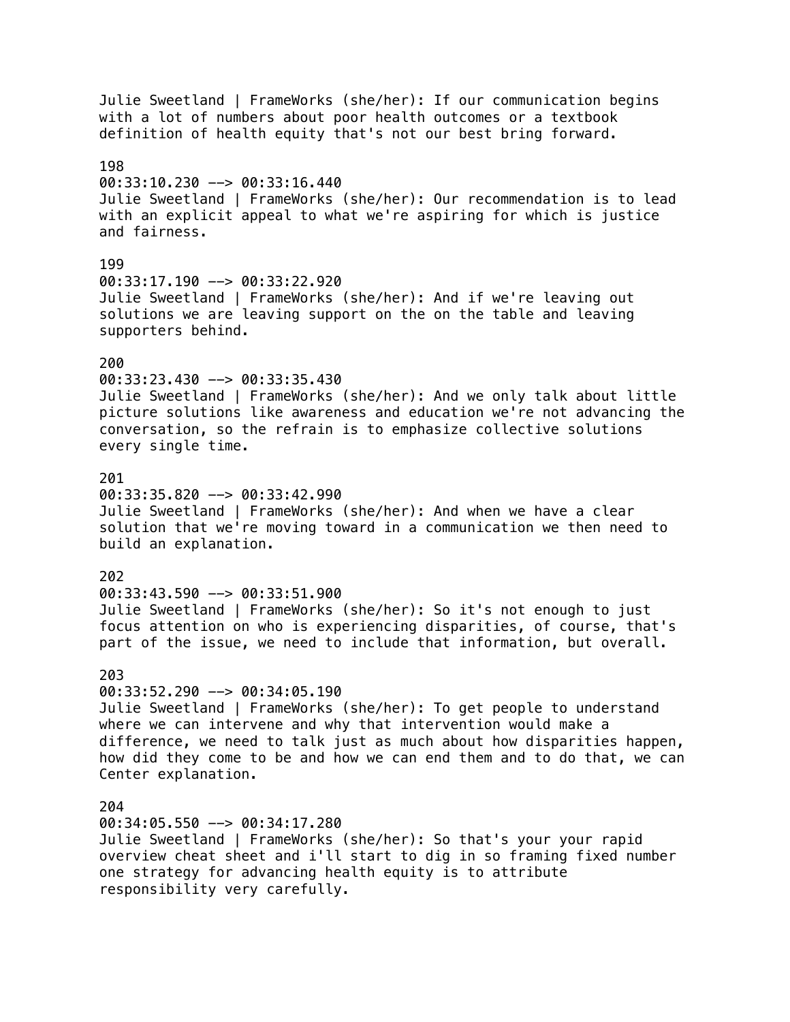Julie Sweetland | FrameWorks (she/her): If our communication begins with a lot of numbers about poor health outcomes or a textbook definition of health equity that's not our best bring forward. 198 00:33:10.230 --> 00:33:16.440 Julie Sweetland | FrameWorks (she/her): Our recommendation is to lead with an explicit appeal to what we're aspiring for which is justice and fairness. 199 00:33:17.190 --> 00:33:22.920 Julie Sweetland | FrameWorks (she/her): And if we're leaving out solutions we are leaving support on the on the table and leaving supporters behind. 200 00:33:23.430 --> 00:33:35.430 Julie Sweetland | FrameWorks (she/her): And we only talk about little picture solutions like awareness and education we're not advancing the conversation, so the refrain is to emphasize collective solutions every single time. 201 00:33:35.820 --> 00:33:42.990 Julie Sweetland | FrameWorks (she/her): And when we have a clear solution that we're moving toward in a communication we then need to build an explanation. 202 00:33:43.590 --> 00:33:51.900 Julie Sweetland | FrameWorks (she/her): So it's not enough to just focus attention on who is experiencing disparities, of course, that's part of the issue, we need to include that information, but overall. 203  $00:33:52.290$  -->  $00:34:05.190$ Julie Sweetland | FrameWorks (she/her): To get people to understand where we can intervene and why that intervention would make a difference, we need to talk just as much about how disparities happen, how did they come to be and how we can end them and to do that, we can Center explanation. 204 00:34:05.550 --> 00:34:17.280 Julie Sweetland | FrameWorks (she/her): So that's your your rapid overview cheat sheet and i'll start to dig in so framing fixed number one strategy for advancing health equity is to attribute responsibility very carefully.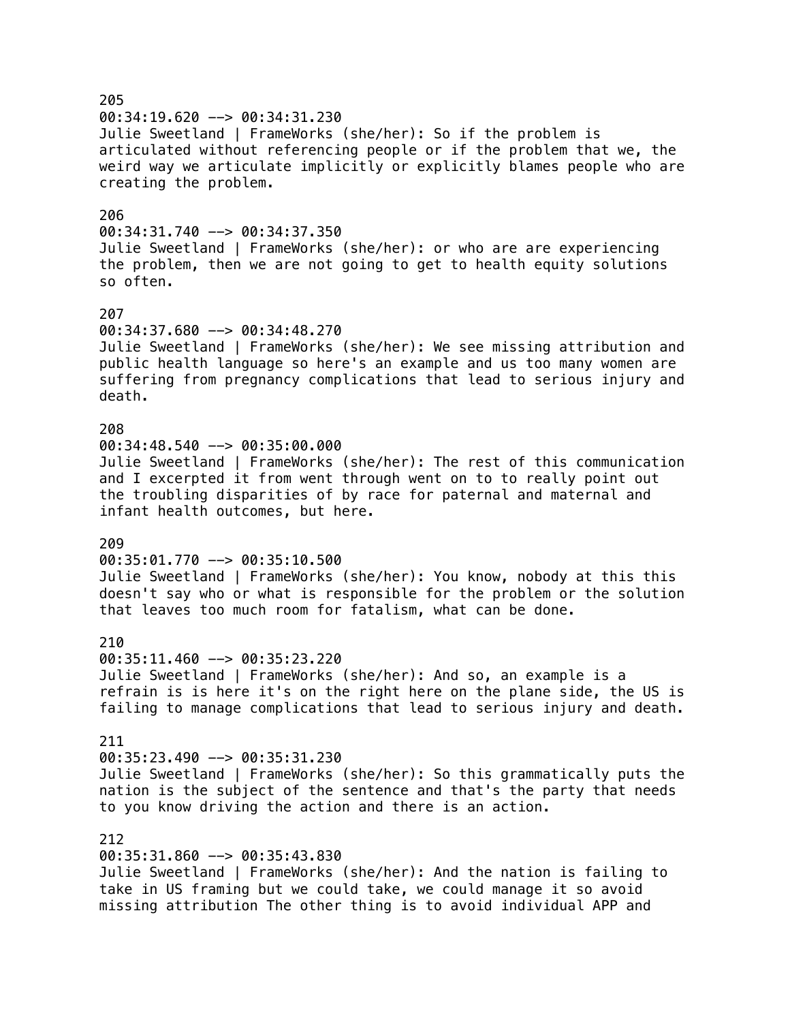205 00:34:19.620 --> 00:34:31.230 Julie Sweetland | FrameWorks (she/her): So if the problem is articulated without referencing people or if the problem that we, the weird way we articulate implicitly or explicitly blames people who are creating the problem. 206  $00:34:31.740$  -->  $00:34:37.350$ Julie Sweetland | FrameWorks (she/her): or who are are experiencing the problem, then we are not going to get to health equity solutions so often. 207 00:34:37.680 --> 00:34:48.270 Julie Sweetland | FrameWorks (she/her): We see missing attribution and public health language so here's an example and us too many women are suffering from pregnancy complications that lead to serious injury and death. 208 00:34:48.540 --> 00:35:00.000 Julie Sweetland | FrameWorks (she/her): The rest of this communication and I excerpted it from went through went on to to really point out the troubling disparities of by race for paternal and maternal and infant health outcomes, but here. 209 00:35:01.770 --> 00:35:10.500 Julie Sweetland | FrameWorks (she/her): You know, nobody at this this doesn't say who or what is responsible for the problem or the solution that leaves too much room for fatalism, what can be done. 210 00:35:11.460 --> 00:35:23.220 Julie Sweetland | FrameWorks (she/her): And so, an example is a refrain is is here it's on the right here on the plane side, the US is failing to manage complications that lead to serious injury and death. 211 00:35:23.490 --> 00:35:31.230 Julie Sweetland | FrameWorks (she/her): So this grammatically puts the nation is the subject of the sentence and that's the party that needs to you know driving the action and there is an action. 212 00:35:31.860 --> 00:35:43.830

Julie Sweetland | FrameWorks (she/her): And the nation is failing to take in US framing but we could take, we could manage it so avoid missing attribution The other thing is to avoid individual APP and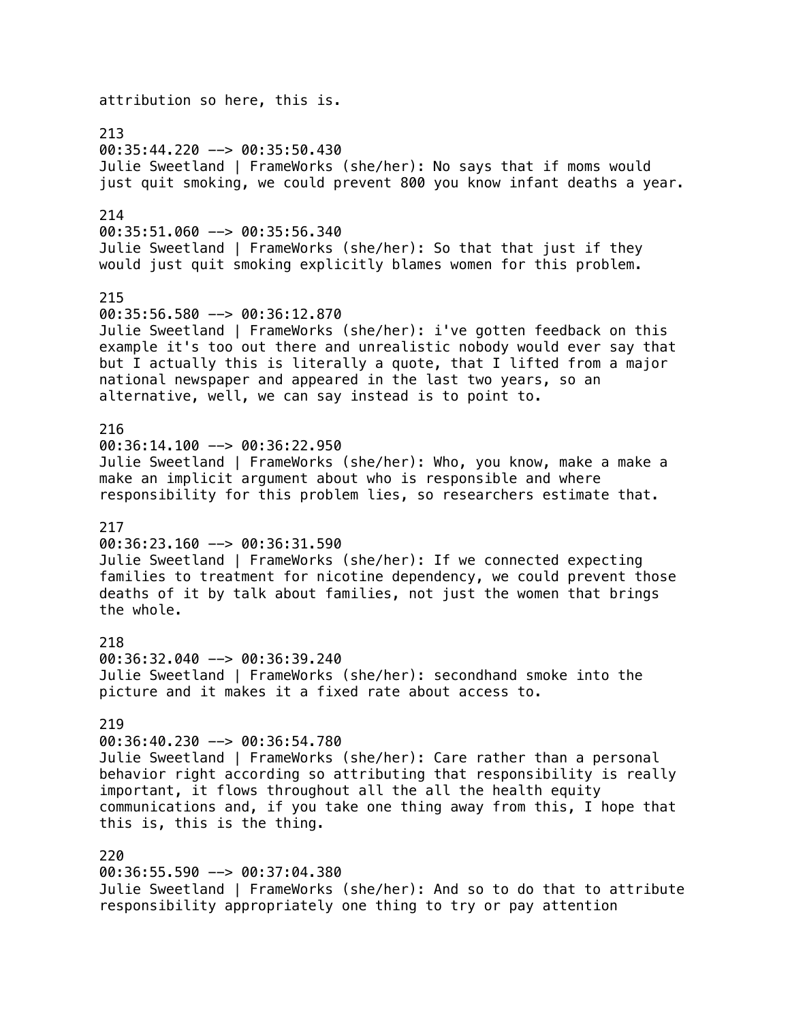attribution so here, this is. 213 00:35:44.220 --> 00:35:50.430 Julie Sweetland | FrameWorks (she/her): No says that if moms would just quit smoking, we could prevent 800 you know infant deaths a year. 214 00:35:51.060 --> 00:35:56.340 Julie Sweetland | FrameWorks (she/her): So that that just if they would just quit smoking explicitly blames women for this problem. 215 00:35:56.580 --> 00:36:12.870 Julie Sweetland | FrameWorks (she/her): i've gotten feedback on this example it's too out there and unrealistic nobody would ever say that but I actually this is literally a quote, that I lifted from a major national newspaper and appeared in the last two years, so an alternative, well, we can say instead is to point to. 216  $00:36:14.100$  -->  $00:36:22.950$ Julie Sweetland | FrameWorks (she/her): Who, you know, make a make a make an implicit argument about who is responsible and where responsibility for this problem lies, so researchers estimate that. 217  $00:36:23.160$  -->  $00:36:31.590$ Julie Sweetland | FrameWorks (she/her): If we connected expecting families to treatment for nicotine dependency, we could prevent those deaths of it by talk about families, not just the women that brings the whole. 218 00:36:32.040 --> 00:36:39.240 Julie Sweetland | FrameWorks (she/her): secondhand smoke into the picture and it makes it a fixed rate about access to. 219 00:36:40.230 --> 00:36:54.780 Julie Sweetland | FrameWorks (she/her): Care rather than a personal behavior right according so attributing that responsibility is really important, it flows throughout all the all the health equity communications and, if you take one thing away from this, I hope that this is, this is the thing. 220 00:36:55.590 --> 00:37:04.380 Julie Sweetland | FrameWorks (she/her): And so to do that to attribute responsibility appropriately one thing to try or pay attention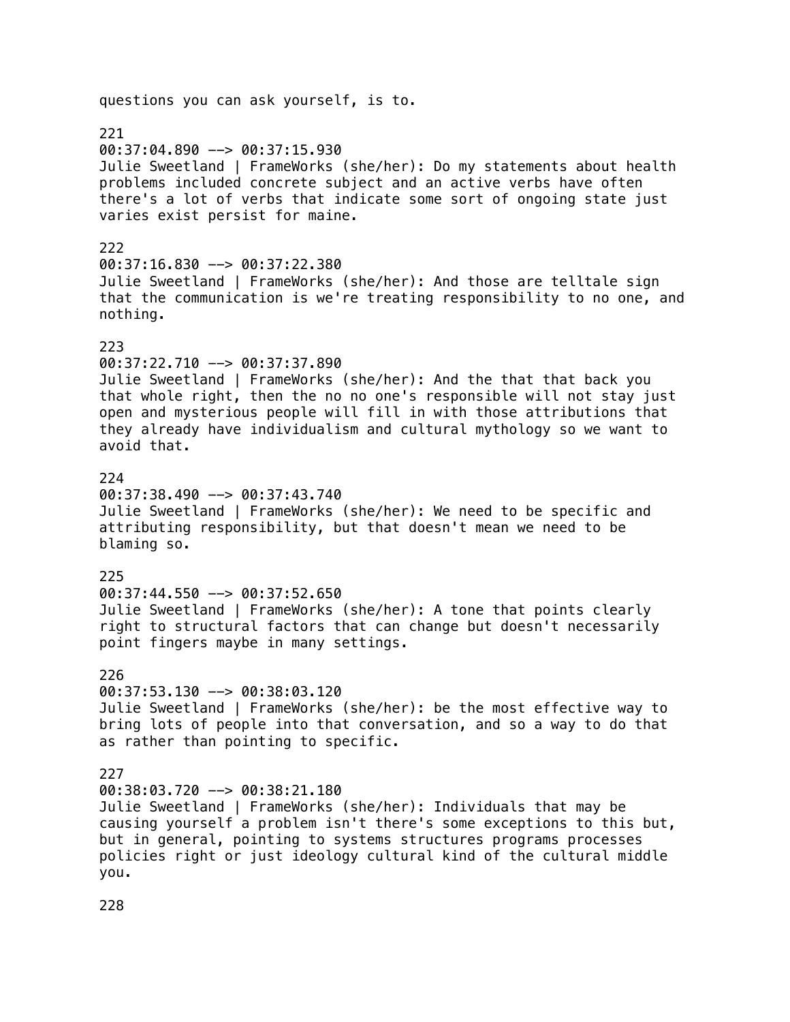# questions you can ask yourself, is to. 221 00:37:04.890 --> 00:37:15.930 Julie Sweetland | FrameWorks (she/her): Do my statements about health problems included concrete subject and an active verbs have often there's a lot of verbs that indicate some sort of ongoing state just varies exist persist for maine. 222 00:37:16.830 --> 00:37:22.380 Julie Sweetland | FrameWorks (she/her): And those are telltale sign that the communication is we're treating responsibility to no one, and nothing. 223 00:37:22.710 --> 00:37:37.890 Julie Sweetland | FrameWorks (she/her): And the that that back you that whole right, then the no no one's responsible will not stay just open and mysterious people will fill in with those attributions that they already have individualism and cultural mythology so we want to avoid that. 224 00:37:38.490 --> 00:37:43.740 Julie Sweetland | FrameWorks (she/her): We need to be specific and attributing responsibility, but that doesn't mean we need to be blaming so. 225 00:37:44.550 --> 00:37:52.650 Julie Sweetland | FrameWorks (she/her): A tone that points clearly right to structural factors that can change but doesn't necessarily point fingers maybe in many settings. 226  $00:37:53.130$  -->  $00:38:03.120$ Julie Sweetland | FrameWorks (she/her): be the most effective way to bring lots of people into that conversation, and so a way to do that as rather than pointing to specific. 227  $00:38:03.720$  -->  $00:38:21.180$ Julie Sweetland | FrameWorks (she/her): Individuals that may be causing yourself a problem isn't there's some exceptions to this but, but in general, pointing to systems structures programs processes policies right or just ideology cultural kind of the cultural middle you.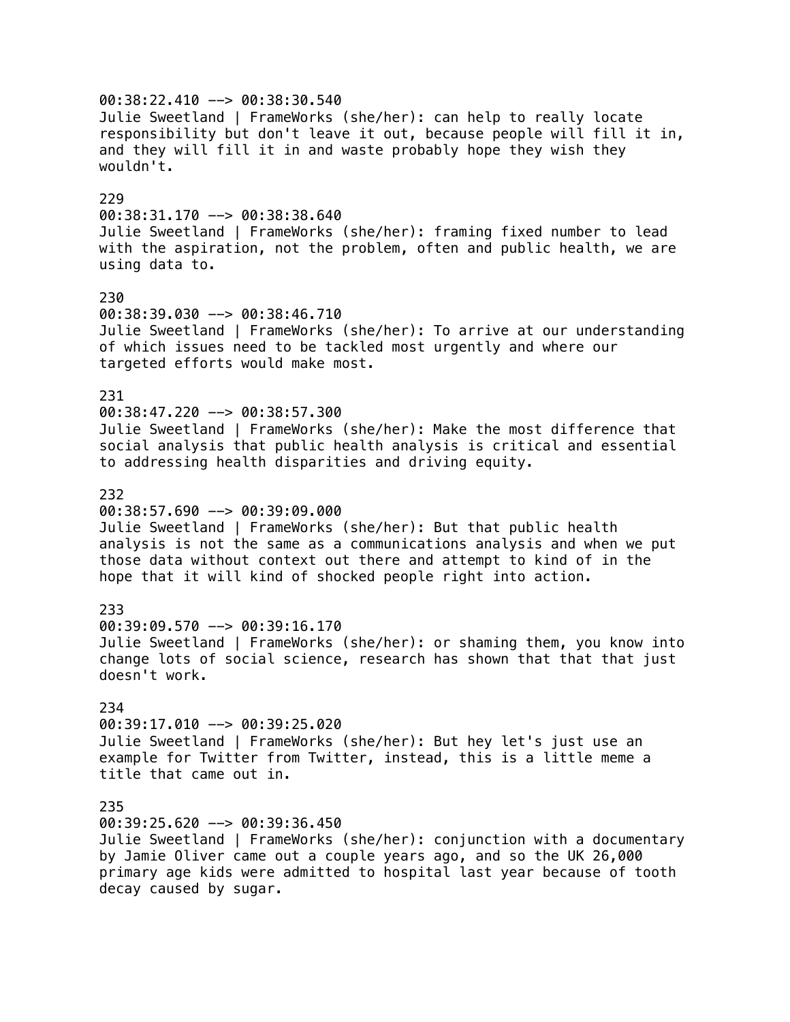00:38:22.410 --> 00:38:30.540 Julie Sweetland | FrameWorks (she/her): can help to really locate responsibility but don't leave it out, because people will fill it in, and they will fill it in and waste probably hope they wish they wouldn't. 229  $00:38:31.170$  -->  $00:38:38.640$ Julie Sweetland | FrameWorks (she/her): framing fixed number to lead with the aspiration, not the problem, often and public health, we are using data to. 230 00:38:39.030 --> 00:38:46.710 Julie Sweetland | FrameWorks (she/her): To arrive at our understanding of which issues need to be tackled most urgently and where our targeted efforts would make most. 231 00:38:47.220 --> 00:38:57.300 Julie Sweetland | FrameWorks (she/her): Make the most difference that social analysis that public health analysis is critical and essential to addressing health disparities and driving equity. 232 00:38:57.690 --> 00:39:09.000 Julie Sweetland | FrameWorks (she/her): But that public health analysis is not the same as a communications analysis and when we put those data without context out there and attempt to kind of in the hope that it will kind of shocked people right into action. 233 00:39:09.570 --> 00:39:16.170 Julie Sweetland | FrameWorks (she/her): or shaming them, you know into change lots of social science, research has shown that that that just doesn't work. 234 00:39:17.010 --> 00:39:25.020 Julie Sweetland | FrameWorks (she/her): But hey let's just use an example for Twitter from Twitter, instead, this is a little meme a title that came out in. 235 00:39:25.620 --> 00:39:36.450 Julie Sweetland | FrameWorks (she/her): conjunction with a documentary by Jamie Oliver came out a couple years ago, and so the UK 26,000 primary age kids were admitted to hospital last year because of tooth decay caused by sugar.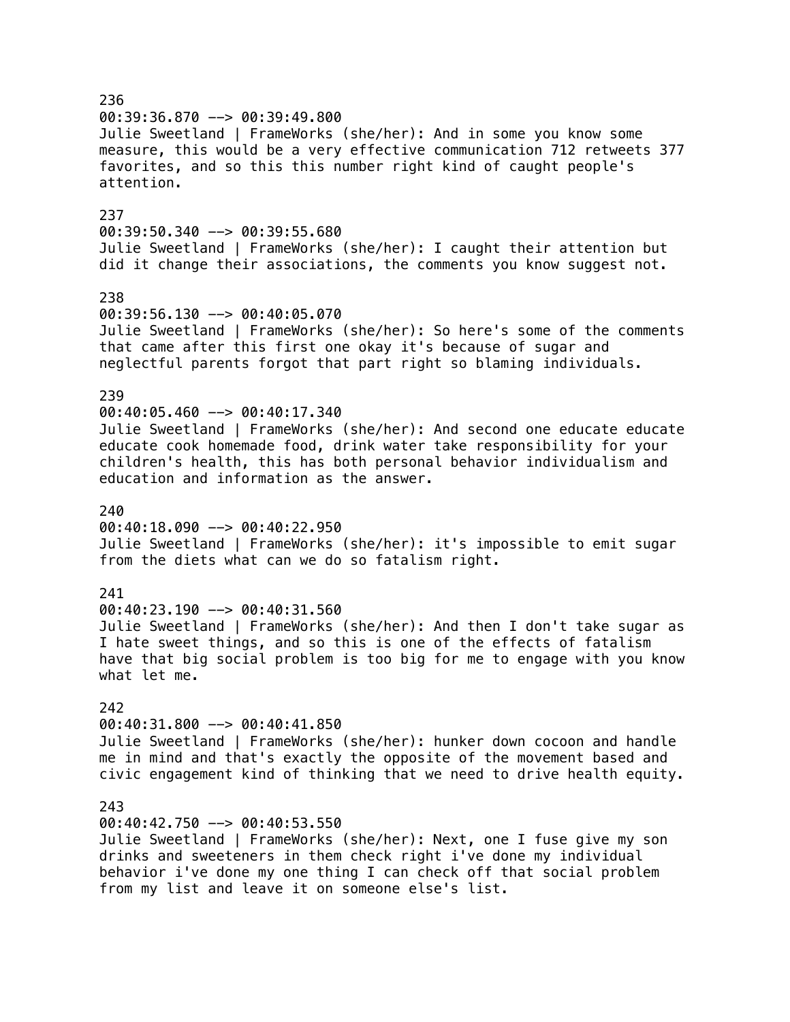236 00:39:36.870 --> 00:39:49.800 Julie Sweetland | FrameWorks (she/her): And in some you know some measure, this would be a very effective communication 712 retweets 377 favorites, and so this this number right kind of caught people's attention. 237 00:39:50.340 --> 00:39:55.680 Julie Sweetland | FrameWorks (she/her): I caught their attention but did it change their associations, the comments you know suggest not. 238 00:39:56.130 --> 00:40:05.070 Julie Sweetland | FrameWorks (she/her): So here's some of the comments that came after this first one okay it's because of sugar and neglectful parents forgot that part right so blaming individuals. 239 00:40:05.460 --> 00:40:17.340 Julie Sweetland | FrameWorks (she/her): And second one educate educate educate cook homemade food, drink water take responsibility for your children's health, this has both personal behavior individualism and education and information as the answer. 240 00:40:18.090 --> 00:40:22.950 Julie Sweetland | FrameWorks (she/her): it's impossible to emit sugar from the diets what can we do so fatalism right. 241 00:40:23.190 --> 00:40:31.560 Julie Sweetland | FrameWorks (she/her): And then I don't take sugar as I hate sweet things, and so this is one of the effects of fatalism have that big social problem is too big for me to engage with you know what let me. 242 00:40:31.800 --> 00:40:41.850 Julie Sweetland | FrameWorks (she/her): hunker down cocoon and handle me in mind and that's exactly the opposite of the movement based and civic engagement kind of thinking that we need to drive health equity. 243 00:40:42.750 --> 00:40:53.550 Julie Sweetland | FrameWorks (she/her): Next, one I fuse give my son drinks and sweeteners in them check right i've done my individual behavior i've done my one thing I can check off that social problem from my list and leave it on someone else's list.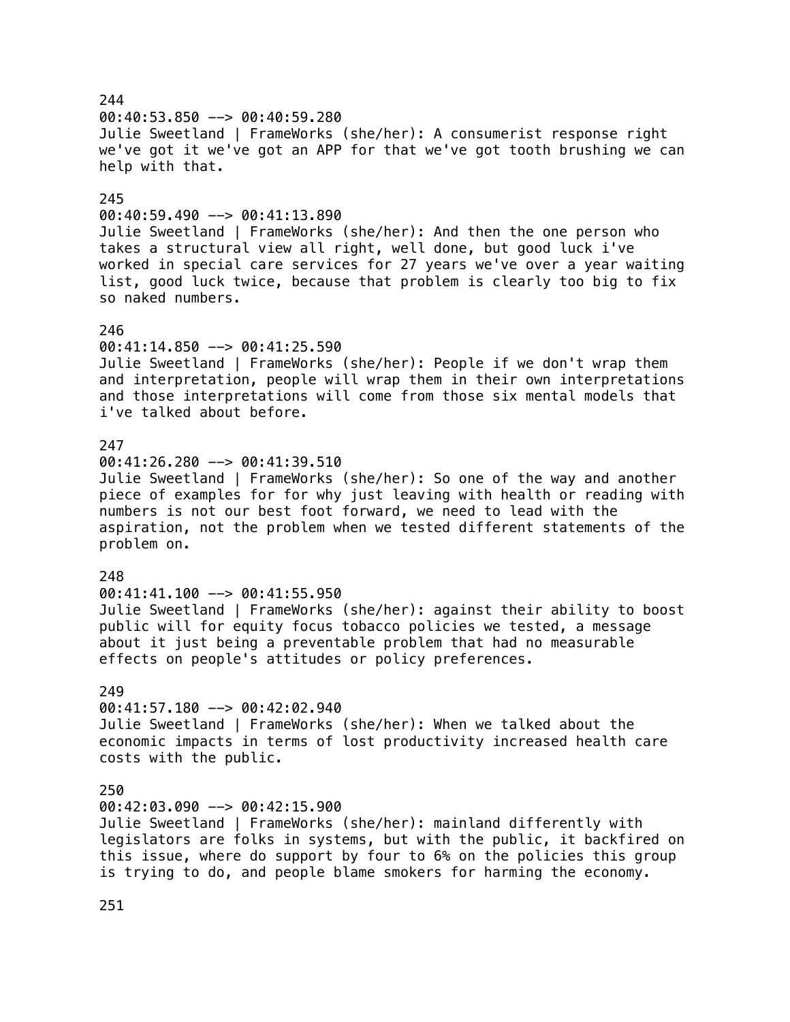### 244 00:40:53.850 --> 00:40:59.280 Julie Sweetland | FrameWorks (she/her): A consumerist response right we've got it we've got an APP for that we've got tooth brushing we can help with that. 245  $00:40:59.490$  -->  $00:41:13.890$ Julie Sweetland | FrameWorks (she/her): And then the one person who takes a structural view all right, well done, but good luck i've worked in special care services for 27 years we've over a year waiting list, good luck twice, because that problem is clearly too big to fix so naked numbers. 246 00:41:14.850 --> 00:41:25.590 Julie Sweetland | FrameWorks (she/her): People if we don't wrap them and interpretation, people will wrap them in their own interpretations and those interpretations will come from those six mental models that i've talked about before. 247  $00:41:26.280$  -->  $00:41:39.510$ Julie Sweetland | FrameWorks (she/her): So one of the way and another piece of examples for for why just leaving with health or reading with numbers is not our best foot forward, we need to lead with the aspiration, not the problem when we tested different statements of the problem on. 248 00:41:41.100 --> 00:41:55.950 Julie Sweetland | FrameWorks (she/her): against their ability to boost public will for equity focus tobacco policies we tested, a message about it just being a preventable problem that had no measurable effects on people's attitudes or policy preferences. 249 00:41:57.180 --> 00:42:02.940 Julie Sweetland | FrameWorks (she/her): When we talked about the economic impacts in terms of lost productivity increased health care costs with the public. 250 00:42:03.090 --> 00:42:15.900 Julie Sweetland | FrameWorks (she/her): mainland differently with legislators are folks in systems, but with the public, it backfired on this issue, where do support by four to 6% on the policies this group

is trying to do, and people blame smokers for harming the economy.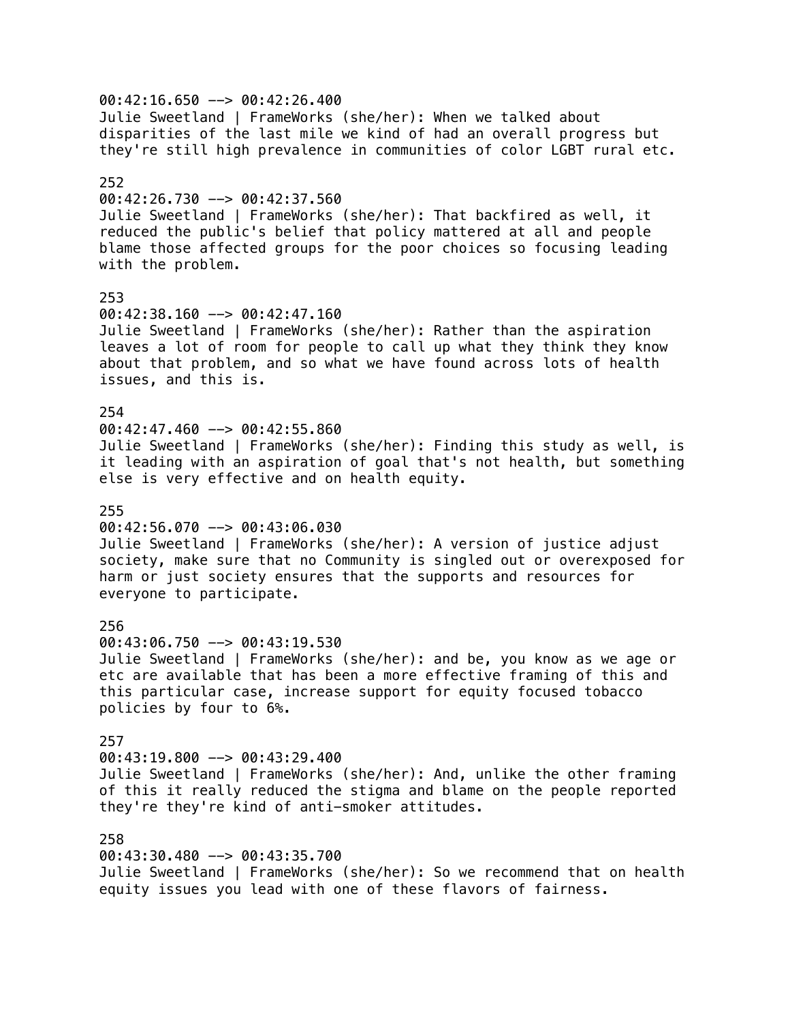00:42:16.650 --> 00:42:26.400 Julie Sweetland | FrameWorks (she/her): When we talked about disparities of the last mile we kind of had an overall progress but they're still high prevalence in communities of color LGBT rural etc. 252 00:42:26.730 --> 00:42:37.560 Julie Sweetland | FrameWorks (she/her): That backfired as well, it reduced the public's belief that policy mattered at all and people blame those affected groups for the poor choices so focusing leading with the problem. 253 00:42:38.160 --> 00:42:47.160 Julie Sweetland | FrameWorks (she/her): Rather than the aspiration leaves a lot of room for people to call up what they think they know about that problem, and so what we have found across lots of health issues, and this is. 254  $00:42:47.460$  -->  $00:42:55.860$ Julie Sweetland | FrameWorks (she/her): Finding this study as well, is it leading with an aspiration of goal that's not health, but something else is very effective and on health equity. 255  $00:42:56.070$  -->  $00:43:06.030$ Julie Sweetland | FrameWorks (she/her): A version of justice adjust society, make sure that no Community is singled out or overexposed for harm or just society ensures that the supports and resources for everyone to participate. 256 00:43:06.750 --> 00:43:19.530 Julie Sweetland | FrameWorks (she/her): and be, you know as we age or etc are available that has been a more effective framing of this and this particular case, increase support for equity focused tobacco policies by four to 6%. 257 00:43:19.800 --> 00:43:29.400 Julie Sweetland | FrameWorks (she/her): And, unlike the other framing of this it really reduced the stigma and blame on the people reported they're they're kind of anti-smoker attitudes. 258 00:43:30.480 --> 00:43:35.700 Julie Sweetland | FrameWorks (she/her): So we recommend that on health

equity issues you lead with one of these flavors of fairness.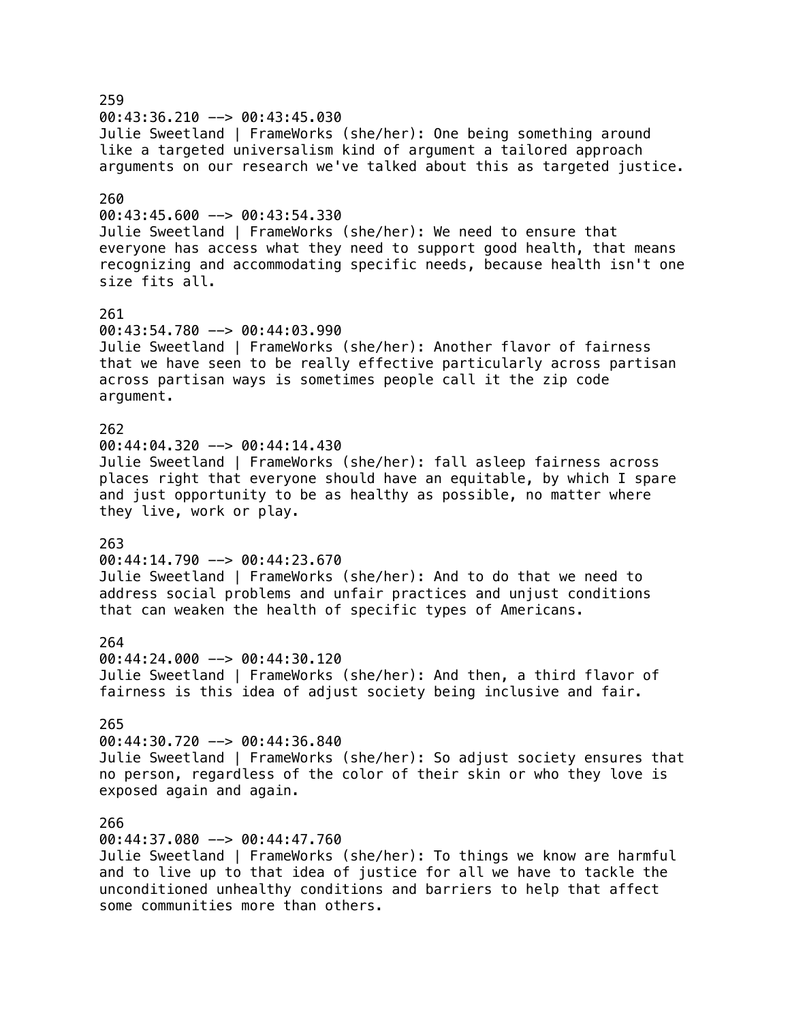259 00:43:36.210 --> 00:43:45.030 Julie Sweetland | FrameWorks (she/her): One being something around like a targeted universalism kind of argument a tailored approach arguments on our research we've talked about this as targeted justice. 260  $00:43:45.600$  -->  $00:43:54.330$ Julie Sweetland | FrameWorks (she/her): We need to ensure that everyone has access what they need to support good health, that means recognizing and accommodating specific needs, because health isn't one size fits all. 261 00:43:54.780 --> 00:44:03.990 Julie Sweetland | FrameWorks (she/her): Another flavor of fairness that we have seen to be really effective particularly across partisan across partisan ways is sometimes people call it the zip code argument. 262 00:44:04.320 --> 00:44:14.430 Julie Sweetland | FrameWorks (she/her): fall asleep fairness across places right that everyone should have an equitable, by which I spare and just opportunity to be as healthy as possible, no matter where they live, work or play. 263 00:44:14.790 --> 00:44:23.670 Julie Sweetland | FrameWorks (she/her): And to do that we need to address social problems and unfair practices and unjust conditions that can weaken the health of specific types of Americans. 264 00:44:24.000 --> 00:44:30.120 Julie Sweetland | FrameWorks (she/her): And then, a third flavor of fairness is this idea of adjust society being inclusive and fair. 265 00:44:30.720 --> 00:44:36.840 Julie Sweetland | FrameWorks (she/her): So adjust society ensures that no person, regardless of the color of their skin or who they love is exposed again and again. 266 00:44:37.080 --> 00:44:47.760 Julie Sweetland | FrameWorks (she/her): To things we know are harmful and to live up to that idea of justice for all we have to tackle the unconditioned unhealthy conditions and barriers to help that affect

some communities more than others.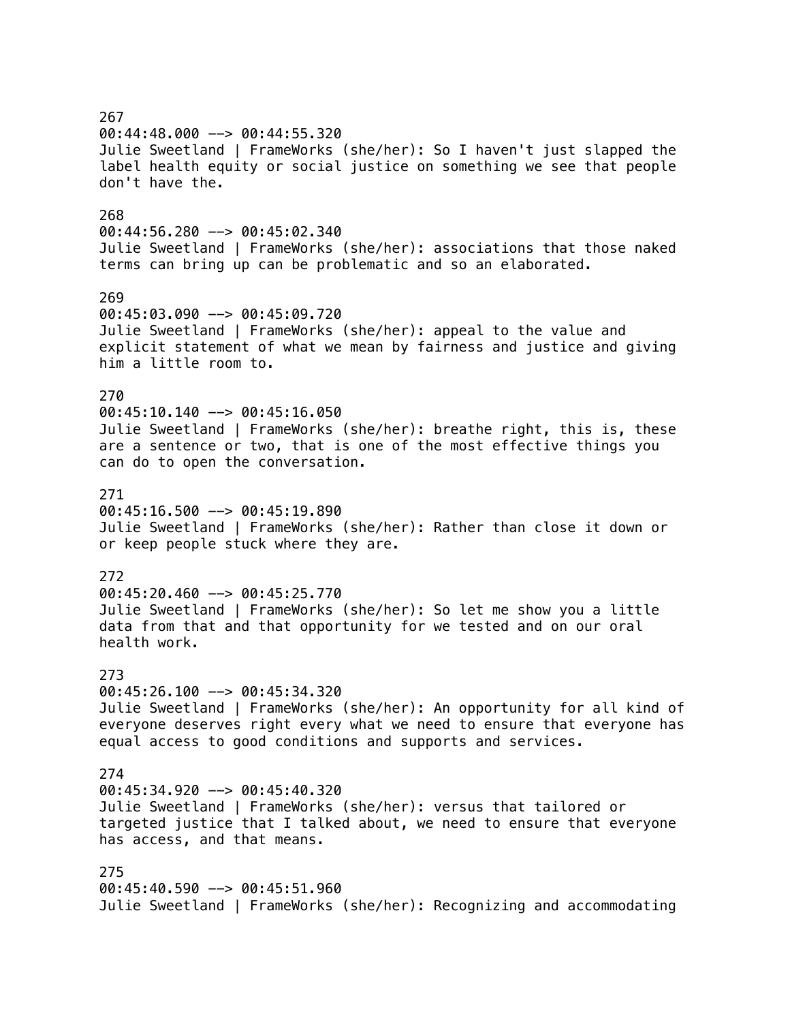267 00:44:48.000 --> 00:44:55.320 Julie Sweetland | FrameWorks (she/her): So I haven't just slapped the label health equity or social justice on something we see that people don't have the. 268 00:44:56.280 --> 00:45:02.340 Julie Sweetland | FrameWorks (she/her): associations that those naked terms can bring up can be problematic and so an elaborated. 269 00:45:03.090 --> 00:45:09.720 Julie Sweetland | FrameWorks (she/her): appeal to the value and explicit statement of what we mean by fairness and justice and giving him a little room to. 270  $00:45:10.140$  -->  $00:45:16.050$ Julie Sweetland | FrameWorks (she/her): breathe right, this is, these are a sentence or two, that is one of the most effective things you can do to open the conversation. 271 00:45:16.500 --> 00:45:19.890 Julie Sweetland | FrameWorks (she/her): Rather than close it down or or keep people stuck where they are. 272 00:45:20.460 --> 00:45:25.770 Julie Sweetland | FrameWorks (she/her): So let me show you a little data from that and that opportunity for we tested and on our oral health work. 273  $00:45:26.100$  -->  $00:45:34.320$ Julie Sweetland | FrameWorks (she/her): An opportunity for all kind of everyone deserves right every what we need to ensure that everyone has equal access to good conditions and supports and services. 274  $00:45:34.920$  -->  $00:45:40.320$ Julie Sweetland | FrameWorks (she/her): versus that tailored or targeted justice that I talked about, we need to ensure that everyone has access, and that means. 275 00:45:40.590 --> 00:45:51.960 Julie Sweetland | FrameWorks (she/her): Recognizing and accommodating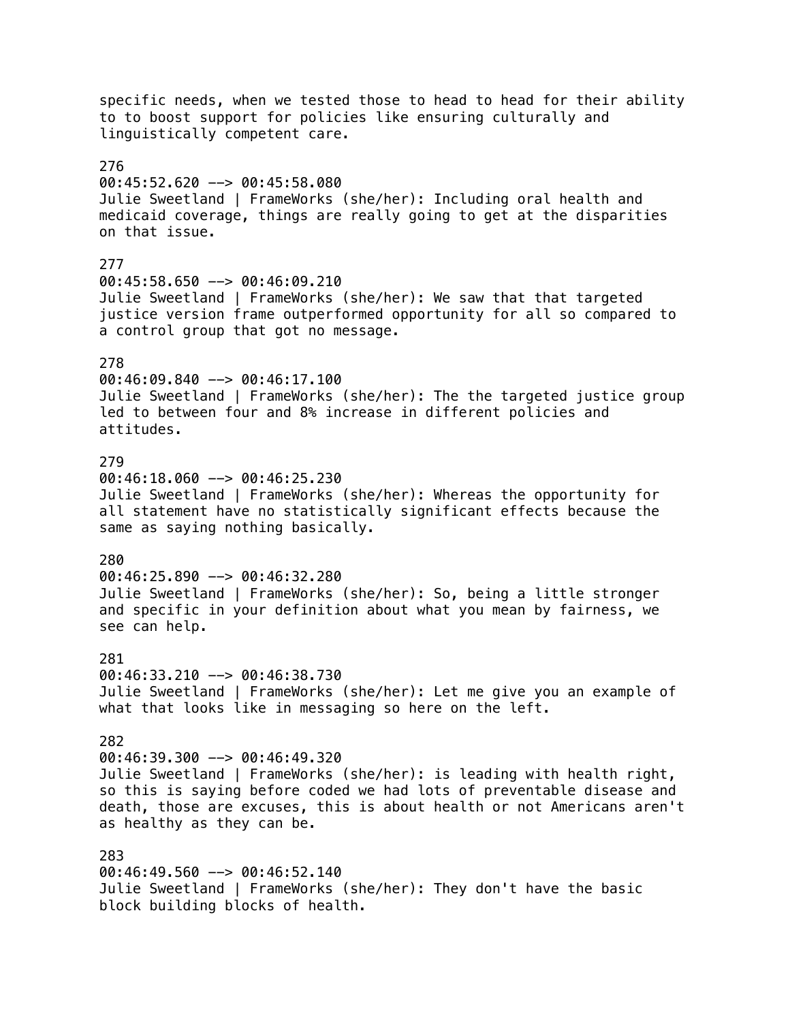specific needs, when we tested those to head to head for their ability to to boost support for policies like ensuring culturally and linguistically competent care. 276 00:45:52.620 --> 00:45:58.080 Julie Sweetland | FrameWorks (she/her): Including oral health and medicaid coverage, things are really going to get at the disparities on that issue. 277 00:45:58.650 --> 00:46:09.210 Julie Sweetland | FrameWorks (she/her): We saw that that targeted justice version frame outperformed opportunity for all so compared to a control group that got no message. 278 00:46:09.840 --> 00:46:17.100 Julie Sweetland | FrameWorks (she/her): The the targeted justice group led to between four and 8% increase in different policies and attitudes. 279  $00:46:18.060$  -->  $00:46:25.230$ Julie Sweetland | FrameWorks (she/her): Whereas the opportunity for all statement have no statistically significant effects because the same as saying nothing basically. 280  $00:46:25.890$  -->  $00:46:32.280$ Julie Sweetland | FrameWorks (she/her): So, being a little stronger and specific in your definition about what you mean by fairness, we see can help. 281 00:46:33.210 --> 00:46:38.730 Julie Sweetland | FrameWorks (she/her): Let me give you an example of what that looks like in messaging so here on the left. 282 00:46:39.300 --> 00:46:49.320 Julie Sweetland | FrameWorks (she/her): is leading with health right, so this is saying before coded we had lots of preventable disease and death, those are excuses, this is about health or not Americans aren't as healthy as they can be. 283 00:46:49.560 --> 00:46:52.140 Julie Sweetland | FrameWorks (she/her): They don't have the basic block building blocks of health.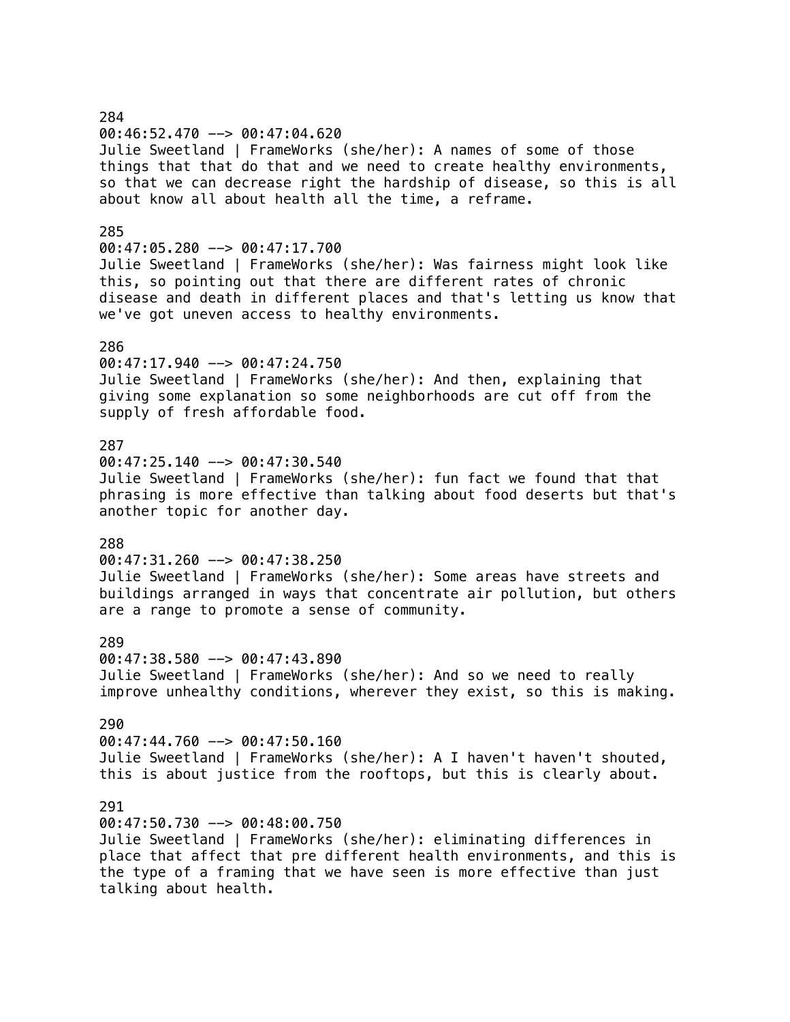# 284 00:46:52.470 --> 00:47:04.620 Julie Sweetland | FrameWorks (she/her): A names of some of those things that that do that and we need to create healthy environments, so that we can decrease right the hardship of disease, so this is all about know all about health all the time, a reframe. 285 00:47:05.280 --> 00:47:17.700 Julie Sweetland | FrameWorks (she/her): Was fairness might look like this, so pointing out that there are different rates of chronic disease and death in different places and that's letting us know that we've got uneven access to healthy environments. 286 00:47:17.940 --> 00:47:24.750 Julie Sweetland | FrameWorks (she/her): And then, explaining that giving some explanation so some neighborhoods are cut off from the supply of fresh affordable food. 287  $00:47:25.140$  -->  $00:47:30.540$ Julie Sweetland | FrameWorks (she/her): fun fact we found that that phrasing is more effective than talking about food deserts but that's another topic for another day. 288 00:47:31.260 --> 00:47:38.250 Julie Sweetland | FrameWorks (she/her): Some areas have streets and buildings arranged in ways that concentrate air pollution, but others are a range to promote a sense of community. 289 00:47:38.580 --> 00:47:43.890 Julie Sweetland | FrameWorks (she/her): And so we need to really improve unhealthy conditions, wherever they exist, so this is making. 290 00:47:44.760 --> 00:47:50.160 Julie Sweetland | FrameWorks (she/her): A I haven't haven't shouted, this is about justice from the rooftops, but this is clearly about. 291 00:47:50.730 --> 00:48:00.750 Julie Sweetland | FrameWorks (she/her): eliminating differences in place that affect that pre different health environments, and this is

the type of a framing that we have seen is more effective than just talking about health.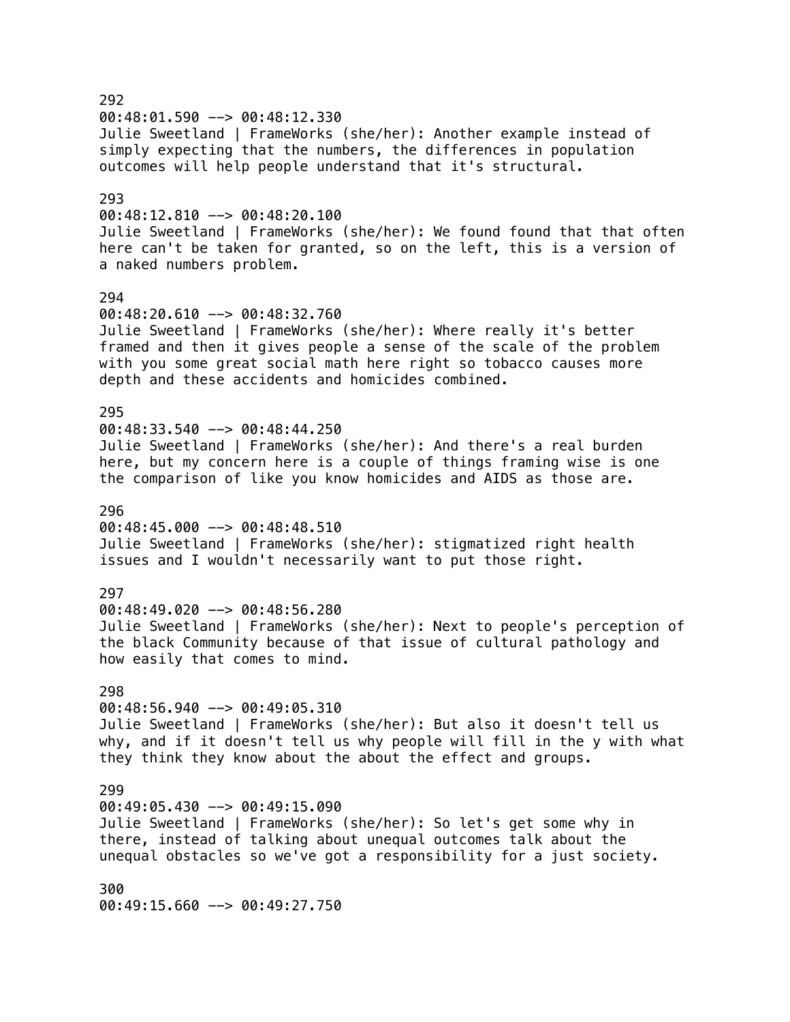292  $00:48:01.590$  -->  $00:48:12.330$ Julie Sweetland | FrameWorks (she/her): Another example instead of simply expecting that the numbers, the differences in population outcomes will help people understand that it's structural. 293  $00:48:12.810$  -->  $00:48:20.100$ Julie Sweetland | FrameWorks (she/her): We found found that that often here can't be taken for granted, so on the left, this is a version of a naked numbers problem. 294 00:48:20.610 --> 00:48:32.760 Julie Sweetland | FrameWorks (she/her): Where really it's better framed and then it gives people a sense of the scale of the problem with you some great social math here right so tobacco causes more depth and these accidents and homicides combined. 295 00:48:33.540 --> 00:48:44.250 Julie Sweetland | FrameWorks (she/her): And there's a real burden here, but my concern here is a couple of things framing wise is one the comparison of like you know homicides and AIDS as those are. 296 00:48:45.000 --> 00:48:48.510 Julie Sweetland | FrameWorks (she/her): stigmatized right health issues and I wouldn't necessarily want to put those right. 297 00:48:49.020 --> 00:48:56.280 Julie Sweetland | FrameWorks (she/her): Next to people's perception of the black Community because of that issue of cultural pathology and how easily that comes to mind. 298 00:48:56.940 --> 00:49:05.310 Julie Sweetland | FrameWorks (she/her): But also it doesn't tell us why, and if it doesn't tell us why people will fill in the y with what they think they know about the about the effect and groups. 299 00:49:05.430 --> 00:49:15.090 Julie Sweetland | FrameWorks (she/her): So let's get some why in there, instead of talking about unequal outcomes talk about the unequal obstacles so we've got a responsibility for a just society. 300 00:49:15.660 --> 00:49:27.750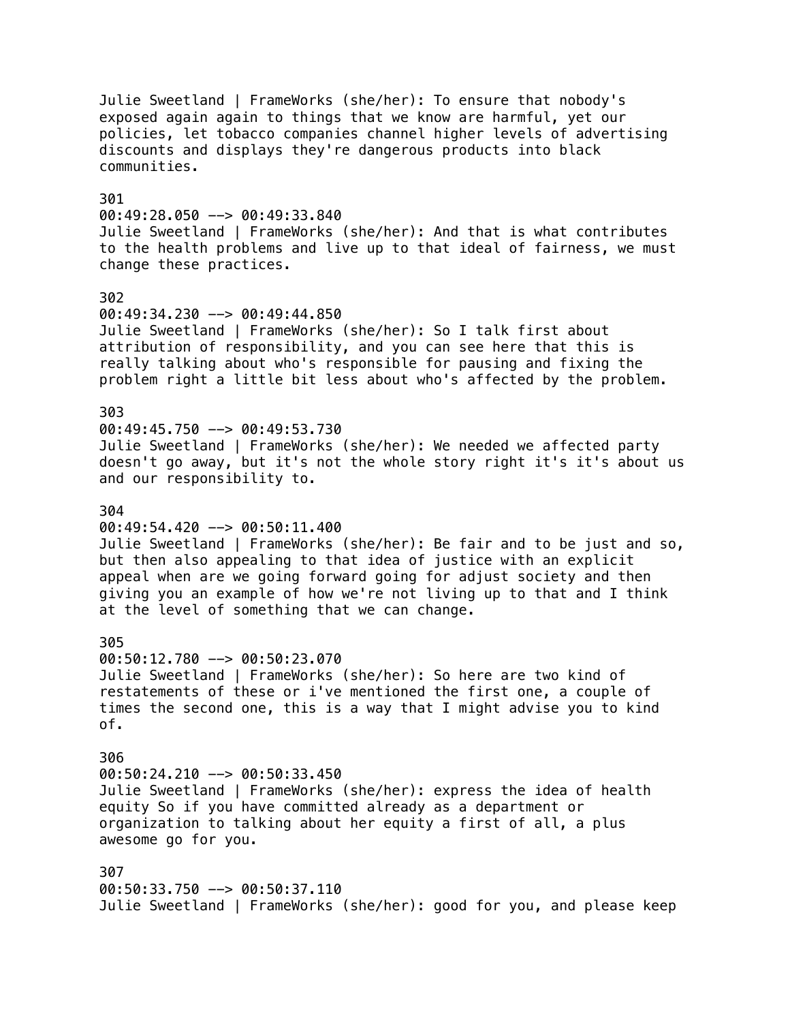Julie Sweetland | FrameWorks (she/her): To ensure that nobody's exposed again again to things that we know are harmful, yet our policies, let tobacco companies channel higher levels of advertising discounts and displays they're dangerous products into black communities. 301  $00:49:28.050$  -->  $00:49:33.840$ Julie Sweetland | FrameWorks (she/her): And that is what contributes to the health problems and live up to that ideal of fairness, we must change these practices. 302 00:49:34.230 --> 00:49:44.850 Julie Sweetland | FrameWorks (she/her): So I talk first about attribution of responsibility, and you can see here that this is really talking about who's responsible for pausing and fixing the problem right a little bit less about who's affected by the problem. 303 00:49:45.750 --> 00:49:53.730 Julie Sweetland | FrameWorks (she/her): We needed we affected party doesn't go away, but it's not the whole story right it's it's about us and our responsibility to. 304  $00:49:54.420$  -->  $00:50:11.400$ Julie Sweetland | FrameWorks (she/her): Be fair and to be just and so, but then also appealing to that idea of justice with an explicit appeal when are we going forward going for adjust society and then giving you an example of how we're not living up to that and I think at the level of something that we can change. 305 00:50:12.780 --> 00:50:23.070 Julie Sweetland | FrameWorks (she/her): So here are two kind of restatements of these or i've mentioned the first one, a couple of times the second one, this is a way that I might advise you to kind of. 306 00:50:24.210 --> 00:50:33.450 Julie Sweetland | FrameWorks (she/her): express the idea of health equity So if you have committed already as a department or organization to talking about her equity a first of all, a plus awesome go for you. 307 00:50:33.750 --> 00:50:37.110 Julie Sweetland | FrameWorks (she/her): good for you, and please keep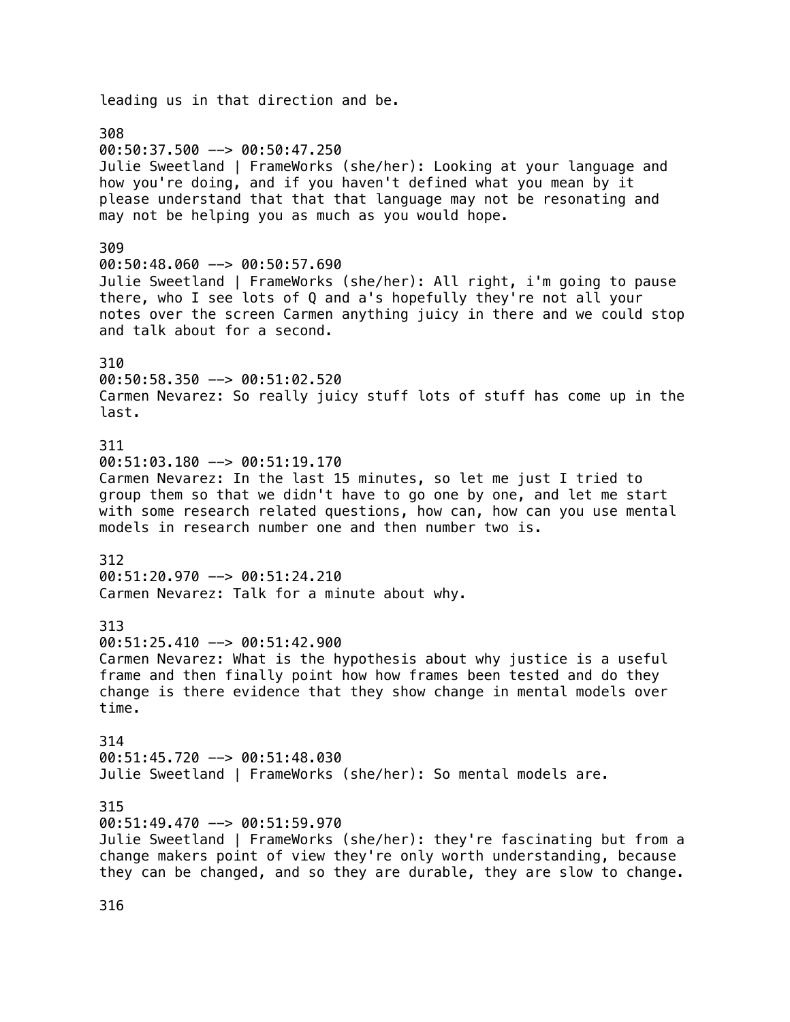leading us in that direction and be. 308 00:50:37.500 --> 00:50:47.250 Julie Sweetland | FrameWorks (she/her): Looking at your language and how you're doing, and if you haven't defined what you mean by it please understand that that that language may not be resonating and may not be helping you as much as you would hope. 309 00:50:48.060 --> 00:50:57.690 Julie Sweetland | FrameWorks (she/her): All right, i'm going to pause there, who I see lots of Q and a's hopefully they're not all your notes over the screen Carmen anything juicy in there and we could stop and talk about for a second. 310 00:50:58.350 --> 00:51:02.520 Carmen Nevarez: So really juicy stuff lots of stuff has come up in the last. 311 00:51:03.180 --> 00:51:19.170 Carmen Nevarez: In the last 15 minutes, so let me just I tried to group them so that we didn't have to go one by one, and let me start with some research related questions, how can, how can you use mental models in research number one and then number two is. 312 00:51:20.970 --> 00:51:24.210 Carmen Nevarez: Talk for a minute about why. 313 00:51:25.410 --> 00:51:42.900 Carmen Nevarez: What is the hypothesis about why justice is a useful frame and then finally point how how frames been tested and do they change is there evidence that they show change in mental models over time. 314 00:51:45.720 --> 00:51:48.030 Julie Sweetland | FrameWorks (she/her): So mental models are. 315 00:51:49.470 --> 00:51:59.970 Julie Sweetland | FrameWorks (she/her): they're fascinating but from a change makers point of view they're only worth understanding, because they can be changed, and so they are durable, they are slow to change.

316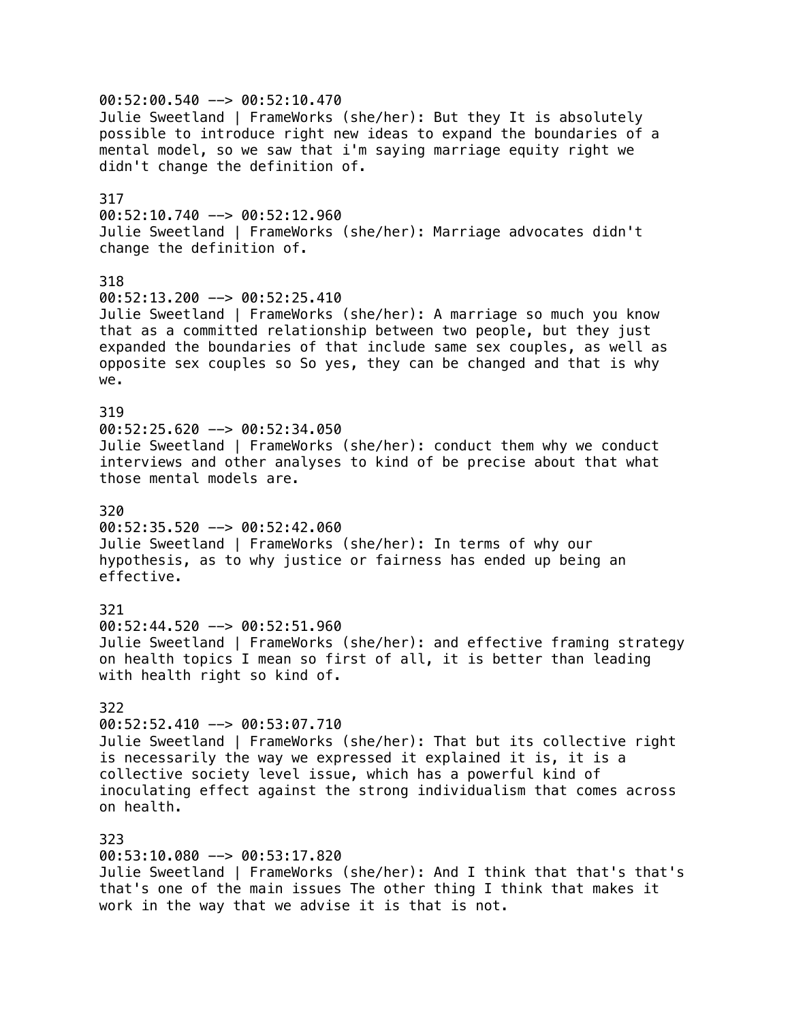00:52:00.540 --> 00:52:10.470 Julie Sweetland | FrameWorks (she/her): But they It is absolutely possible to introduce right new ideas to expand the boundaries of a mental model, so we saw that i'm saying marriage equity right we didn't change the definition of. 317  $00:52:10.740$  -->  $00:52:12.960$ Julie Sweetland | FrameWorks (she/her): Marriage advocates didn't change the definition of. 318 00:52:13.200 --> 00:52:25.410 Julie Sweetland | FrameWorks (she/her): A marriage so much you know that as a committed relationship between two people, but they just expanded the boundaries of that include same sex couples, as well as opposite sex couples so So yes, they can be changed and that is why we. 319  $00:52:25.620$  -->  $00:52:34.050$ Julie Sweetland | FrameWorks (she/her): conduct them why we conduct interviews and other analyses to kind of be precise about that what those mental models are. 320  $00:52:35.520$  -->  $00:52:42.060$ Julie Sweetland | FrameWorks (she/her): In terms of why our hypothesis, as to why justice or fairness has ended up being an effective. 321 00:52:44.520 --> 00:52:51.960 Julie Sweetland | FrameWorks (she/her): and effective framing strategy on health topics I mean so first of all, it is better than leading with health right so kind of. 322 00:52:52.410 --> 00:53:07.710 Julie Sweetland | FrameWorks (she/her): That but its collective right is necessarily the way we expressed it explained it is, it is a collective society level issue, which has a powerful kind of inoculating effect against the strong individualism that comes across on health. 323 00:53:10.080 --> 00:53:17.820 Julie Sweetland | FrameWorks (she/her): And I think that that's that's that's one of the main issues The other thing I think that makes it work in the way that we advise it is that is not.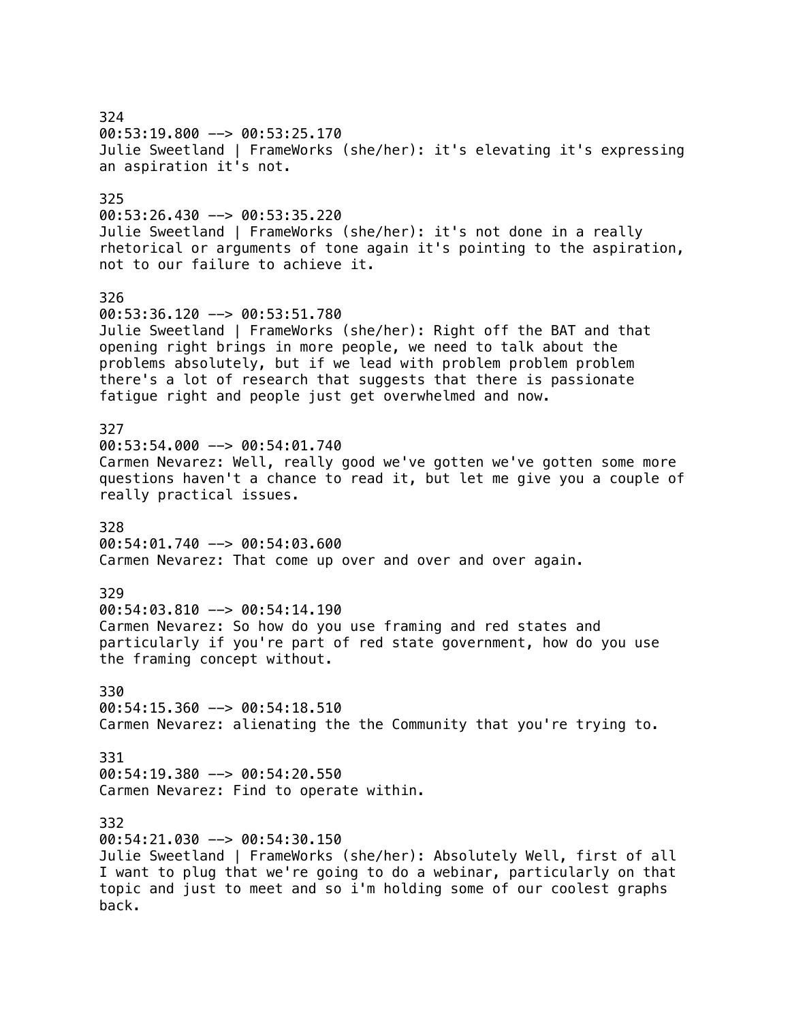324 00:53:19.800 --> 00:53:25.170 Julie Sweetland | FrameWorks (she/her): it's elevating it's expressing an aspiration it's not. 325  $00:53:26.430 \rightarrow 00:53:35.220$ Julie Sweetland | FrameWorks (she/her): it's not done in a really rhetorical or arguments of tone again it's pointing to the aspiration, not to our failure to achieve it. 326 00:53:36.120 --> 00:53:51.780 Julie Sweetland | FrameWorks (she/her): Right off the BAT and that opening right brings in more people, we need to talk about the problems absolutely, but if we lead with problem problem problem there's a lot of research that suggests that there is passionate fatigue right and people just get overwhelmed and now. 327 00:53:54.000 --> 00:54:01.740 Carmen Nevarez: Well, really good we've gotten we've gotten some more questions haven't a chance to read it, but let me give you a couple of really practical issues. 328 00:54:01.740 --> 00:54:03.600 Carmen Nevarez: That come up over and over and over again. 329 00:54:03.810 --> 00:54:14.190 Carmen Nevarez: So how do you use framing and red states and particularly if you're part of red state government, how do you use the framing concept without. 330 00:54:15.360 --> 00:54:18.510 Carmen Nevarez: alienating the the Community that you're trying to. 331 00:54:19.380 --> 00:54:20.550 Carmen Nevarez: Find to operate within. 332 00:54:21.030 --> 00:54:30.150 Julie Sweetland | FrameWorks (she/her): Absolutely Well, first of all I want to plug that we're going to do a webinar, particularly on that topic and just to meet and so i'm holding some of our coolest graphs back.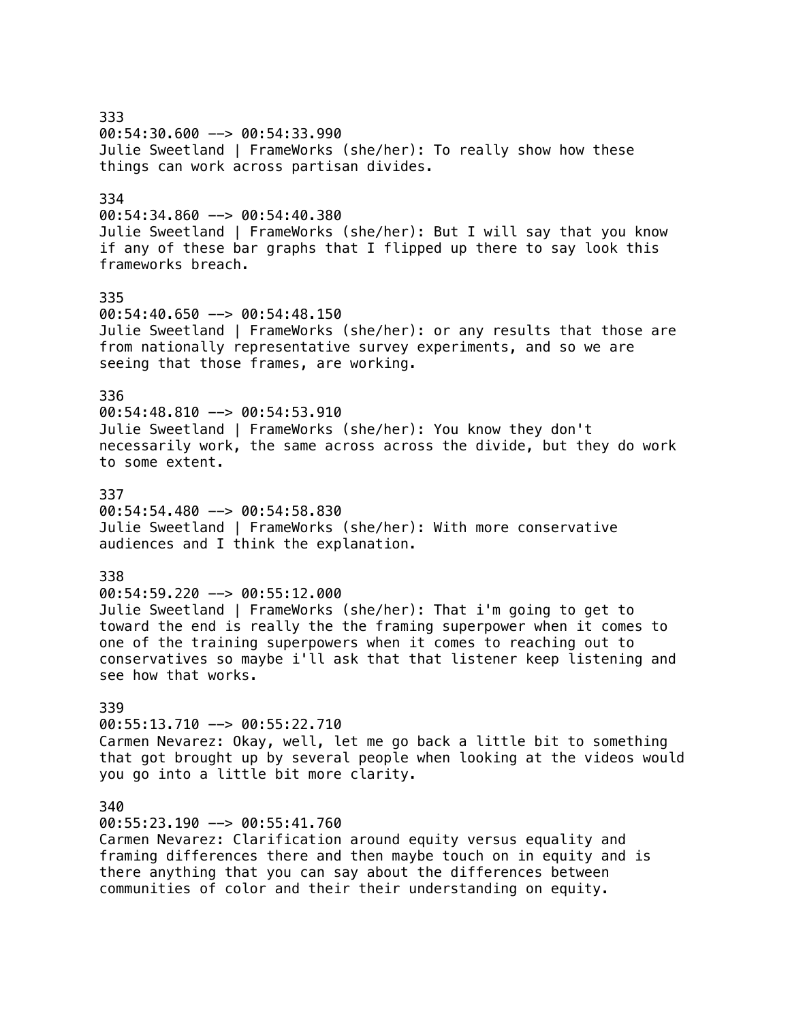333 00:54:30.600 --> 00:54:33.990 Julie Sweetland | FrameWorks (she/her): To really show how these things can work across partisan divides. 334 00:54:34.860 --> 00:54:40.380 Julie Sweetland | FrameWorks (she/her): But I will say that you know if any of these bar graphs that I flipped up there to say look this frameworks breach. 335  $00:54:40.650$  -->  $00:54:48.150$ Julie Sweetland | FrameWorks (she/her): or any results that those are from nationally representative survey experiments, and so we are seeing that those frames, are working. 336  $00:54:48.810$  -->  $00:54:53.910$ Julie Sweetland | FrameWorks (she/her): You know they don't necessarily work, the same across across the divide, but they do work to some extent. 337 00:54:54.480 --> 00:54:58.830 Julie Sweetland | FrameWorks (she/her): With more conservative audiences and I think the explanation. 338 00:54:59.220 --> 00:55:12.000 Julie Sweetland | FrameWorks (she/her): That i'm going to get to toward the end is really the the framing superpower when it comes to one of the training superpowers when it comes to reaching out to conservatives so maybe i'll ask that that listener keep listening and see how that works. 339 00:55:13.710 --> 00:55:22.710 Carmen Nevarez: Okay, well, let me go back a little bit to something that got brought up by several people when looking at the videos would you go into a little bit more clarity. 340 00:55:23.190 --> 00:55:41.760 Carmen Nevarez: Clarification around equity versus equality and framing differences there and then maybe touch on in equity and is there anything that you can say about the differences between communities of color and their their understanding on equity.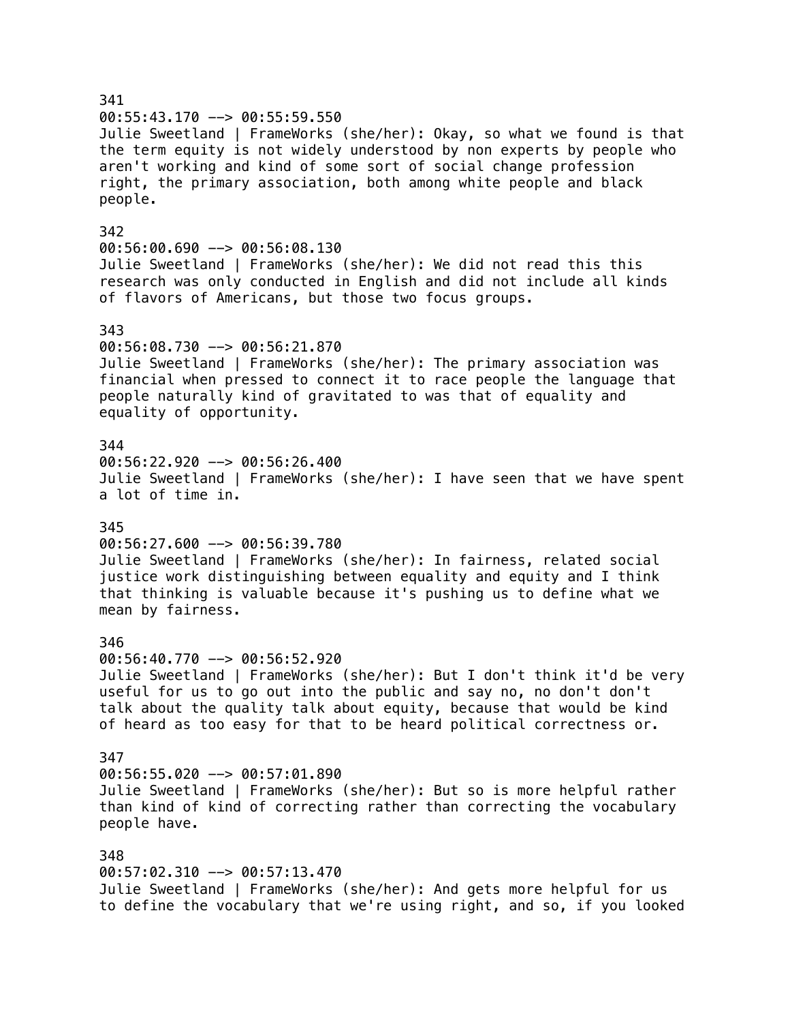### 341 00:55:43.170 --> 00:55:59.550 Julie Sweetland | FrameWorks (she/her): Okay, so what we found is that the term equity is not widely understood by non experts by people who aren't working and kind of some sort of social change profession right, the primary association, both among white people and black people. 342 00:56:00.690 --> 00:56:08.130 Julie Sweetland | FrameWorks (she/her): We did not read this this research was only conducted in English and did not include all kinds of flavors of Americans, but those two focus groups. 343 00:56:08.730 --> 00:56:21.870 Julie Sweetland | FrameWorks (she/her): The primary association was financial when pressed to connect it to race people the language that people naturally kind of gravitated to was that of equality and equality of opportunity. 344 00:56:22.920 --> 00:56:26.400 Julie Sweetland | FrameWorks (she/her): I have seen that we have spent a lot of time in. 345  $00:56:27.600$  -->  $00:56:39.780$ Julie Sweetland | FrameWorks (she/her): In fairness, related social justice work distinguishing between equality and equity and I think that thinking is valuable because it's pushing us to define what we mean by fairness. 346 00:56:40.770 --> 00:56:52.920 Julie Sweetland | FrameWorks (she/her): But I don't think it'd be very useful for us to go out into the public and say no, no don't don't talk about the quality talk about equity, because that would be kind of heard as too easy for that to be heard political correctness or. 347 00:56:55.020 --> 00:57:01.890 Julie Sweetland | FrameWorks (she/her): But so is more helpful rather than kind of kind of correcting rather than correcting the vocabulary people have. 348 00:57:02.310 --> 00:57:13.470 Julie Sweetland | FrameWorks (she/her): And gets more helpful for us to define the vocabulary that we're using right, and so, if you looked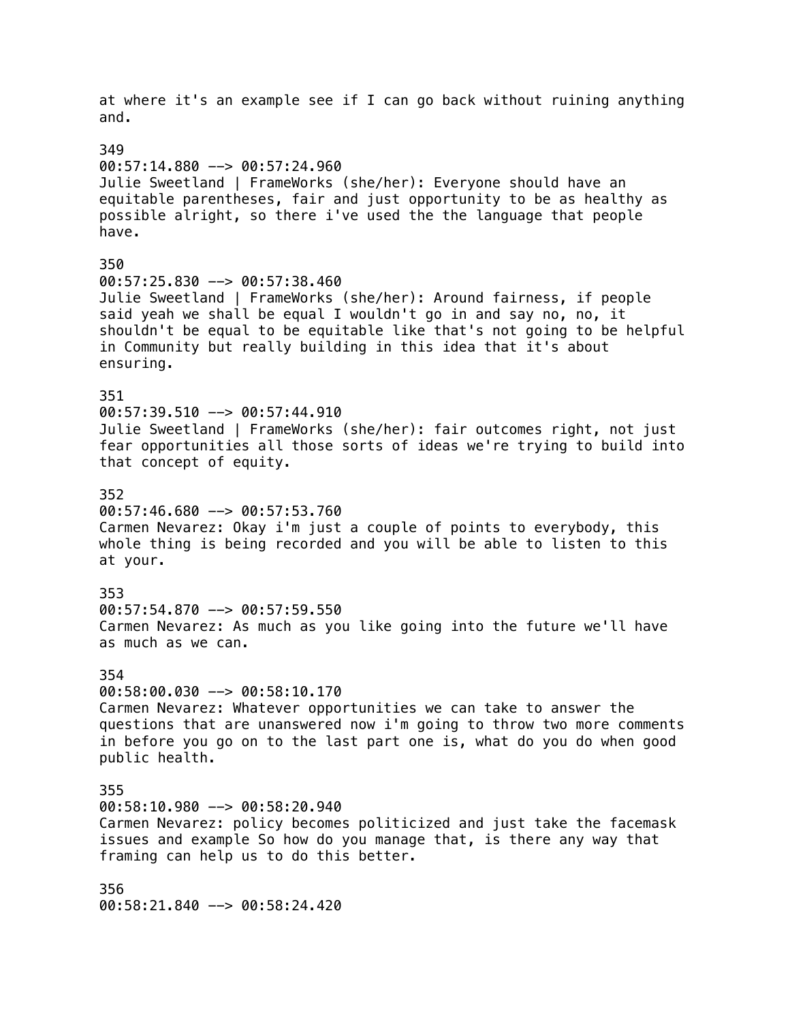at where it's an example see if I can go back without ruining anything and. 349 00:57:14.880 --> 00:57:24.960 Julie Sweetland | FrameWorks (she/her): Everyone should have an equitable parentheses, fair and just opportunity to be as healthy as possible alright, so there i've used the the language that people have. 350 00:57:25.830 --> 00:57:38.460 Julie Sweetland | FrameWorks (she/her): Around fairness, if people said yeah we shall be equal I wouldn't go in and say no, no, it shouldn't be equal to be equitable like that's not going to be helpful in Community but really building in this idea that it's about ensuring. 351  $00:57:39.510$  -->  $00:57:44.910$ Julie Sweetland | FrameWorks (she/her): fair outcomes right, not just fear opportunities all those sorts of ideas we're trying to build into that concept of equity. 352 00:57:46.680 --> 00:57:53.760 Carmen Nevarez: Okay i'm just a couple of points to everybody, this whole thing is being recorded and you will be able to listen to this at your. 353 00:57:54.870 --> 00:57:59.550 Carmen Nevarez: As much as you like going into the future we'll have as much as we can. 354  $00:58:00.030$  -->  $00:58:10.170$ Carmen Nevarez: Whatever opportunities we can take to answer the questions that are unanswered now i'm going to throw two more comments in before you go on to the last part one is, what do you do when good public health. 355 00:58:10.980 --> 00:58:20.940 Carmen Nevarez: policy becomes politicized and just take the facemask issues and example So how do you manage that, is there any way that framing can help us to do this better. 356 00:58:21.840 --> 00:58:24.420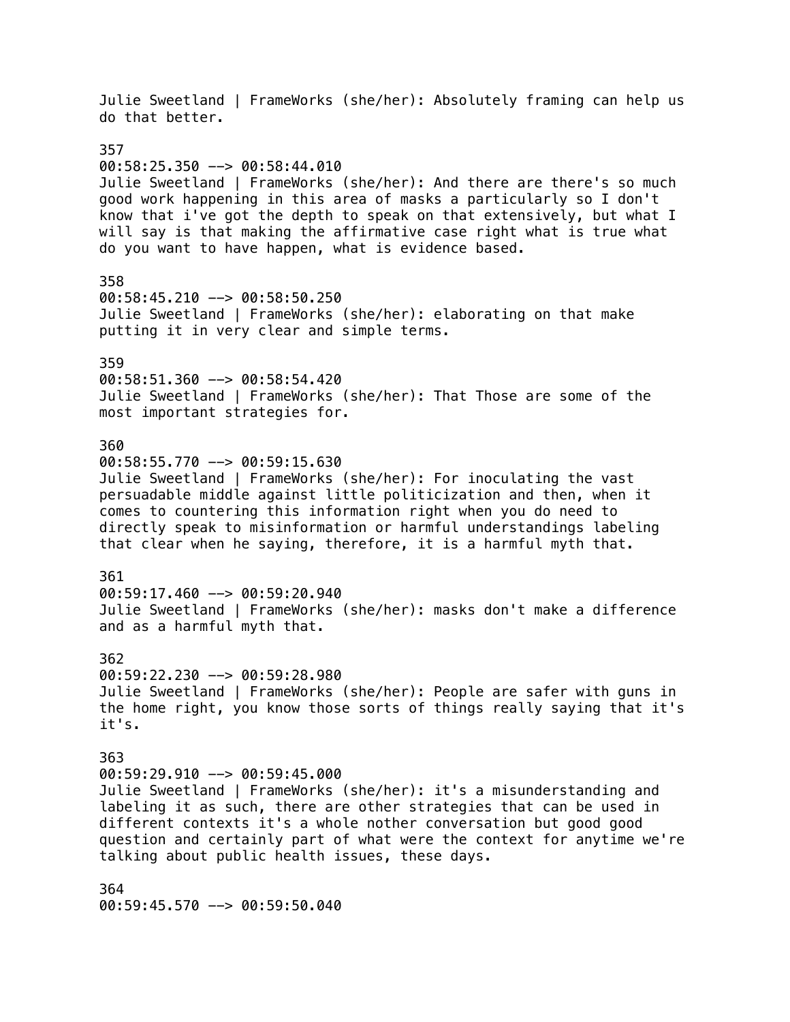Julie Sweetland | FrameWorks (she/her): Absolutely framing can help us do that better. 357 00:58:25.350 --> 00:58:44.010 Julie Sweetland | FrameWorks (she/her): And there are there's so much good work happening in this area of masks a particularly so I don't know that i've got the depth to speak on that extensively, but what I will say is that making the affirmative case right what is true what do you want to have happen, what is evidence based. 358 00:58:45.210 --> 00:58:50.250 Julie Sweetland | FrameWorks (she/her): elaborating on that make putting it in very clear and simple terms. 359 00:58:51.360 --> 00:58:54.420 Julie Sweetland | FrameWorks (she/her): That Those are some of the most important strategies for. 360  $00:58:55.770$  -->  $00:59:15.630$ Julie Sweetland | FrameWorks (she/her): For inoculating the vast persuadable middle against little politicization and then, when it comes to countering this information right when you do need to directly speak to misinformation or harmful understandings labeling that clear when he saying, therefore, it is a harmful myth that. 361  $00:59:17.460$  -->  $00:59:20.940$ Julie Sweetland | FrameWorks (she/her): masks don't make a difference and as a harmful myth that. 362 00:59:22.230 --> 00:59:28.980 Julie Sweetland | FrameWorks (she/her): People are safer with guns in the home right, you know those sorts of things really saying that it's it's. 363 00:59:29.910 --> 00:59:45.000 Julie Sweetland | FrameWorks (she/her): it's a misunderstanding and labeling it as such, there are other strategies that can be used in different contexts it's a whole nother conversation but good good question and certainly part of what were the context for anytime we're talking about public health issues, these days. 364 00:59:45.570 --> 00:59:50.040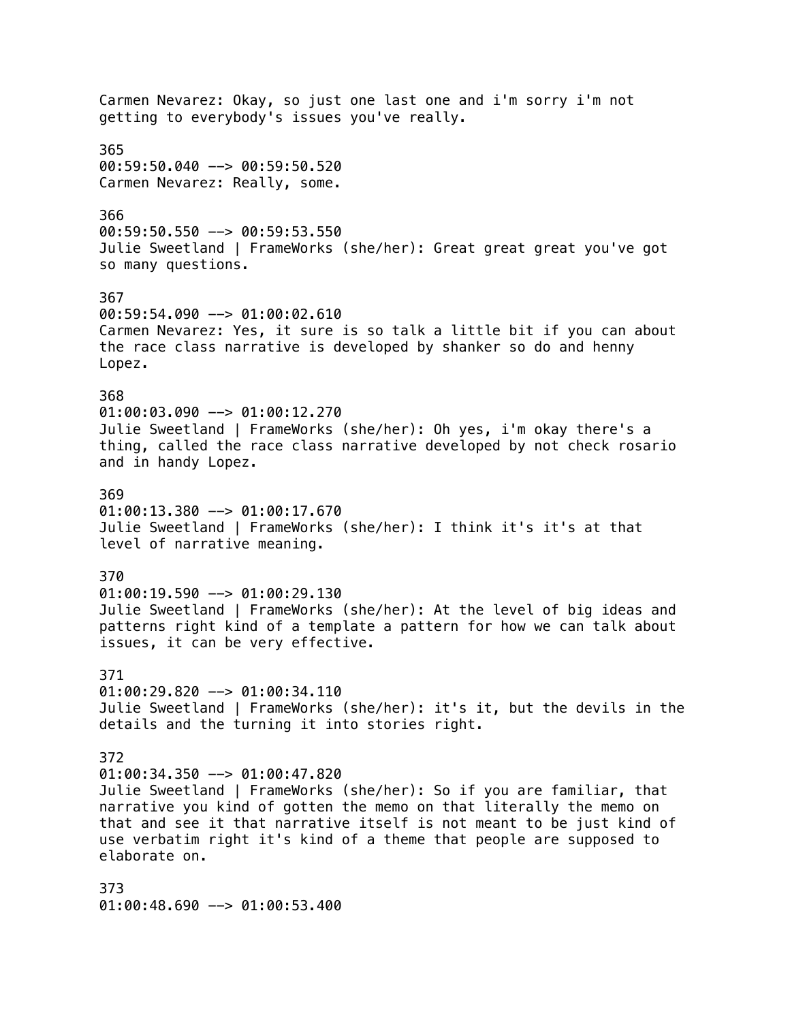Carmen Nevarez: Okay, so just one last one and i'm sorry i'm not getting to everybody's issues you've really. 365 00:59:50.040 --> 00:59:50.520 Carmen Nevarez: Really, some. 366  $00:59:50.550$  -->  $00:59:53.550$ Julie Sweetland | FrameWorks (she/her): Great great great you've got so many questions. 367 00:59:54.090 --> 01:00:02.610 Carmen Nevarez: Yes, it sure is so talk a little bit if you can about the race class narrative is developed by shanker so do and henny Lopez. 368  $01:00:03.090$  -->  $01:00:12.270$ Julie Sweetland | FrameWorks (she/her): Oh yes, i'm okay there's a thing, called the race class narrative developed by not check rosario and in handy Lopez. 369  $01:00:13.380$  -->  $01:00:17.670$ Julie Sweetland | FrameWorks (she/her): I think it's it's at that level of narrative meaning. 370 01:00:19.590 --> 01:00:29.130 Julie Sweetland | FrameWorks (she/her): At the level of big ideas and patterns right kind of a template a pattern for how we can talk about issues, it can be very effective. 371  $01:00:29.820$  -->  $01:00:34.110$ Julie Sweetland | FrameWorks (she/her): it's it, but the devils in the details and the turning it into stories right. 372 01:00:34.350 --> 01:00:47.820 Julie Sweetland | FrameWorks (she/her): So if you are familiar, that narrative you kind of gotten the memo on that literally the memo on that and see it that narrative itself is not meant to be just kind of use verbatim right it's kind of a theme that people are supposed to elaborate on. 373 01:00:48.690 --> 01:00:53.400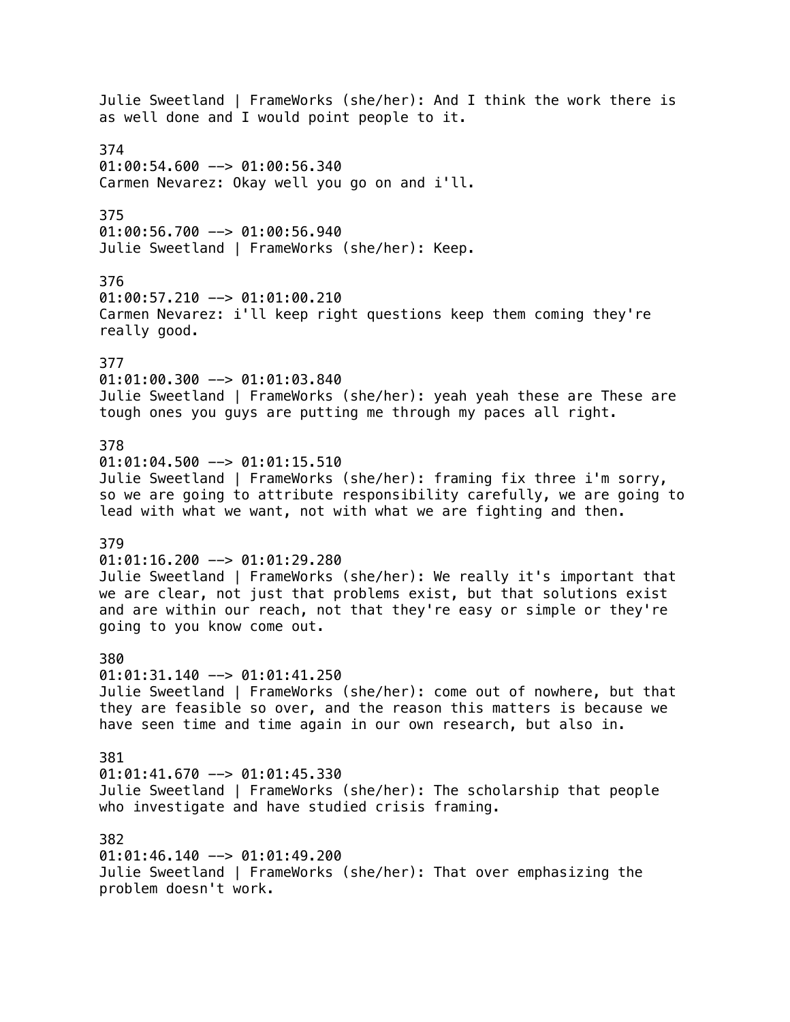Julie Sweetland | FrameWorks (she/her): And I think the work there is as well done and I would point people to it. 374 01:00:54.600 --> 01:00:56.340 Carmen Nevarez: Okay well you go on and i'll. 375  $01:00:56.700$  -->  $01:00:56.940$ Julie Sweetland | FrameWorks (she/her): Keep. 376 01:00:57.210 --> 01:01:00.210 Carmen Nevarez: i'll keep right questions keep them coming they're really good. 377 01:01:00.300 --> 01:01:03.840 Julie Sweetland | FrameWorks (she/her): yeah yeah these are These are tough ones you guys are putting me through my paces all right. 378  $01:01:04.500$  -->  $01:01:15.510$ Julie Sweetland | FrameWorks (she/her): framing fix three i'm sorry, so we are going to attribute responsibility carefully, we are going to lead with what we want, not with what we are fighting and then. 379 01:01:16.200 --> 01:01:29.280 Julie Sweetland | FrameWorks (she/her): We really it's important that we are clear, not just that problems exist, but that solutions exist and are within our reach, not that they're easy or simple or they're going to you know come out. 380  $01:01:31.140$  -->  $01:01:41.250$ Julie Sweetland | FrameWorks (she/her): come out of nowhere, but that they are feasible so over, and the reason this matters is because we have seen time and time again in our own research, but also in. 381  $01:01:41.670$  -->  $01:01:45.330$ Julie Sweetland | FrameWorks (she/her): The scholarship that people who investigate and have studied crisis framing. 382  $01:01:46.140$  -->  $01:01:49.200$ Julie Sweetland | FrameWorks (she/her): That over emphasizing the problem doesn't work.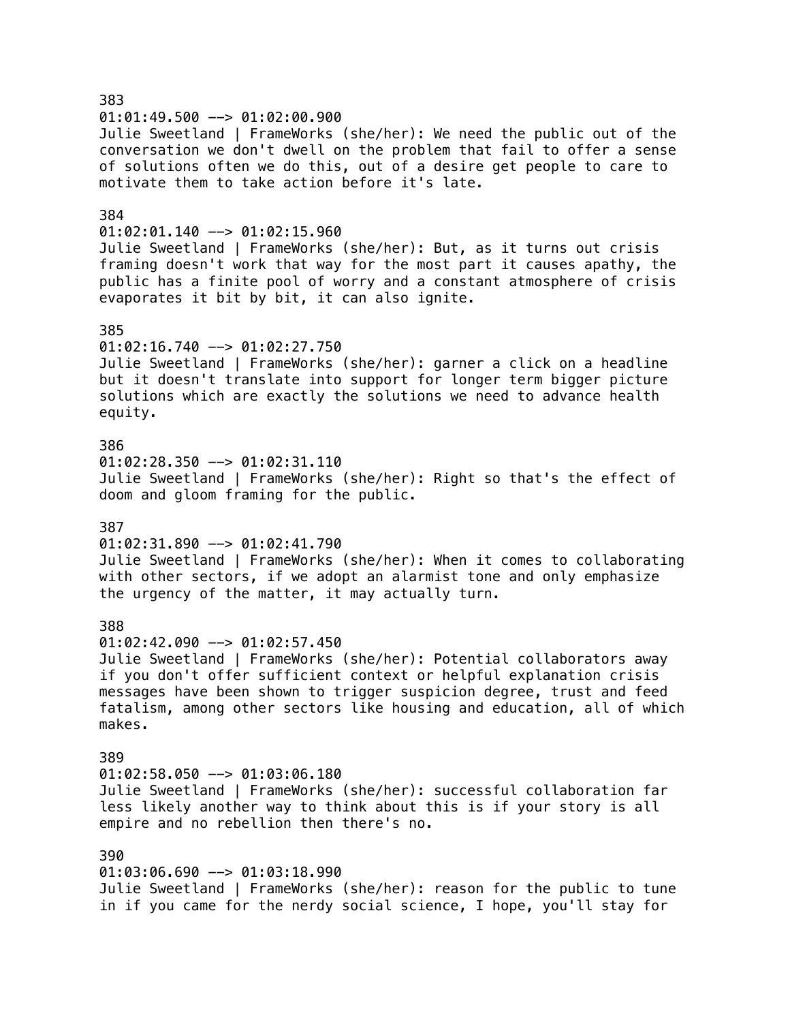383  $01:01:49.500$  -->  $01:02:00.900$ Julie Sweetland | FrameWorks (she/her): We need the public out of the conversation we don't dwell on the problem that fail to offer a sense of solutions often we do this, out of a desire get people to care to motivate them to take action before it's late. 384  $01:02:01.140$  -->  $01:02:15.960$ Julie Sweetland | FrameWorks (she/her): But, as it turns out crisis framing doesn't work that way for the most part it causes apathy, the public has a finite pool of worry and a constant atmosphere of crisis evaporates it bit by bit, it can also ignite. 385 01:02:16.740 --> 01:02:27.750 Julie Sweetland | FrameWorks (she/her): garner a click on a headline but it doesn't translate into support for longer term bigger picture solutions which are exactly the solutions we need to advance health equity. 386  $01:02:28.350$  -->  $01:02:31.110$ Julie Sweetland | FrameWorks (she/her): Right so that's the effect of doom and gloom framing for the public. 387  $01:02:31.890$  -->  $01:02:41.790$ Julie Sweetland | FrameWorks (she/her): When it comes to collaborating with other sectors, if we adopt an alarmist tone and only emphasize the urgency of the matter, it may actually turn. 388  $01:02:42.090$  -->  $01:02:57.450$ Julie Sweetland | FrameWorks (she/her): Potential collaborators away if you don't offer sufficient context or helpful explanation crisis messages have been shown to trigger suspicion degree, trust and feed fatalism, among other sectors like housing and education, all of which makes. 389 01:02:58.050 --> 01:03:06.180 Julie Sweetland | FrameWorks (she/her): successful collaboration far less likely another way to think about this is if your story is all empire and no rebellion then there's no. 390 01:03:06.690 --> 01:03:18.990 Julie Sweetland | FrameWorks (she/her): reason for the public to tune in if you came for the nerdy social science, I hope, you'll stay for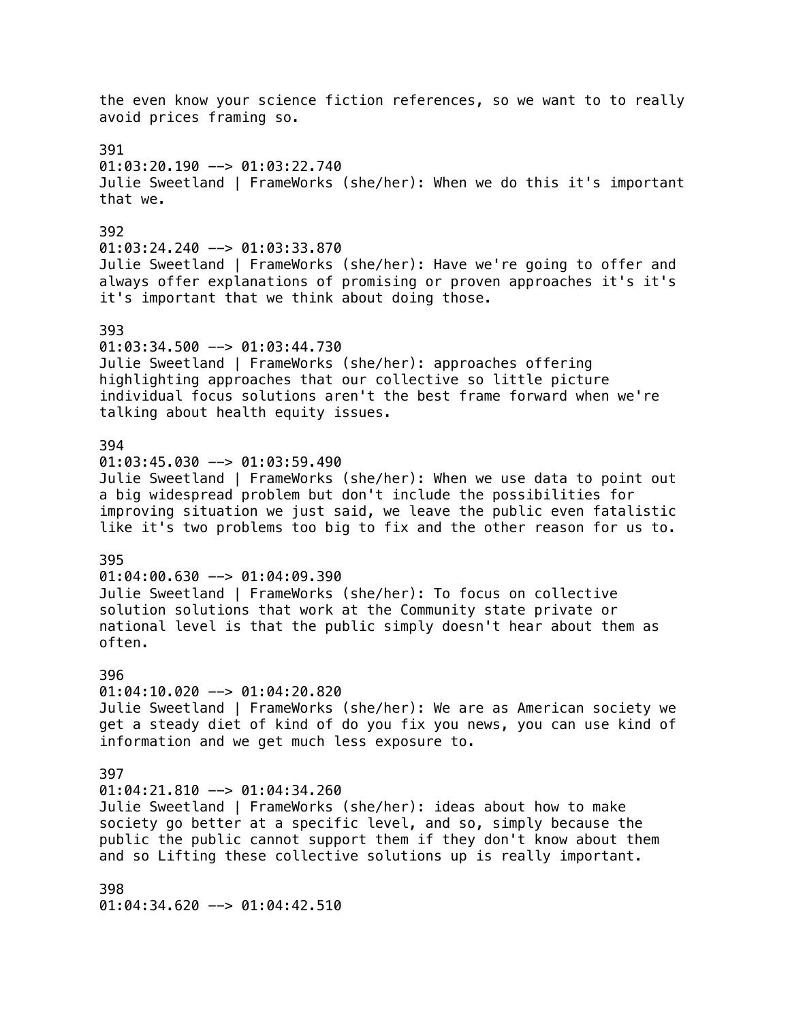the even know your science fiction references, so we want to to really avoid prices framing so. 391 01:03:20.190 --> 01:03:22.740 Julie Sweetland | FrameWorks (she/her): When we do this it's important that we. 392 01:03:24.240 --> 01:03:33.870 Julie Sweetland | FrameWorks (she/her): Have we're going to offer and always offer explanations of promising or proven approaches it's it's it's important that we think about doing those. 393 01:03:34.500 --> 01:03:44.730 Julie Sweetland | FrameWorks (she/her): approaches offering highlighting approaches that our collective so little picture individual focus solutions aren't the best frame forward when we're talking about health equity issues. 394  $01:03:45.030$  -->  $01:03:59.490$ Julie Sweetland | FrameWorks (she/her): When we use data to point out a big widespread problem but don't include the possibilities for improving situation we just said, we leave the public even fatalistic like it's two problems too big to fix and the other reason for us to. 395  $01:04:00.630$  -->  $01:04:09.390$ Julie Sweetland | FrameWorks (she/her): To focus on collective solution solutions that work at the Community state private or national level is that the public simply doesn't hear about them as often. 396  $01:04:10.020$  -->  $01:04:20.820$ Julie Sweetland | FrameWorks (she/her): We are as American society we get a steady diet of kind of do you fix you news, you can use kind of information and we get much less exposure to. 397  $01:04:21.810$  -->  $01:04:34.260$ Julie Sweetland | FrameWorks (she/her): ideas about how to make society go better at a specific level, and so, simply because the public the public cannot support them if they don't know about them and so Lifting these collective solutions up is really important. 398

01:04:34.620 --> 01:04:42.510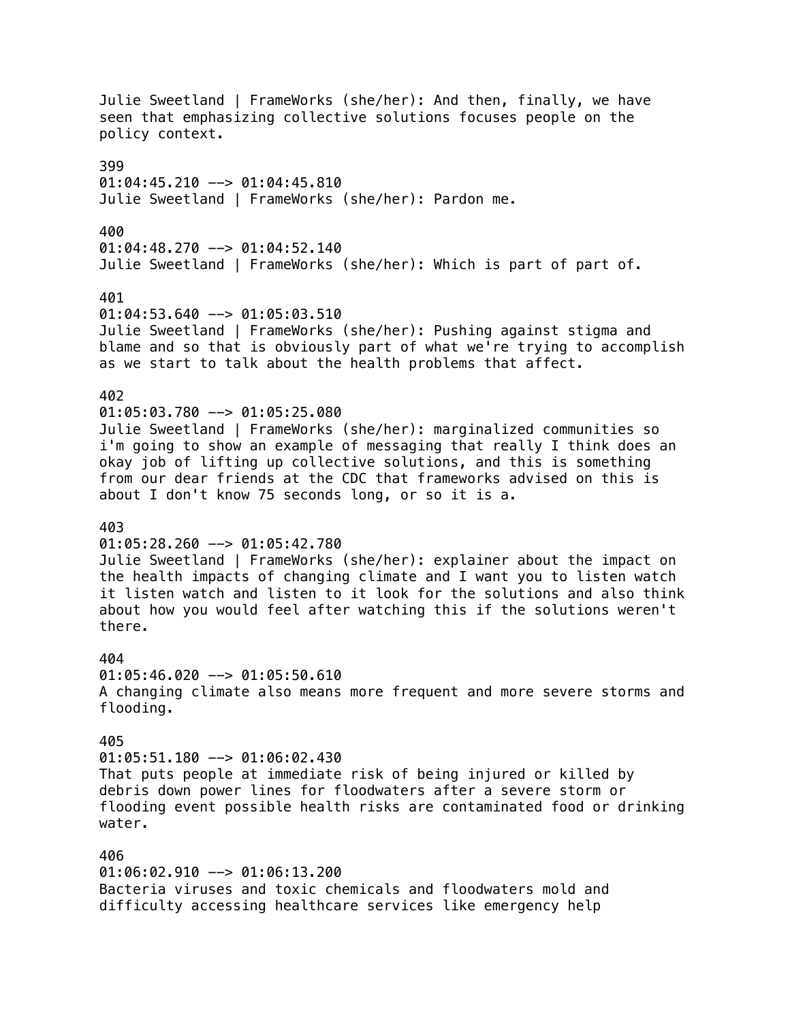Julie Sweetland | FrameWorks (she/her): And then, finally, we have seen that emphasizing collective solutions focuses people on the policy context. 399  $01:04:45.210$  -->  $01:04:45.810$ Julie Sweetland | FrameWorks (she/her): Pardon me. 400  $01:04:48.270$  -->  $01:04:52.140$ Julie Sweetland | FrameWorks (she/her): Which is part of part of. 401 01:04:53.640 --> 01:05:03.510 Julie Sweetland | FrameWorks (she/her): Pushing against stigma and blame and so that is obviously part of what we're trying to accomplish as we start to talk about the health problems that affect. 402  $01:05:03.780$  -->  $01:05:25.080$ Julie Sweetland | FrameWorks (she/her): marginalized communities so i'm going to show an example of messaging that really I think does an okay job of lifting up collective solutions, and this is something from our dear friends at the CDC that frameworks advised on this is about I don't know 75 seconds long, or so it is a. 403  $01:05:28.260$  -->  $01:05:42.780$ Julie Sweetland | FrameWorks (she/her): explainer about the impact on the health impacts of changing climate and I want you to listen watch it listen watch and listen to it look for the solutions and also think about how you would feel after watching this if the solutions weren't there. 404  $01:05:46.020$  -->  $01:05:50.610$ A changing climate also means more frequent and more severe storms and flooding. 405 01:05:51.180 --> 01:06:02.430 That puts people at immediate risk of being injured or killed by debris down power lines for floodwaters after a severe storm or flooding event possible health risks are contaminated food or drinking water. 406 01:06:02.910 --> 01:06:13.200 Bacteria viruses and toxic chemicals and floodwaters mold and difficulty accessing healthcare services like emergency help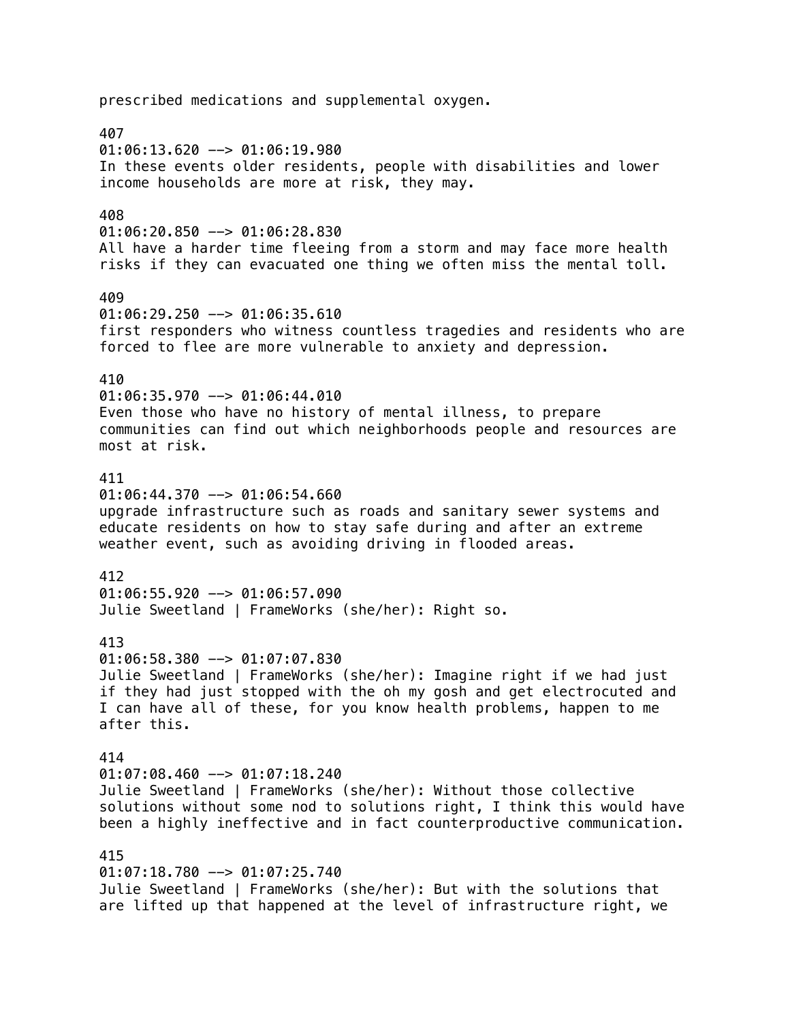prescribed medications and supplemental oxygen. 407  $01:06:13.620$  -->  $01:06:19.980$ In these events older residents, people with disabilities and lower income households are more at risk, they may. 408 01:06:20.850 --> 01:06:28.830 All have a harder time fleeing from a storm and may face more health risks if they can evacuated one thing we often miss the mental toll. 409  $01:06:29.250$  -->  $01:06:35.610$ first responders who witness countless tragedies and residents who are forced to flee are more vulnerable to anxiety and depression. 410 01:06:35.970 --> 01:06:44.010 Even those who have no history of mental illness, to prepare communities can find out which neighborhoods people and resources are most at risk. 411  $01:06:44.370$  -->  $01:06:54.660$ upgrade infrastructure such as roads and sanitary sewer systems and educate residents on how to stay safe during and after an extreme weather event, such as avoiding driving in flooded areas. 412 01:06:55.920 --> 01:06:57.090 Julie Sweetland | FrameWorks (she/her): Right so. 413  $01:06:58.380$  -->  $01:07:07.830$ Julie Sweetland | FrameWorks (she/her): Imagine right if we had just if they had just stopped with the oh my gosh and get electrocuted and I can have all of these, for you know health problems, happen to me after this. 414  $01:07:08.460$  -->  $01:07:18.240$ Julie Sweetland | FrameWorks (she/her): Without those collective solutions without some nod to solutions right, I think this would have been a highly ineffective and in fact counterproductive communication. 415  $01:07:18.780$  -->  $01:07:25.740$ Julie Sweetland | FrameWorks (she/her): But with the solutions that are lifted up that happened at the level of infrastructure right, we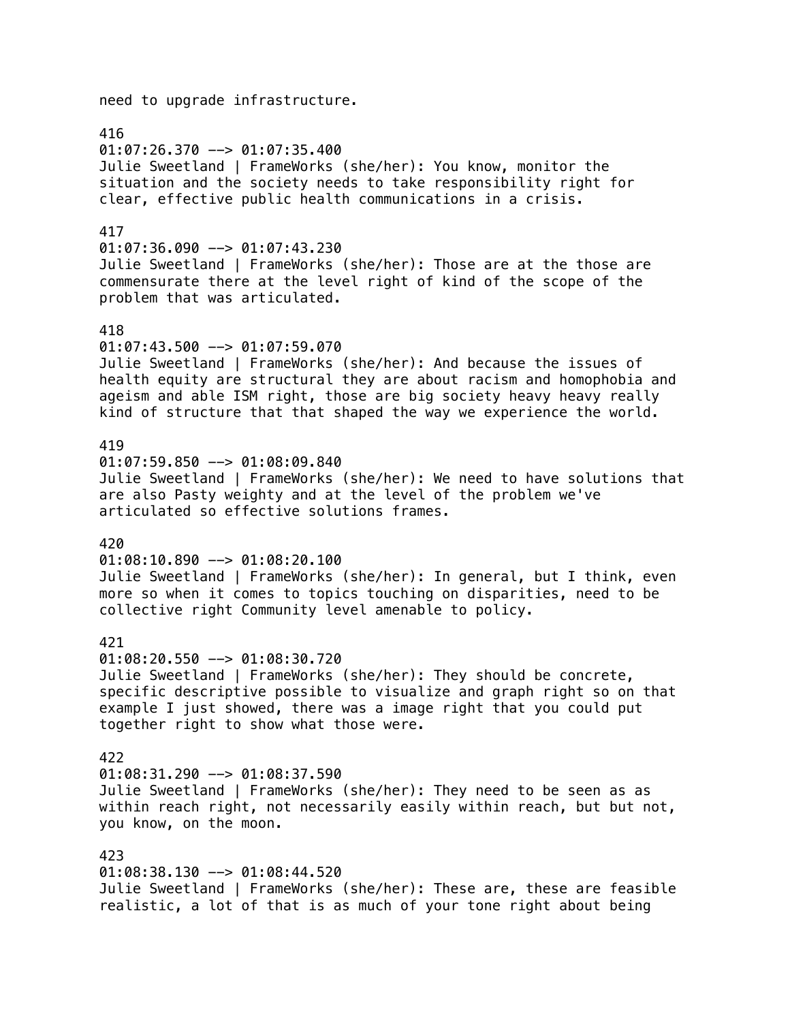need to upgrade infrastructure.

416

 $01:07:26.370$  -->  $01:07:35.400$ Julie Sweetland | FrameWorks (she/her): You know, monitor the situation and the society needs to take responsibility right for clear, effective public health communications in a crisis.

### 417

 $01:07:36.090$  -->  $01:07:43.230$ Julie Sweetland | FrameWorks (she/her): Those are at the those are commensurate there at the level right of kind of the scope of the problem that was articulated.

#### 418

01:07:43.500 --> 01:07:59.070 Julie Sweetland | FrameWorks (she/her): And because the issues of health equity are structural they are about racism and homophobia and ageism and able ISM right, those are big society heavy heavy really kind of structure that that shaped the way we experience the world.

### 419

 $01:07:59.850$  -->  $01:08:09.840$ Julie Sweetland | FrameWorks (she/her): We need to have solutions that are also Pasty weighty and at the level of the problem we've articulated so effective solutions frames.

### 420

01:08:10.890 --> 01:08:20.100

Julie Sweetland | FrameWorks (she/her): In general, but I think, even more so when it comes to topics touching on disparities, need to be collective right Community level amenable to policy.

### 421

01:08:20.550 --> 01:08:30.720 Julie Sweetland | FrameWorks (she/her): They should be concrete, specific descriptive possible to visualize and graph right so on that example I just showed, there was a image right that you could put together right to show what those were.

#### 422

 $01:08:31.290$  -->  $01:08:37.590$ Julie Sweetland | FrameWorks (she/her): They need to be seen as as within reach right, not necessarily easily within reach, but but not, you know, on the moon.

423 01:08:38.130 --> 01:08:44.520 Julie Sweetland | FrameWorks (she/her): These are, these are feasible realistic, a lot of that is as much of your tone right about being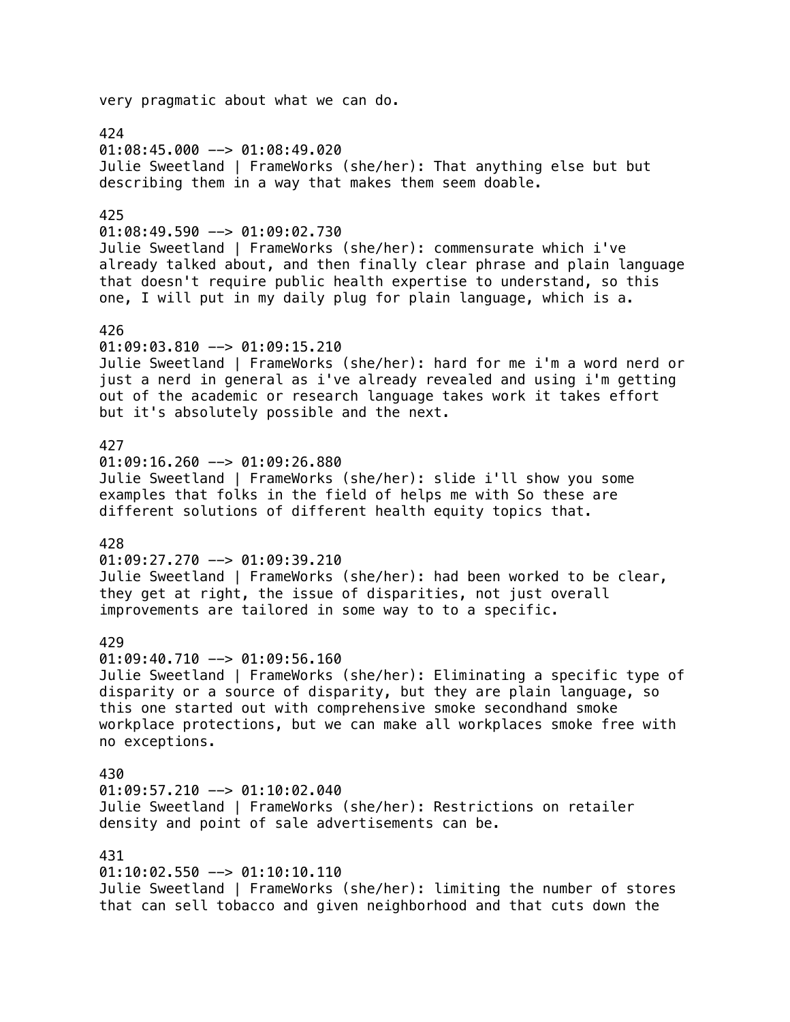very pragmatic about what we can do. 424  $01:08:45.000$  -->  $01:08:49.020$ Julie Sweetland | FrameWorks (she/her): That anything else but but describing them in a way that makes them seem doable. 425  $01:08:49.590$  -->  $01:09:02.730$ Julie Sweetland | FrameWorks (she/her): commensurate which i've already talked about, and then finally clear phrase and plain language that doesn't require public health expertise to understand, so this one, I will put in my daily plug for plain language, which is a. 426 01:09:03.810 --> 01:09:15.210 Julie Sweetland | FrameWorks (she/her): hard for me i'm a word nerd or just a nerd in general as i've already revealed and using i'm getting out of the academic or research language takes work it takes effort but it's absolutely possible and the next. 427  $01:09:16.260$  -->  $01:09:26.880$ Julie Sweetland | FrameWorks (she/her): slide i'll show you some examples that folks in the field of helps me with So these are different solutions of different health equity topics that. 428 01:09:27.270 --> 01:09:39.210 Julie Sweetland | FrameWorks (she/her): had been worked to be clear, they get at right, the issue of disparities, not just overall improvements are tailored in some way to to a specific. 429  $01:09:40.710$  -->  $01:09:56.160$ Julie Sweetland | FrameWorks (she/her): Eliminating a specific type of disparity or a source of disparity, but they are plain language, so this one started out with comprehensive smoke secondhand smoke workplace protections, but we can make all workplaces smoke free with no exceptions. 430  $01:09:57.210$  -->  $01:10:02.040$ Julie Sweetland | FrameWorks (she/her): Restrictions on retailer density and point of sale advertisements can be. 431 01:10:02.550 --> 01:10:10.110 Julie Sweetland | FrameWorks (she/her): limiting the number of stores that can sell tobacco and given neighborhood and that cuts down the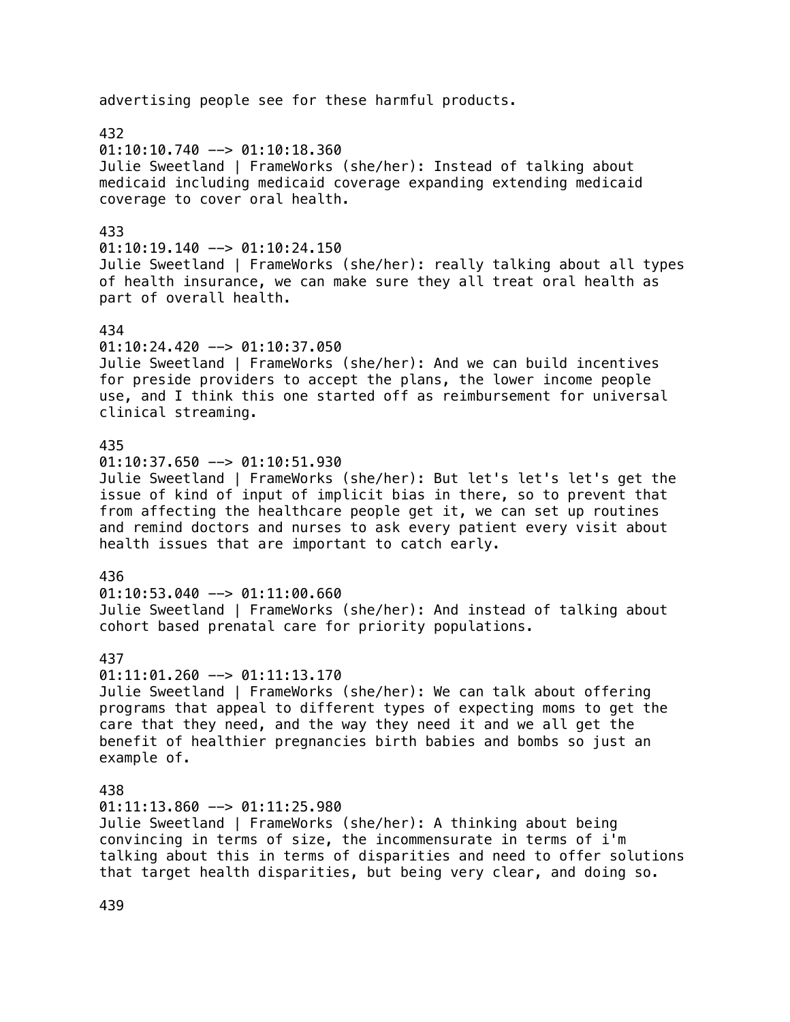# 432  $01:10:10.740$  -->  $01:10:18.360$ Julie Sweetland | FrameWorks (she/her): Instead of talking about medicaid including medicaid coverage expanding extending medicaid coverage to cover oral health. 433  $01:10:19.140$  -->  $01:10:24.150$ Julie Sweetland | FrameWorks (she/her): really talking about all types of health insurance, we can make sure they all treat oral health as part of overall health. 434 01:10:24.420 --> 01:10:37.050 Julie Sweetland | FrameWorks (she/her): And we can build incentives for preside providers to accept the plans, the lower income people use, and I think this one started off as reimbursement for universal clinical streaming. 435  $01:10:37.650$  -->  $01:10:51.930$ Julie Sweetland | FrameWorks (she/her): But let's let's let's get the issue of kind of input of implicit bias in there, so to prevent that from affecting the healthcare people get it, we can set up routines and remind doctors and nurses to ask every patient every visit about health issues that are important to catch early. 436 01:10:53.040 --> 01:11:00.660 Julie Sweetland | FrameWorks (she/her): And instead of talking about cohort based prenatal care for priority populations. 437 01:11:01.260 --> 01:11:13.170 Julie Sweetland | FrameWorks (she/her): We can talk about offering programs that appeal to different types of expecting moms to get the care that they need, and the way they need it and we all get the benefit of healthier pregnancies birth babies and bombs so just an example of. 438  $01:11:13.860$  -->  $01:11:25.980$ Julie Sweetland | FrameWorks (she/her): A thinking about being convincing in terms of size, the incommensurate in terms of i'm talking about this in terms of disparities and need to offer solutions that target health disparities, but being very clear, and doing so.

advertising people see for these harmful products.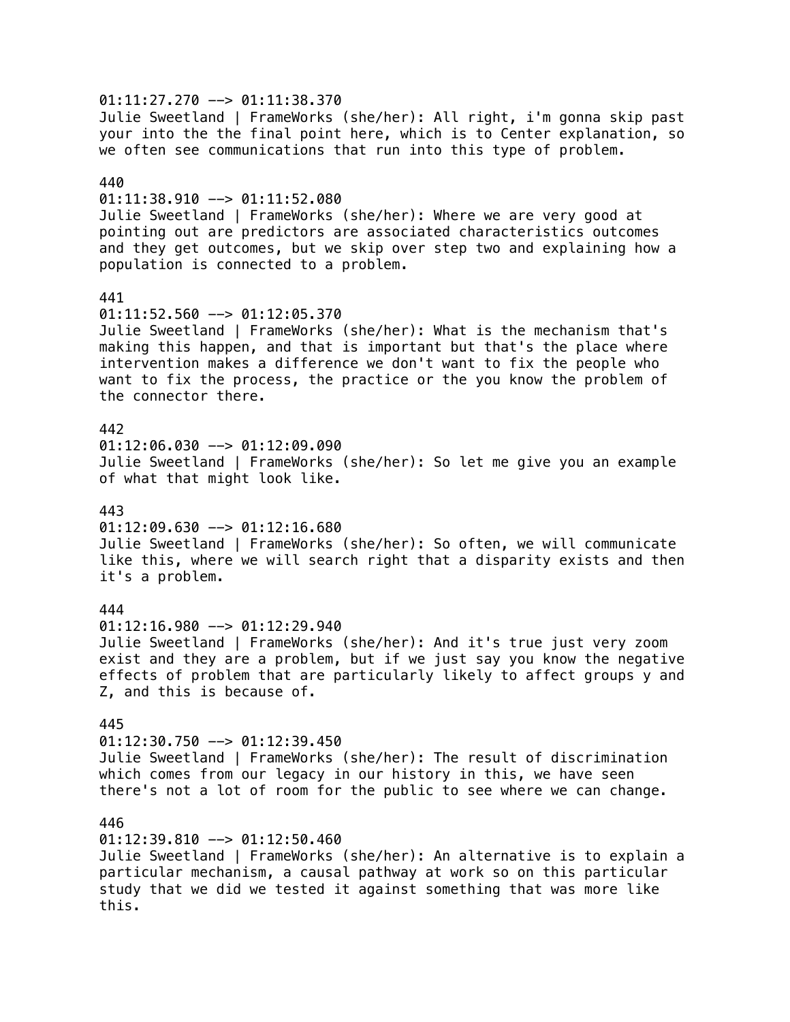01:11:27.270 --> 01:11:38.370 Julie Sweetland | FrameWorks (she/her): All right, i'm gonna skip past your into the the final point here, which is to Center explanation, so we often see communications that run into this type of problem. 440  $01:11:38.910$  -->  $01:11:52.080$ Julie Sweetland | FrameWorks (she/her): Where we are very good at pointing out are predictors are associated characteristics outcomes and they get outcomes, but we skip over step two and explaining how a population is connected to a problem. 441 01:11:52.560 --> 01:12:05.370 Julie Sweetland | FrameWorks (she/her): What is the mechanism that's making this happen, and that is important but that's the place where intervention makes a difference we don't want to fix the people who want to fix the process, the practice or the you know the problem of the connector there. 442  $01:12:06.030$  -->  $01:12:09.090$ Julie Sweetland | FrameWorks (she/her): So let me give you an example of what that might look like. 443  $01:12:09.630$  -->  $01:12:16.680$ Julie Sweetland | FrameWorks (she/her): So often, we will communicate like this, where we will search right that a disparity exists and then it's a problem. 444  $01:12:16.980$  -->  $01:12:29.940$ Julie Sweetland | FrameWorks (she/her): And it's true just very zoom exist and they are a problem, but if we just say you know the negative effects of problem that are particularly likely to affect groups y and Z, and this is because of. 445  $01:12:30.750$  -->  $01:12:39.450$ Julie Sweetland | FrameWorks (she/her): The result of discrimination which comes from our legacy in our history in this, we have seen there's not a lot of room for the public to see where we can change. 446 01:12:39.810 --> 01:12:50.460 Julie Sweetland | FrameWorks (she/her): An alternative is to explain a particular mechanism, a causal pathway at work so on this particular study that we did we tested it against something that was more like this.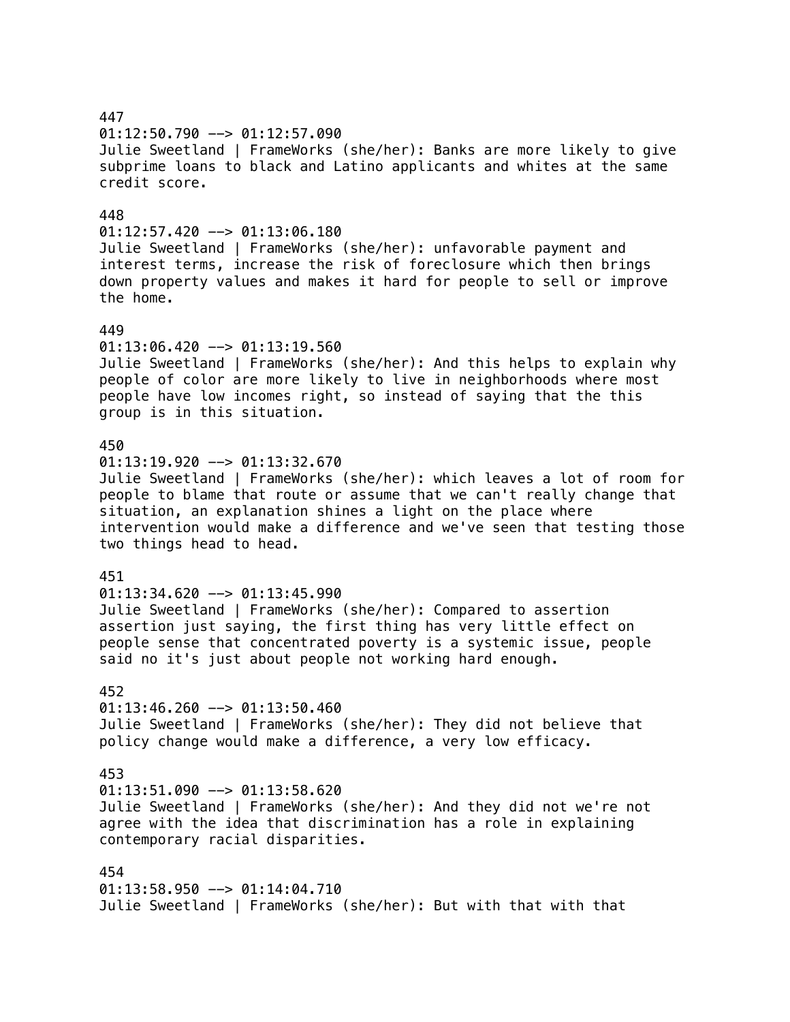447  $01:12:50.790$  -->  $01:12:57.090$ Julie Sweetland | FrameWorks (she/her): Banks are more likely to give subprime loans to black and Latino applicants and whites at the same credit score. 448  $01:12:57.420$  -->  $01:13:06.180$ Julie Sweetland | FrameWorks (she/her): unfavorable payment and interest terms, increase the risk of foreclosure which then brings down property values and makes it hard for people to sell or improve the home. 449  $01:13:06.420$  -->  $01:13:19.560$ Julie Sweetland | FrameWorks (she/her): And this helps to explain why people of color are more likely to live in neighborhoods where most people have low incomes right, so instead of saying that the this group is in this situation. 450  $01:13:19.920$  -->  $01:13:32.670$ Julie Sweetland | FrameWorks (she/her): which leaves a lot of room for people to blame that route or assume that we can't really change that situation, an explanation shines a light on the place where intervention would make a difference and we've seen that testing those two things head to head. 451  $01:13:34.620$  -->  $01:13:45.990$ Julie Sweetland | FrameWorks (she/her): Compared to assertion assertion just saying, the first thing has very little effect on people sense that concentrated poverty is a systemic issue, people said no it's just about people not working hard enough. 452  $01:13:46.260$  -->  $01:13:50.460$ Julie Sweetland | FrameWorks (she/her): They did not believe that policy change would make a difference, a very low efficacy. 453  $01:13:51.090$  -->  $01:13:58.620$ Julie Sweetland | FrameWorks (she/her): And they did not we're not agree with the idea that discrimination has a role in explaining contemporary racial disparities. 454 01:13:58.950 --> 01:14:04.710 Julie Sweetland | FrameWorks (she/her): But with that with that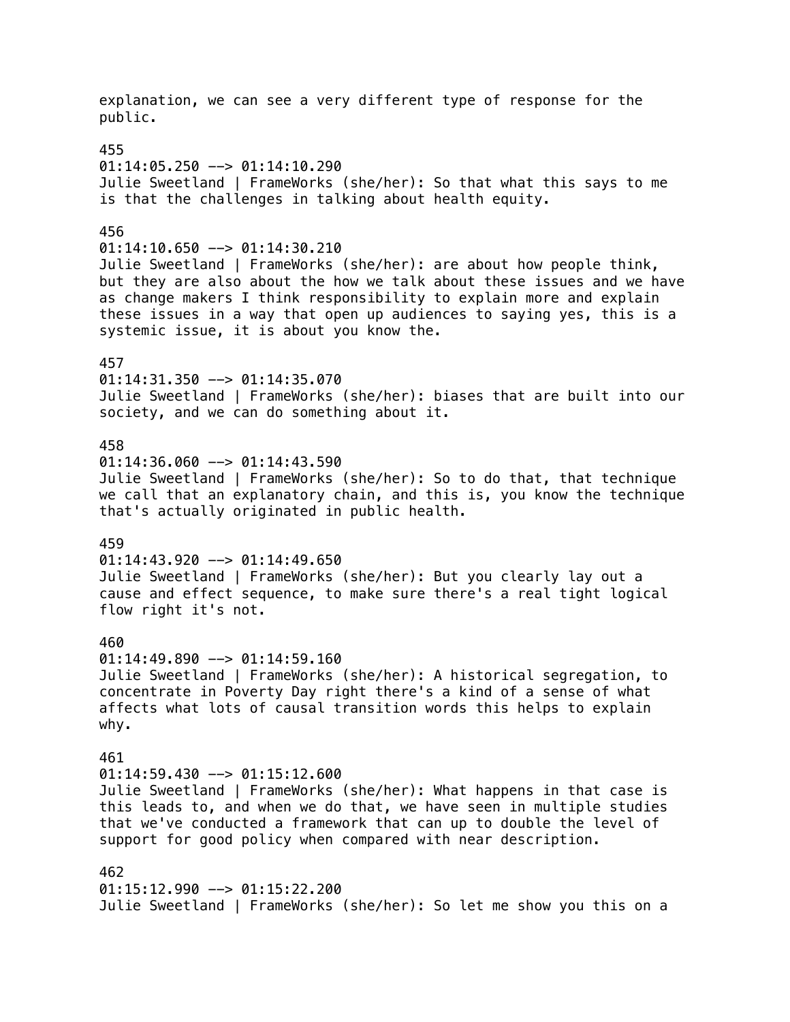explanation, we can see a very different type of response for the public. 455  $01:14:05.250$  -->  $01:14:10.290$ Julie Sweetland | FrameWorks (she/her): So that what this says to me is that the challenges in talking about health equity. 456  $01:14:10.650$  -->  $01:14:30.210$ Julie Sweetland | FrameWorks (she/her): are about how people think, but they are also about the how we talk about these issues and we have as change makers I think responsibility to explain more and explain these issues in a way that open up audiences to saying yes, this is a systemic issue, it is about you know the. 457 01:14:31.350 --> 01:14:35.070 Julie Sweetland | FrameWorks (she/her): biases that are built into our society, and we can do something about it. 458  $01:14:36.060$  -->  $01:14:43.590$ Julie Sweetland | FrameWorks (she/her): So to do that, that technique we call that an explanatory chain, and this is, you know the technique that's actually originated in public health. 459  $01:14:43.920$  -->  $01:14:49.650$ Julie Sweetland | FrameWorks (she/her): But you clearly lay out a cause and effect sequence, to make sure there's a real tight logical flow right it's not. 460  $01:14:49.890$  -->  $01:14:59.160$ Julie Sweetland | FrameWorks (she/her): A historical segregation, to concentrate in Poverty Day right there's a kind of a sense of what affects what lots of causal transition words this helps to explain why. 461  $01:14:59.430$  -->  $01:15:12.600$ Julie Sweetland | FrameWorks (she/her): What happens in that case is this leads to, and when we do that, we have seen in multiple studies that we've conducted a framework that can up to double the level of support for good policy when compared with near description. 462 01:15:12.990 --> 01:15:22.200 Julie Sweetland | FrameWorks (she/her): So let me show you this on a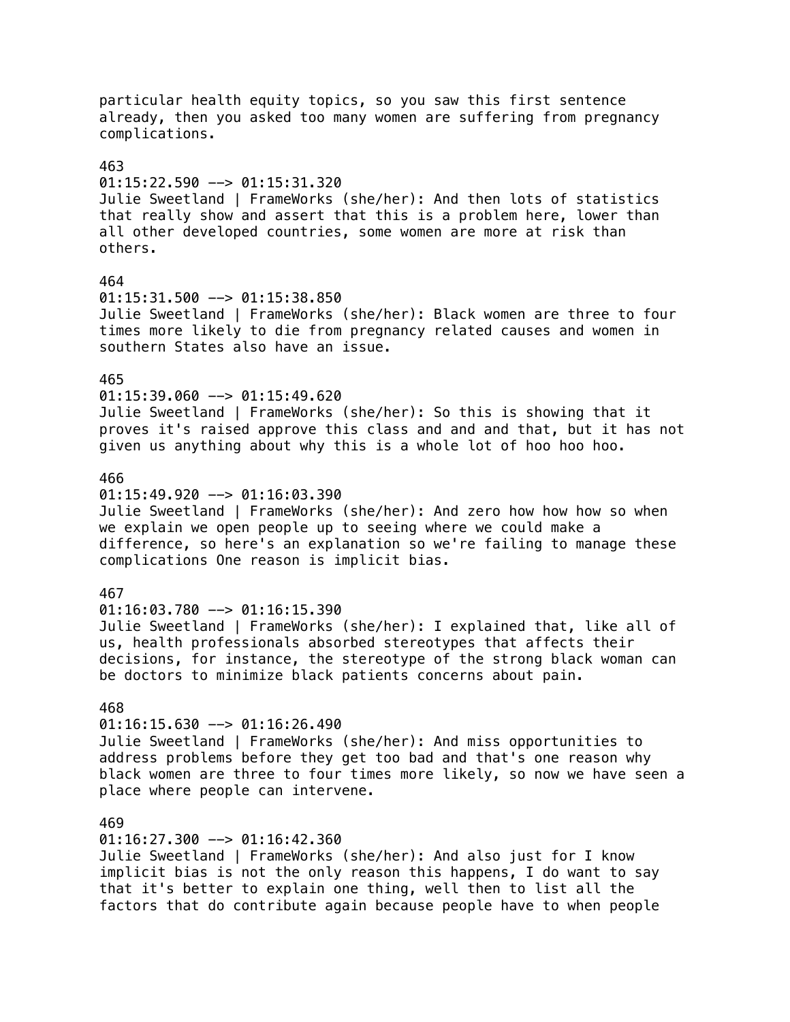particular health equity topics, so you saw this first sentence already, then you asked too many women are suffering from pregnancy complications. 463 01:15:22.590 --> 01:15:31.320 Julie Sweetland | FrameWorks (she/her): And then lots of statistics that really show and assert that this is a problem here, lower than all other developed countries, some women are more at risk than others. 464 01:15:31.500 --> 01:15:38.850 Julie Sweetland | FrameWorks (she/her): Black women are three to four times more likely to die from pregnancy related causes and women in southern States also have an issue. 465  $01:15:39.060$  -->  $01:15:49.620$ Julie Sweetland | FrameWorks (she/her): So this is showing that it proves it's raised approve this class and and and that, but it has not given us anything about why this is a whole lot of hoo hoo hoo. 466  $01:15:49.920$  -->  $01:16:03.390$ Julie Sweetland | FrameWorks (she/her): And zero how how how so when we explain we open people up to seeing where we could make a difference, so here's an explanation so we're failing to manage these complications One reason is implicit bias. 467 01:16:03.780 --> 01:16:15.390 Julie Sweetland | FrameWorks (she/her): I explained that, like all of us, health professionals absorbed stereotypes that affects their decisions, for instance, the stereotype of the strong black woman can be doctors to minimize black patients concerns about pain. 468  $01:16:15.630$  -->  $01:16:26.490$ Julie Sweetland | FrameWorks (she/her): And miss opportunities to address problems before they get too bad and that's one reason why black women are three to four times more likely, so now we have seen a place where people can intervene. 469  $01:16:27.300$  -->  $01:16:42.360$ Julie Sweetland | FrameWorks (she/her): And also just for I know implicit bias is not the only reason this happens, I do want to say that it's better to explain one thing, well then to list all the

factors that do contribute again because people have to when people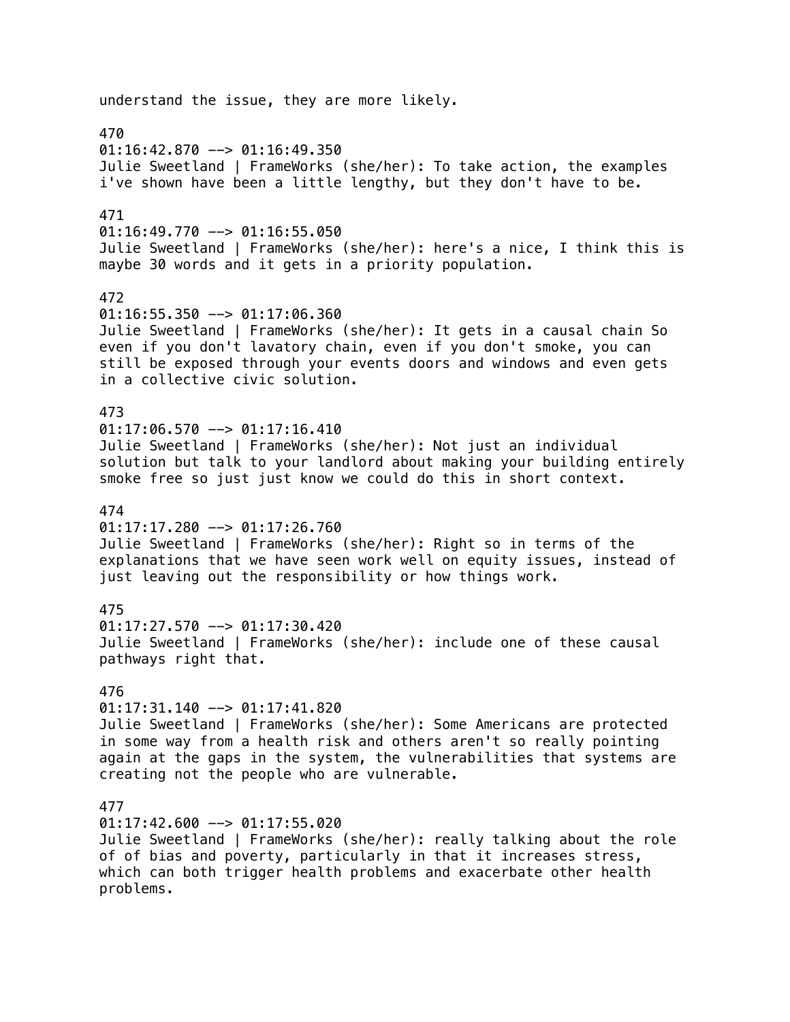understand the issue, they are more likely. 470  $01:16:42.870$  -->  $01:16:49.350$ Julie Sweetland | FrameWorks (she/her): To take action, the examples i've shown have been a little lengthy, but they don't have to be. 471  $01:16:49.770$  -->  $01:16:55.050$ Julie Sweetland | FrameWorks (she/her): here's a nice, I think this is maybe 30 words and it gets in a priority population. 472 01:16:55.350 --> 01:17:06.360 Julie Sweetland | FrameWorks (she/her): It gets in a causal chain So even if you don't lavatory chain, even if you don't smoke, you can still be exposed through your events doors and windows and even gets in a collective civic solution. 473  $01:17:06.570$  -->  $01:17:16.410$ Julie Sweetland | FrameWorks (she/her): Not just an individual solution but talk to your landlord about making your building entirely smoke free so just just know we could do this in short context. 474  $01:17:17.280$  -->  $01:17:26.760$ Julie Sweetland | FrameWorks (she/her): Right so in terms of the explanations that we have seen work well on equity issues, instead of just leaving out the responsibility or how things work. 475  $01:17:27.570$  -->  $01:17:30.420$ Julie Sweetland | FrameWorks (she/her): include one of these causal pathways right that. 476  $01:17:31.140$  -->  $01:17:41.820$ Julie Sweetland | FrameWorks (she/her): Some Americans are protected in some way from a health risk and others aren't so really pointing again at the gaps in the system, the vulnerabilities that systems are creating not the people who are vulnerable. 477  $01:17:42.600$  -->  $01:17:55.020$ Julie Sweetland | FrameWorks (she/her): really talking about the role of of bias and poverty, particularly in that it increases stress, which can both trigger health problems and exacerbate other health problems.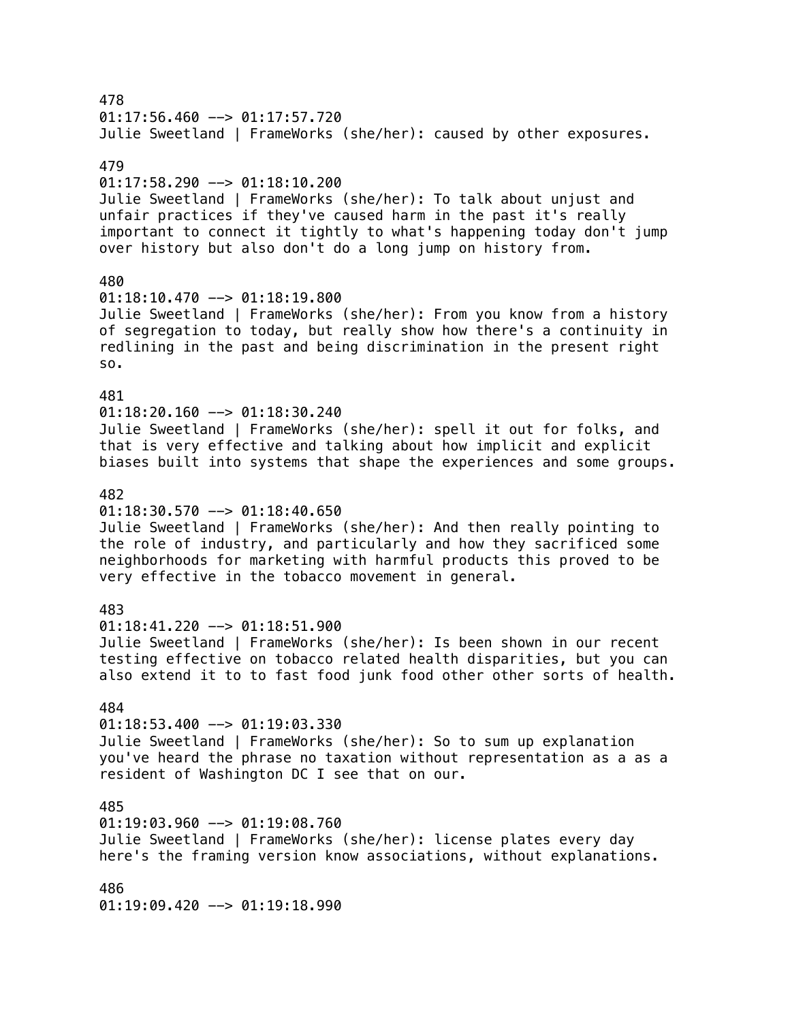478  $01:17:56.460$  -->  $01:17:57.720$ Julie Sweetland | FrameWorks (she/her): caused by other exposures. 479 01:17:58.290 --> 01:18:10.200 Julie Sweetland | FrameWorks (she/her): To talk about unjust and unfair practices if they've caused harm in the past it's really important to connect it tightly to what's happening today don't jump over history but also don't do a long jump on history from. 480  $01:18:10.470$  -->  $01:18:19.800$ Julie Sweetland | FrameWorks (she/her): From you know from a history of segregation to today, but really show how there's a continuity in redlining in the past and being discrimination in the present right so. 481  $01:18:20.160$  -->  $01:18:30.240$ Julie Sweetland | FrameWorks (she/her): spell it out for folks, and that is very effective and talking about how implicit and explicit biases built into systems that shape the experiences and some groups. 482  $01:18:30.570$  -->  $01:18:40.650$ Julie Sweetland | FrameWorks (she/her): And then really pointing to the role of industry, and particularly and how they sacrificed some neighborhoods for marketing with harmful products this proved to be very effective in the tobacco movement in general. 483  $01:18:41.220$  -->  $01:18:51.900$ Julie Sweetland | FrameWorks (she/her): Is been shown in our recent testing effective on tobacco related health disparities, but you can also extend it to to fast food junk food other other sorts of health. 484  $01:18:53.400$  -->  $01:19:03.330$ Julie Sweetland | FrameWorks (she/her): So to sum up explanation you've heard the phrase no taxation without representation as a as a resident of Washington DC I see that on our. 485  $01:19:03.960$  -->  $01:19:08.760$ Julie Sweetland | FrameWorks (she/her): license plates every day here's the framing version know associations, without explanations. 486 01:19:09.420 --> 01:19:18.990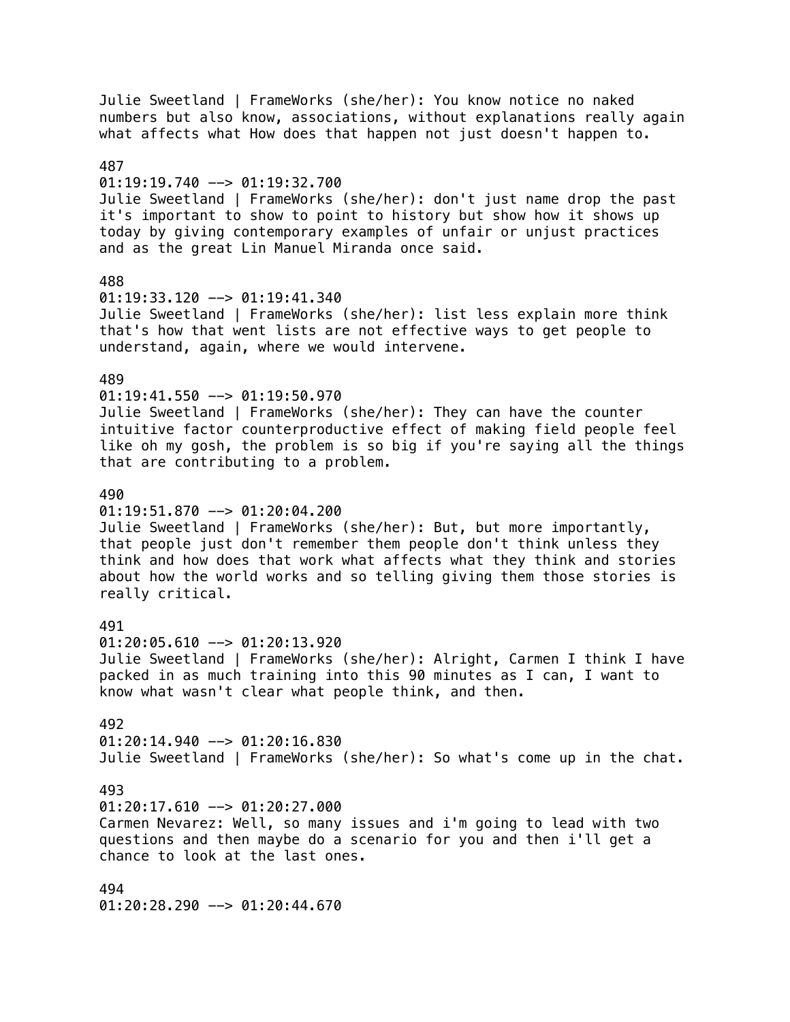Julie Sweetland | FrameWorks (she/her): You know notice no naked numbers but also know, associations, without explanations really again what affects what How does that happen not just doesn't happen to. 487 01:19:19.740 --> 01:19:32.700 Julie Sweetland | FrameWorks (she/her): don't just name drop the past it's important to show to point to history but show how it shows up today by giving contemporary examples of unfair or unjust practices and as the great Lin Manuel Miranda once said. 488 01:19:33.120 --> 01:19:41.340 Julie Sweetland | FrameWorks (she/her): list less explain more think that's how that went lists are not effective ways to get people to understand, again, where we would intervene. 489 01:19:41.550 --> 01:19:50.970 Julie Sweetland | FrameWorks (she/her): They can have the counter intuitive factor counterproductive effect of making field people feel like oh my gosh, the problem is so big if you're saying all the things that are contributing to a problem. 490  $01:19:51.870$  -->  $01:20:04.200$ Julie Sweetland | FrameWorks (she/her): But, but more importantly, that people just don't remember them people don't think unless they think and how does that work what affects what they think and stories about how the world works and so telling giving them those stories is really critical. 491  $01:20:05.610$  -->  $01:20:13.920$ Julie Sweetland | FrameWorks (she/her): Alright, Carmen I think I have packed in as much training into this 90 minutes as I can, I want to know what wasn't clear what people think, and then. 492  $01:20:14.940$  -->  $01:20:16.830$ Julie Sweetland | FrameWorks (she/her): So what's come up in the chat. 493  $01:20:17.610$  -->  $01:20:27.000$ Carmen Nevarez: Well, so many issues and i'm going to lead with two questions and then maybe do a scenario for you and then i'll get a chance to look at the last ones. 494 01:20:28.290 --> 01:20:44.670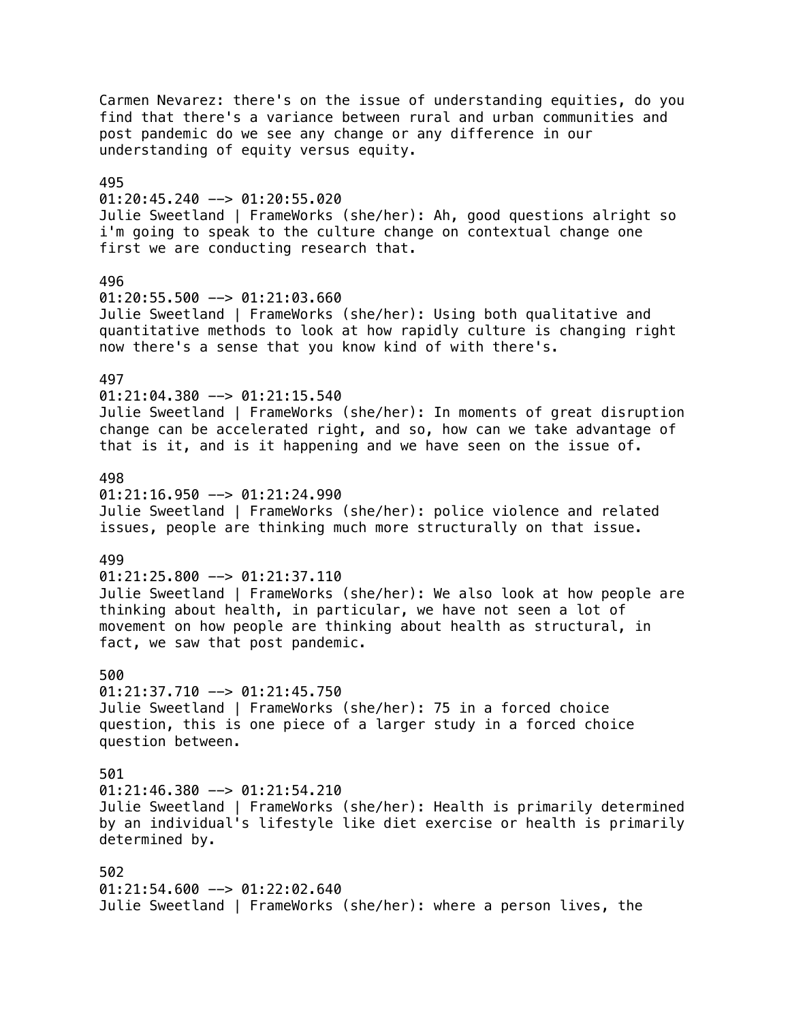Carmen Nevarez: there's on the issue of understanding equities, do you find that there's a variance between rural and urban communities and post pandemic do we see any change or any difference in our understanding of equity versus equity. 495  $01:20:45.240$  -->  $01:20:55.020$ Julie Sweetland | FrameWorks (she/her): Ah, good questions alright so i'm going to speak to the culture change on contextual change one first we are conducting research that. 496  $01:20:55.500$  -->  $01:21:03.660$ Julie Sweetland | FrameWorks (she/her): Using both qualitative and quantitative methods to look at how rapidly culture is changing right now there's a sense that you know kind of with there's. 497 01:21:04.380 --> 01:21:15.540 Julie Sweetland | FrameWorks (she/her): In moments of great disruption change can be accelerated right, and so, how can we take advantage of that is it, and is it happening and we have seen on the issue of. 498  $01:21:16.950$  -->  $01:21:24.990$ Julie Sweetland | FrameWorks (she/her): police violence and related issues, people are thinking much more structurally on that issue. 499  $01:21:25.800$  -->  $01:21:37.110$ Julie Sweetland | FrameWorks (she/her): We also look at how people are thinking about health, in particular, we have not seen a lot of movement on how people are thinking about health as structural, in fact, we saw that post pandemic. 500  $01:21:37.710$  -->  $01:21:45.750$ Julie Sweetland | FrameWorks (she/her): 75 in a forced choice question, this is one piece of a larger study in a forced choice question between. 501  $01:21:46.380$  -->  $01:21:54.210$ Julie Sweetland | FrameWorks (she/her): Health is primarily determined by an individual's lifestyle like diet exercise or health is primarily determined by. 502  $01:21:54.600$  -->  $01:22:02.640$ Julie Sweetland | FrameWorks (she/her): where a person lives, the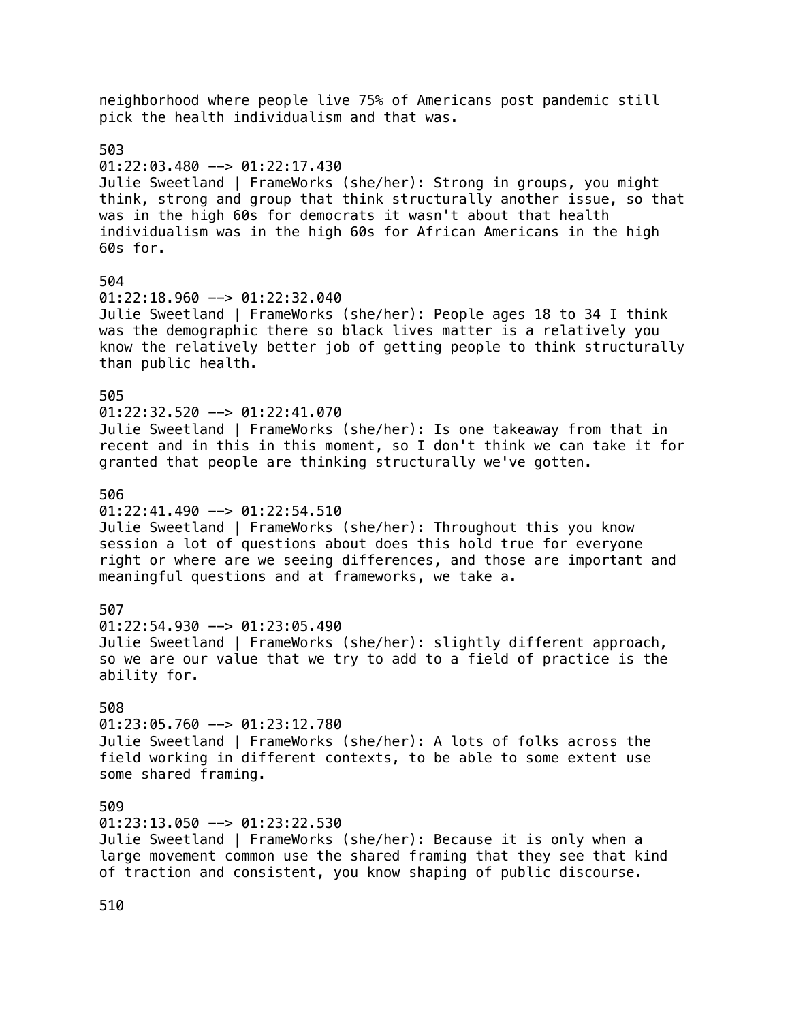neighborhood where people live 75% of Americans post pandemic still pick the health individualism and that was. 503  $01:22:03.480$  -->  $01:22:17.430$ Julie Sweetland | FrameWorks (she/her): Strong in groups, you might think, strong and group that think structurally another issue, so that was in the high 60s for democrats it wasn't about that health individualism was in the high 60s for African Americans in the high 60s for. 504 01:22:18.960 --> 01:22:32.040 Julie Sweetland | FrameWorks (she/her): People ages 18 to 34 I think was the demographic there so black lives matter is a relatively you know the relatively better job of getting people to think structurally than public health. 505  $01:22:32.520$  -->  $01:22:41.070$ Julie Sweetland | FrameWorks (she/her): Is one takeaway from that in recent and in this in this moment, so I don't think we can take it for granted that people are thinking structurally we've gotten. 506  $01:22:41.490$  -->  $01:22:54.510$ Julie Sweetland | FrameWorks (she/her): Throughout this you know session a lot of questions about does this hold true for everyone right or where are we seeing differences, and those are important and meaningful questions and at frameworks, we take a. 507  $01:22:54.930$  -->  $01:23:05.490$ Julie Sweetland | FrameWorks (she/her): slightly different approach, so we are our value that we try to add to a field of practice is the ability for. 508 01:23:05.760 --> 01:23:12.780 Julie Sweetland | FrameWorks (she/her): A lots of folks across the field working in different contexts, to be able to some extent use some shared framing. 509  $01:23:13.050$  -->  $01:23:22.530$ Julie Sweetland | FrameWorks (she/her): Because it is only when a large movement common use the shared framing that they see that kind of traction and consistent, you know shaping of public discourse.

510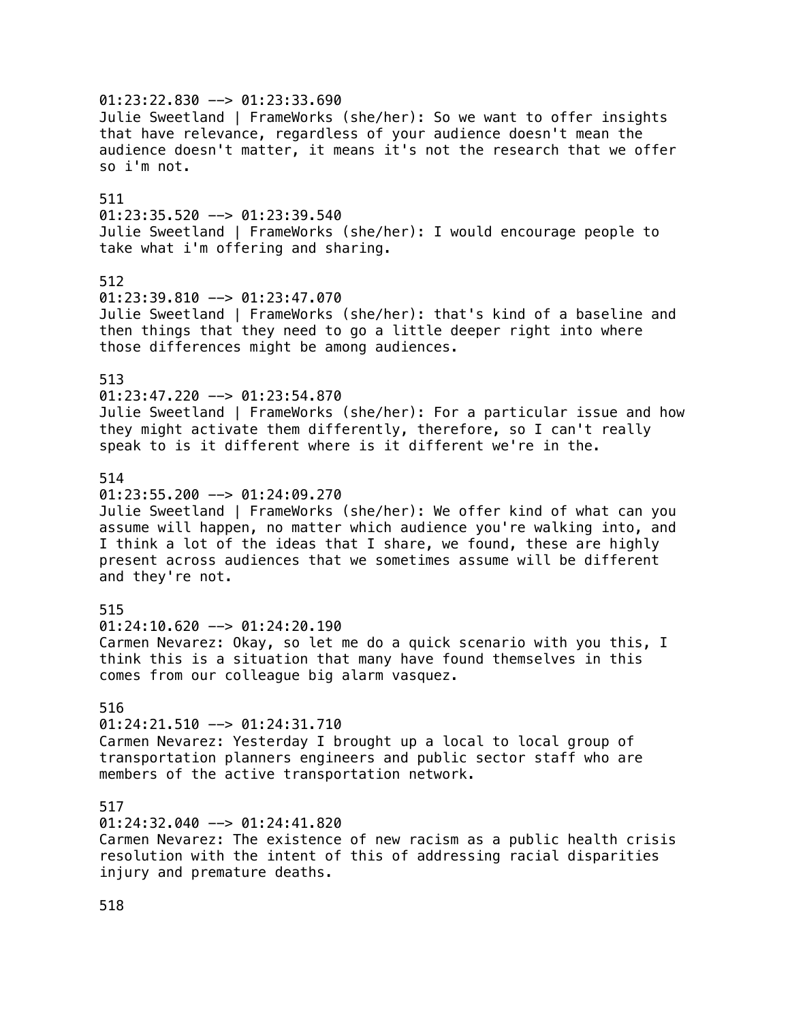$01:23:22.830$  -->  $01:23:33.690$ Julie Sweetland | FrameWorks (she/her): So we want to offer insights that have relevance, regardless of your audience doesn't mean the audience doesn't matter, it means it's not the research that we offer so i'm not. 511  $01:23:35.520$  -->  $01:23:39.540$ Julie Sweetland | FrameWorks (she/her): I would encourage people to take what i'm offering and sharing. 512 01:23:39.810 --> 01:23:47.070 Julie Sweetland | FrameWorks (she/her): that's kind of a baseline and then things that they need to go a little deeper right into where those differences might be among audiences. 513 01:23:47.220 --> 01:23:54.870 Julie Sweetland | FrameWorks (she/her): For a particular issue and how they might activate them differently, therefore, so I can't really speak to is it different where is it different we're in the. 514  $01:23:55.200$  -->  $01:24:09.270$ Julie Sweetland | FrameWorks (she/her): We offer kind of what can you assume will happen, no matter which audience you're walking into, and I think a lot of the ideas that I share, we found, these are highly present across audiences that we sometimes assume will be different and they're not. 515  $01:24:10.620$  -->  $01:24:20.190$ Carmen Nevarez: Okay, so let me do a quick scenario with you this, I think this is a situation that many have found themselves in this comes from our colleague big alarm vasquez. 516  $01:24:21.510$  -->  $01:24:31.710$ Carmen Nevarez: Yesterday I brought up a local to local group of transportation planners engineers and public sector staff who are members of the active transportation network. 517  $01:24:32.040$  -->  $01:24:41.820$ Carmen Nevarez: The existence of new racism as a public health crisis resolution with the intent of this of addressing racial disparities injury and premature deaths.

518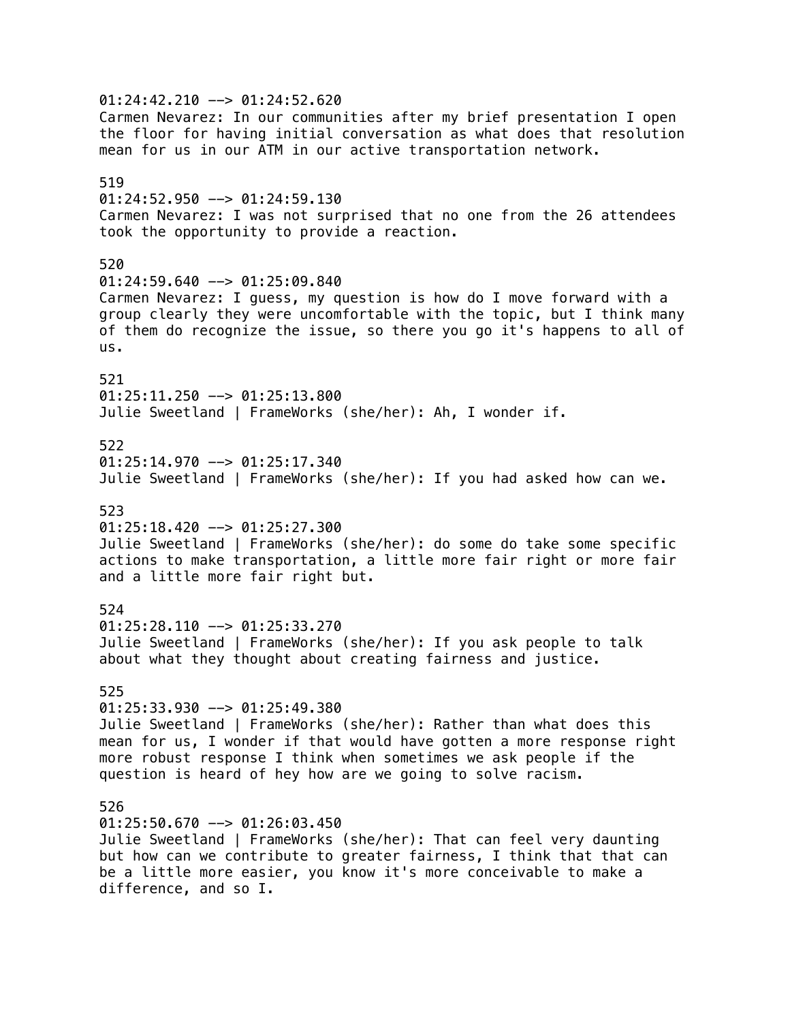01:24:42.210 --> 01:24:52.620 Carmen Nevarez: In our communities after my brief presentation I open the floor for having initial conversation as what does that resolution mean for us in our ATM in our active transportation network. 519  $01:24:52.950$  -->  $01:24:59.130$ Carmen Nevarez: I was not surprised that no one from the 26 attendees took the opportunity to provide a reaction. 520 01:24:59.640 --> 01:25:09.840 Carmen Nevarez: I guess, my question is how do I move forward with a group clearly they were uncomfortable with the topic, but I think many of them do recognize the issue, so there you go it's happens to all of us. 521 01:25:11.250 --> 01:25:13.800 Julie Sweetland | FrameWorks (she/her): Ah, I wonder if. 522  $01:25:14.970$  -->  $01:25:17.340$ Julie Sweetland | FrameWorks (she/her): If you had asked how can we. 523  $01:25:18.420$  -->  $01:25:27.300$ Julie Sweetland | FrameWorks (she/her): do some do take some specific actions to make transportation, a little more fair right or more fair and a little more fair right but. 524  $01:25:28.110$  -->  $01:25:33.270$ Julie Sweetland | FrameWorks (she/her): If you ask people to talk about what they thought about creating fairness and justice. 525 01:25:33.930 --> 01:25:49.380 Julie Sweetland | FrameWorks (she/her): Rather than what does this mean for us, I wonder if that would have gotten a more response right more robust response I think when sometimes we ask people if the question is heard of hey how are we going to solve racism. 526  $01:25:50.670$  -->  $01:26:03.450$ Julie Sweetland | FrameWorks (she/her): That can feel very daunting but how can we contribute to greater fairness, I think that that can be a little more easier, you know it's more conceivable to make a difference, and so I.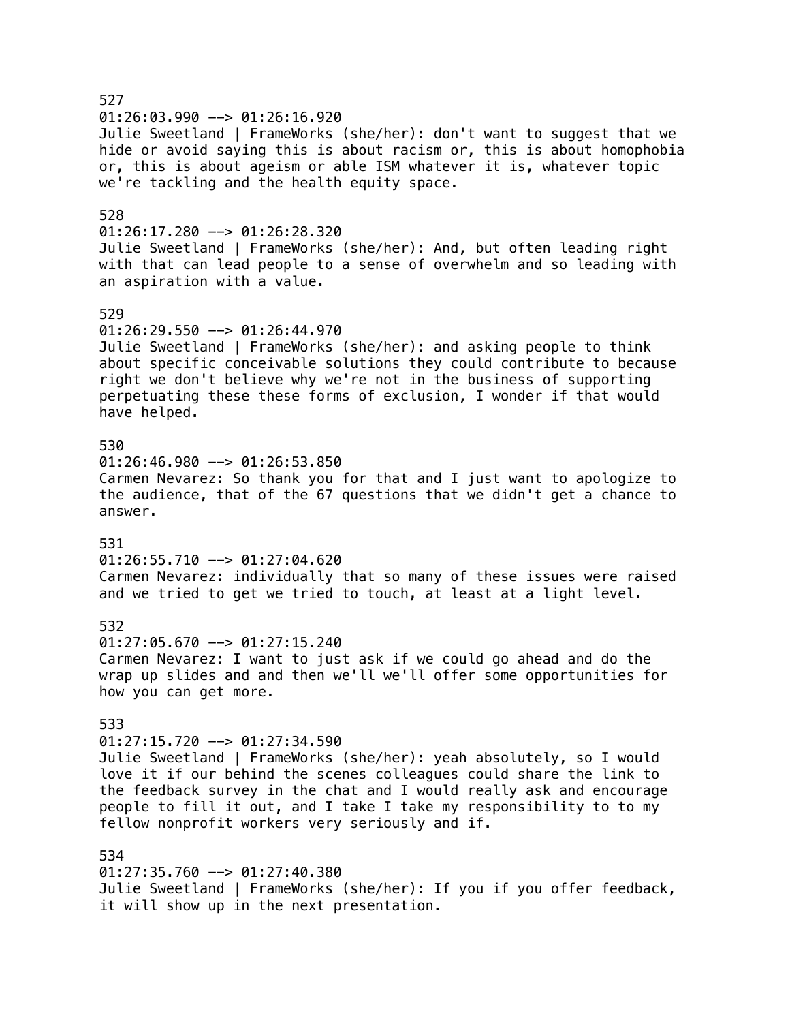527 01:26:03.990 --> 01:26:16.920 Julie Sweetland | FrameWorks (she/her): don't want to suggest that we hide or avoid saying this is about racism or, this is about homophobia or, this is about ageism or able ISM whatever it is, whatever topic we're tackling and the health equity space. 528  $01:26:17.280$  -->  $01:26:28.320$ Julie Sweetland | FrameWorks (she/her): And, but often leading right with that can lead people to a sense of overwhelm and so leading with an aspiration with a value. 529  $01:26:29.550$  -->  $01:26:44.970$ Julie Sweetland | FrameWorks (she/her): and asking people to think about specific conceivable solutions they could contribute to because right we don't believe why we're not in the business of supporting perpetuating these these forms of exclusion, I wonder if that would have helped. 530 01:26:46.980 --> 01:26:53.850 Carmen Nevarez: So thank you for that and I just want to apologize to the audience, that of the 67 questions that we didn't get a chance to answer. 531 01:26:55.710 --> 01:27:04.620 Carmen Nevarez: individually that so many of these issues were raised and we tried to get we tried to touch, at least at a light level. 532  $01:27:05.670$  -->  $01:27:15.240$ Carmen Nevarez: I want to just ask if we could go ahead and do the wrap up slides and and then we'll we'll offer some opportunities for how you can get more. 533  $01:27:15.720$  -->  $01:27:34.590$ Julie Sweetland | FrameWorks (she/her): yeah absolutely, so I would love it if our behind the scenes colleagues could share the link to the feedback survey in the chat and I would really ask and encourage people to fill it out, and I take I take my responsibility to to my fellow nonprofit workers very seriously and if. 534  $01:27:35.760$  -->  $01:27:40.380$ Julie Sweetland | FrameWorks (she/her): If you if you offer feedback, it will show up in the next presentation.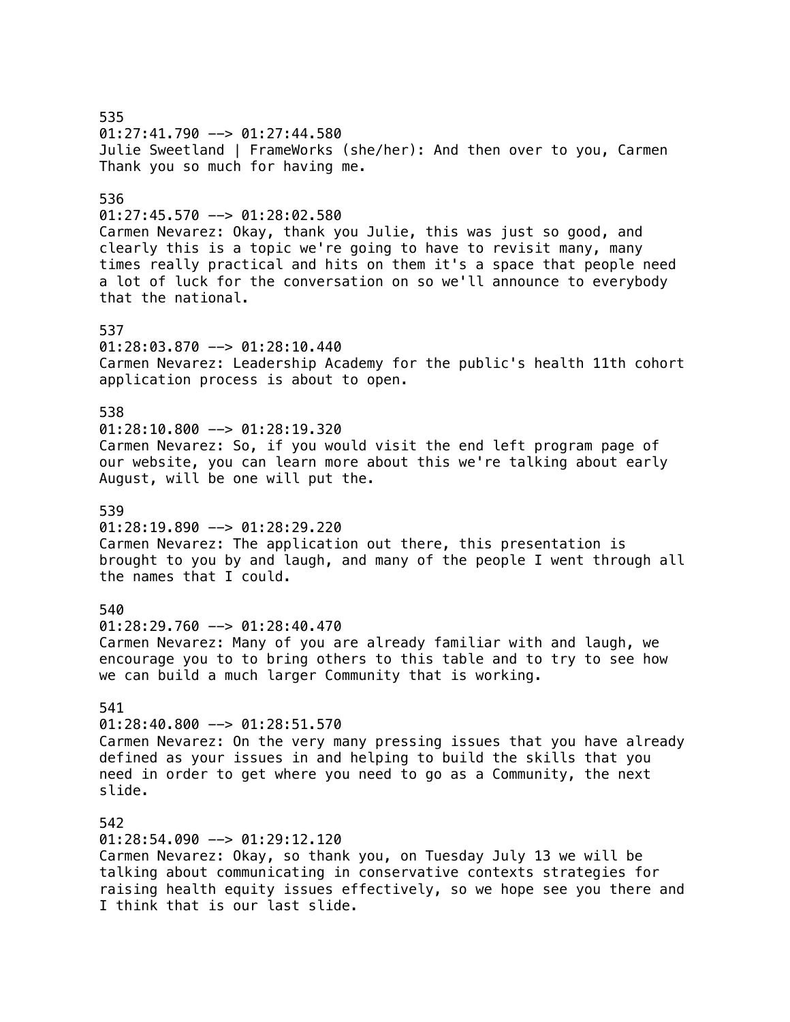### 535  $01:27:41.790$  -->  $01:27:44.580$ Julie Sweetland | FrameWorks (she/her): And then over to you, Carmen Thank you so much for having me. 536  $01:27:45.570$  -->  $01:28:02.580$ Carmen Nevarez: Okay, thank you Julie, this was just so good, and clearly this is a topic we're going to have to revisit many, many times really practical and hits on them it's a space that people need a lot of luck for the conversation on so we'll announce to everybody that the national. 537 01:28:03.870 --> 01:28:10.440 Carmen Nevarez: Leadership Academy for the public's health 11th cohort application process is about to open. 538  $01:28:10.800$  -->  $01:28:19.320$ Carmen Nevarez: So, if you would visit the end left program page of our website, you can learn more about this we're talking about early August, will be one will put the. 539  $01:28:19.890$  -->  $01:28:29.220$ Carmen Nevarez: The application out there, this presentation is brought to you by and laugh, and many of the people I went through all the names that I could. 540  $01:28:29.760$  -->  $01:28:40.470$ Carmen Nevarez: Many of you are already familiar with and laugh, we encourage you to to bring others to this table and to try to see how we can build a much larger Community that is working. 541  $01:28:40.800$  -->  $01:28:51.570$ Carmen Nevarez: On the very many pressing issues that you have already defined as your issues in and helping to build the skills that you need in order to get where you need to go as a Community, the next slide. 542 01:28:54.090 --> 01:29:12.120 Carmen Nevarez: Okay, so thank you, on Tuesday July 13 we will be talking about communicating in conservative contexts strategies for raising health equity issues effectively, so we hope see you there and I think that is our last slide.